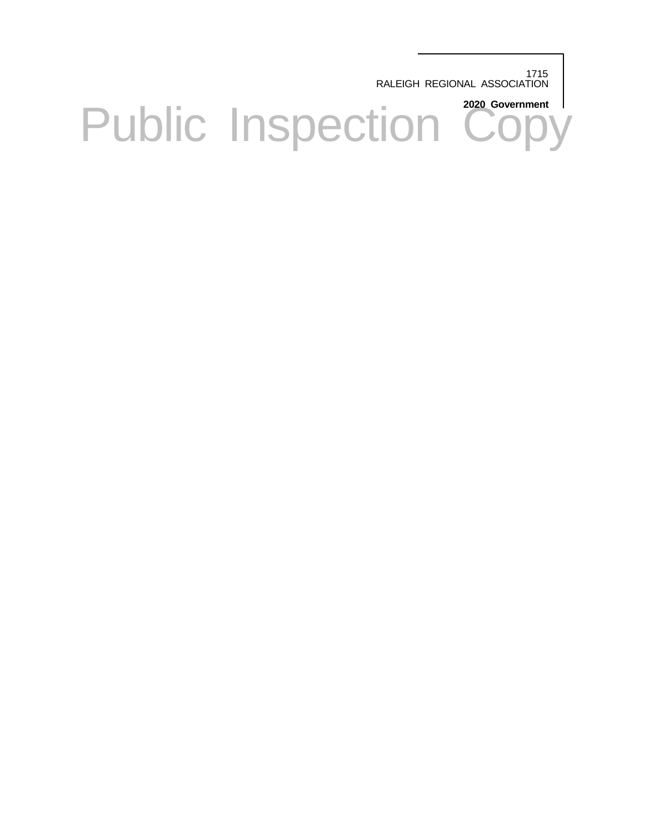1715 RALEIGH REGIONAL ASSOCIATION

Public Inspection <sup>2020 Government</sup>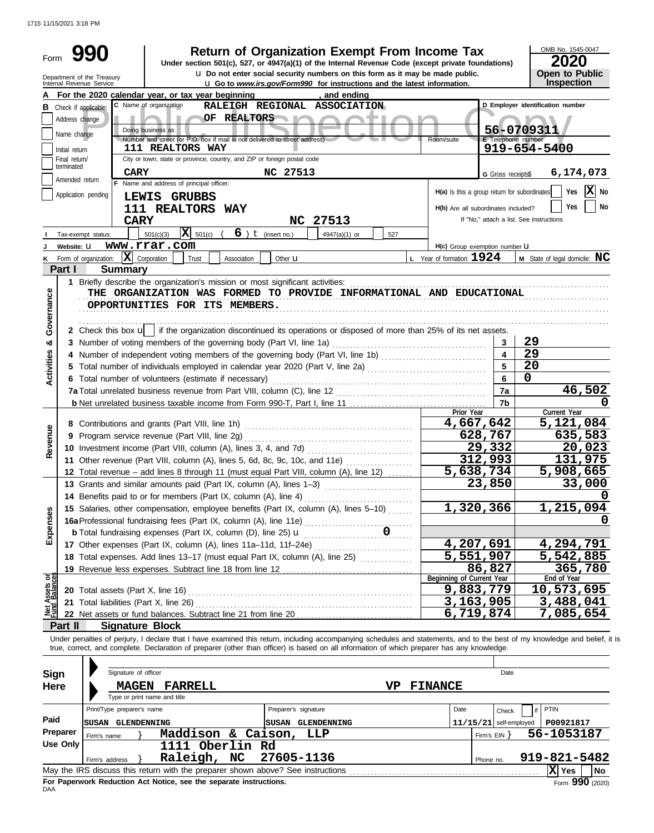1715 11/15/2021 3:18 PM

| Form                    |                 | <b>Return of Organization Exempt From Income Tax</b><br>Under section 501(c), 527, or 4947(a)(1) of the Internal Revenue Code (except private foundations)<br><b>u</b> Do not enter social security numbers on this form as it may be made public. |                                              |                          | OMB No. 1545-0047<br>2020<br><b>Open to Public</b> |
|-------------------------|-----------------|----------------------------------------------------------------------------------------------------------------------------------------------------------------------------------------------------------------------------------------------------|----------------------------------------------|--------------------------|----------------------------------------------------|
|                         |                 | Department of the Treasury<br>Internal Revenue Service<br><b>u</b> Go to www.irs.gov/Form990 for instructions and the latest information.                                                                                                          |                                              |                          | Inspection                                         |
|                         |                 | For the 2020 calendar year, or tax year beginning<br>, and ending                                                                                                                                                                                  |                                              |                          |                                                    |
|                         |                 | C Name of organization<br>RALEIGH REGIONAL ASSOCIATION<br><b>B</b> Check if applicable:                                                                                                                                                            |                                              |                          | D Emplover identification number                   |
|                         | Address change  | OF REALTORS                                                                                                                                                                                                                                        |                                              |                          |                                                    |
|                         | Name change     | Doing business as<br>Number and street (or P.O. box if mail is not delivered to street address)                                                                                                                                                    | Room/suite                                   | E Telephone number       | 56-0709311                                         |
|                         | Initial return  | <b>111 REALTORS WAY</b>                                                                                                                                                                                                                            |                                              |                          | 919-654-5400                                       |
|                         | Final return/   | City or town, state or province, country, and ZIP or foreign postal code                                                                                                                                                                           |                                              |                          |                                                    |
|                         | terminated      | <b>CARY</b><br>NC 27513                                                                                                                                                                                                                            |                                              | G Gross receipts\$       | 6,174,073                                          |
|                         | Amended return  | F Name and address of principal officer:                                                                                                                                                                                                           |                                              |                          |                                                    |
|                         |                 | Application pending<br>LEWIS GRUBBS                                                                                                                                                                                                                | H(a) Is this a group return for subordinates |                          | $ \mathbf{X} $ No<br>Yes                           |
|                         |                 | 111 REALTORS WAY                                                                                                                                                                                                                                   | H(b) Are all subordinates included?          |                          | <b>No</b><br>Yes                                   |
|                         |                 | <b>CARY</b><br>NC 27513                                                                                                                                                                                                                            |                                              |                          | If "No," attach a list. See instructions           |
|                         |                 | $\overline{\mathbf{X}}$ 501(c)<br>$6$ ) $t$ (insert no.)<br>501(c)(3)<br>4947(a)(1) or<br>527<br>Tax-exempt status:                                                                                                                                |                                              |                          |                                                    |
|                         | Website: U      | www.rrar.com                                                                                                                                                                                                                                       | H(c) Group exemption number <b>U</b>         |                          |                                                    |
| Κ                       |                 | $\mathbf{X}$ Corporation<br>Form of organization:<br>Other <b>u</b><br>Trust<br>Association                                                                                                                                                        | L Year of formation: $1924$                  |                          | <b>M</b> State of legal domicile: $MC$             |
|                         | Part I          | <b>Summary</b>                                                                                                                                                                                                                                     |                                              |                          |                                                    |
|                         |                 |                                                                                                                                                                                                                                                    |                                              |                          |                                                    |
|                         |                 | THE ORGANIZATION WAS FORMED TO PROVIDE INFORMATIONAL AND EDUCATIONAL                                                                                                                                                                               |                                              |                          |                                                    |
| Governance              |                 | OPPORTUNITIES FOR ITS MEMBERS.                                                                                                                                                                                                                     |                                              |                          |                                                    |
|                         |                 |                                                                                                                                                                                                                                                    |                                              |                          |                                                    |
|                         |                 | 2 Check this box $\mathbf{u}$   if the organization discontinued its operations or disposed of more than 25% of its net assets.                                                                                                                    |                                              |                          |                                                    |
| ×                       |                 | 3 Number of voting members of the governing body (Part VI, line 1a)                                                                                                                                                                                |                                              | 3                        | 29                                                 |
|                         |                 |                                                                                                                                                                                                                                                    |                                              | $\overline{\mathbf{4}}$  | 29                                                 |
| <b>Activities</b>       |                 | 5 Total number of individuals employed in calendar year 2020 (Part V, line 2a) [[[[[[[[[[[[[[[[[[[[[[[[[[[[[[                                                                                                                                      |                                              | 5                        | 20                                                 |
|                         |                 | 6 Total number of volunteers (estimate if necessary)                                                                                                                                                                                               |                                              | 6                        | 0                                                  |
|                         |                 |                                                                                                                                                                                                                                                    |                                              | 7a                       | 46,502                                             |
|                         |                 |                                                                                                                                                                                                                                                    |                                              | 7b                       |                                                    |
|                         |                 |                                                                                                                                                                                                                                                    | Prior Year                                   |                          | Current Year                                       |
|                         |                 |                                                                                                                                                                                                                                                    | 4,667,642                                    |                          | 5,121,084                                          |
| Revenue                 |                 |                                                                                                                                                                                                                                                    |                                              | 628,767                  | 635,583                                            |
|                         |                 |                                                                                                                                                                                                                                                    |                                              | 29,332<br>312,993        | 20,023                                             |
|                         |                 | 11 Other revenue (Part VIII, column (A), lines 5, 6d, 8c, 9c, 10c, and 11e)                                                                                                                                                                        | 5,638,734                                    |                          | 131,975                                            |
|                         |                 | 12 Total revenue - add lines 8 through 11 (must equal Part VIII, column (A), line 12)                                                                                                                                                              |                                              | 23,850                   | 5,908,665<br>33,000                                |
|                         |                 | 13 Grants and similar amounts paid (Part IX, column (A), lines 1-3)                                                                                                                                                                                |                                              |                          | 0                                                  |
|                         |                 | 14 Benefits paid to or for members (Part IX, column (A), line 4)                                                                                                                                                                                   | 1,320,366                                    |                          | 1,215,094                                          |
| Expenses                |                 | 15 Salaries, other compensation, employee benefits (Part IX, column (A), lines 5-10)                                                                                                                                                               |                                              |                          | $\mathbf{U}$                                       |
|                         |                 |                                                                                                                                                                                                                                                    |                                              |                          |                                                    |
|                         |                 |                                                                                                                                                                                                                                                    | 4,207,691                                    |                          | 4,294,791                                          |
|                         |                 | 17 Other expenses (Part IX, column (A), lines 11a-11d, 11f-24e)<br>18 Total expenses. Add lines 13-17 (must equal Part IX, column (A), line 25) [                                                                                                  | 5,551,907                                    |                          | 5,542,885                                          |
|                         |                 |                                                                                                                                                                                                                                                    |                                              | 86,827                   | 365,780                                            |
|                         |                 |                                                                                                                                                                                                                                                    | Beginning of Current Year                    |                          | End of Year                                        |
| Assets or<br>d Balances |                 |                                                                                                                                                                                                                                                    | 9,883,779                                    |                          | 10,573,695                                         |
|                         |                 | 21 Total liabilities (Part X, line 26)                                                                                                                                                                                                             | 3,163,905                                    |                          | 3,488,041                                          |
| <b>PED</b><br>Pund      |                 |                                                                                                                                                                                                                                                    | 6,719,874                                    |                          | 7,085,654                                          |
|                         | Part II         | <b>Signature Block</b>                                                                                                                                                                                                                             |                                              |                          |                                                    |
|                         |                 | Under penalties of perjury, I declare that I have examined this return, including accompanying schedules and statements, and to the best of my knowledge and belief, it is                                                                         |                                              |                          |                                                    |
|                         |                 | true, correct, and complete. Declaration of preparer (other than officer) is based on all information of which preparer has any knowledge.                                                                                                         |                                              |                          |                                                    |
|                         |                 |                                                                                                                                                                                                                                                    |                                              |                          |                                                    |
| Sign                    |                 | Signature of officer                                                                                                                                                                                                                               |                                              | Date                     |                                                    |
| <b>Here</b>             |                 | <b>MAGEN FARRELL</b><br>VP                                                                                                                                                                                                                         | <b>FINANCE</b>                               |                          |                                                    |
|                         |                 | Type or print name and title                                                                                                                                                                                                                       |                                              |                          |                                                    |
|                         |                 | Print/Type preparer's name<br>Preparer's signature                                                                                                                                                                                                 | Date                                         | Check                    | PTIN                                               |
| Paid                    |                 | <b>SUSAN GLENDENNING</b><br>SUSAN GLENDENNING                                                                                                                                                                                                      |                                              | $11/15/21$ self-employed | P00921817                                          |
|                         | Preparer        | Maddison & Caison, LLP<br>Firm's name                                                                                                                                                                                                              |                                              | Firm's $EIN$ }           | 56-1053187                                         |
|                         | <b>Use Only</b> | 1111 Oberlin Rd                                                                                                                                                                                                                                    |                                              |                          |                                                    |
|                         |                 | Raleigh, NC<br>27605-1136<br>Firm's address                                                                                                                                                                                                        |                                              | Phone no.                | 919-821-5482                                       |
|                         |                 |                                                                                                                                                                                                                                                    |                                              |                          | X Yes<br><b>No</b>                                 |

Form **990** (2020)

**X**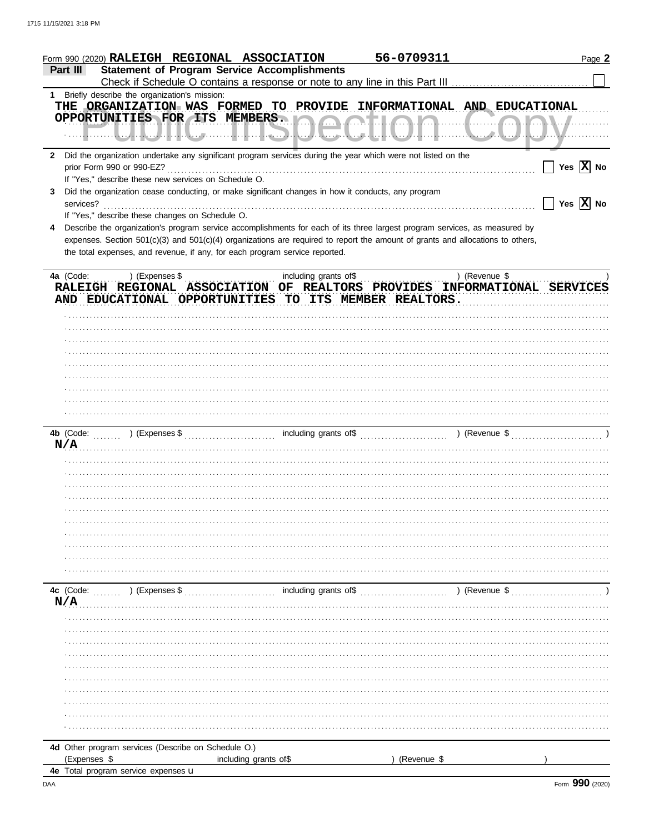|           | Form 990 (2020) RALEIGH REGIONAL ASSOCIATION         |                                                                                                    | 56-0709311                                                                                                                     |                            | Page 2                                            |
|-----------|------------------------------------------------------|----------------------------------------------------------------------------------------------------|--------------------------------------------------------------------------------------------------------------------------------|----------------------------|---------------------------------------------------|
| Part III  |                                                      | <b>Statement of Program Service Accomplishments</b>                                                |                                                                                                                                |                            |                                                   |
|           |                                                      |                                                                                                    |                                                                                                                                |                            |                                                   |
|           | 1 Briefly describe the organization's mission:       |                                                                                                    | THE ORGANIZATION WAS FORMED TO PROVIDE INFORMATIONAL AND EDUCATIONAL                                                           |                            |                                                   |
|           |                                                      |                                                                                                    |                                                                                                                                |                            |                                                   |
|           |                                                      |                                                                                                    | OPPORTUNITIES FOR ITS MEMBERS. ORDER CHARGE LOOK COMMUNICATION                                                                 |                            |                                                   |
|           |                                                      |                                                                                                    |                                                                                                                                |                            |                                                   |
|           |                                                      |                                                                                                    | 2 Did the organization undertake any significant program services during the year which were not listed on the                 |                            |                                                   |
|           |                                                      |                                                                                                    |                                                                                                                                |                            | $\boxed{\phantom{1}}$ Yes $\boxed{\textbf{X}}$ No |
|           | If "Yes," describe these new services on Schedule O. |                                                                                                    |                                                                                                                                |                            |                                                   |
| 3         |                                                      | Did the organization cease conducting, or make significant changes in how it conducts, any program |                                                                                                                                |                            |                                                   |
|           | services?                                            |                                                                                                    |                                                                                                                                |                            | $\Box$ Yes $\boxed{\textbf{X}}$ No                |
|           | If "Yes," describe these changes on Schedule O.      |                                                                                                    |                                                                                                                                |                            |                                                   |
|           |                                                      |                                                                                                    | Describe the organization's program service accomplishments for each of its three largest program services, as measured by     |                            |                                                   |
|           |                                                      |                                                                                                    | expenses. Section 501(c)(3) and 501(c)(4) organizations are required to report the amount of grants and allocations to others, |                            |                                                   |
|           |                                                      | the total expenses, and revenue, if any, for each program service reported.                        |                                                                                                                                |                            |                                                   |
|           |                                                      |                                                                                                    |                                                                                                                                |                            |                                                   |
|           | 4a (Code: ) (Expenses \$                             |                                                                                                    | RALEIGH REGIONAL ASSOCIATION OF REALTORS PROVIDES INFORMATIONAL SERVICES                                                       | ) (Revenue $\frac{1}{2}$ , |                                                   |
|           |                                                      |                                                                                                    | AND EDUCATIONAL OPPORTUNITIES TO ITS MEMBER REALTORS.                                                                          |                            |                                                   |
|           |                                                      |                                                                                                    |                                                                                                                                |                            |                                                   |
|           |                                                      |                                                                                                    |                                                                                                                                |                            |                                                   |
|           |                                                      |                                                                                                    |                                                                                                                                |                            |                                                   |
|           |                                                      |                                                                                                    |                                                                                                                                |                            |                                                   |
|           |                                                      |                                                                                                    |                                                                                                                                |                            |                                                   |
|           |                                                      |                                                                                                    |                                                                                                                                |                            |                                                   |
|           |                                                      |                                                                                                    |                                                                                                                                |                            |                                                   |
|           |                                                      |                                                                                                    |                                                                                                                                |                            |                                                   |
|           |                                                      |                                                                                                    |                                                                                                                                |                            |                                                   |
|           |                                                      |                                                                                                    |                                                                                                                                |                            |                                                   |
|           |                                                      |                                                                                                    |                                                                                                                                |                            |                                                   |
|           |                                                      | N/A                                                                                                |                                                                                                                                |                            |                                                   |
|           |                                                      |                                                                                                    |                                                                                                                                |                            |                                                   |
|           |                                                      |                                                                                                    |                                                                                                                                |                            |                                                   |
|           |                                                      |                                                                                                    |                                                                                                                                |                            |                                                   |
|           |                                                      |                                                                                                    |                                                                                                                                |                            |                                                   |
|           |                                                      |                                                                                                    |                                                                                                                                |                            |                                                   |
|           |                                                      |                                                                                                    |                                                                                                                                |                            |                                                   |
|           |                                                      |                                                                                                    |                                                                                                                                |                            |                                                   |
|           |                                                      |                                                                                                    |                                                                                                                                |                            |                                                   |
|           |                                                      |                                                                                                    |                                                                                                                                |                            |                                                   |
|           |                                                      |                                                                                                    |                                                                                                                                |                            |                                                   |
| 4c (Code: | ) (Expenses \$                                       | including grants of\$                                                                              |                                                                                                                                | ) (Revenue \$              |                                                   |
| N/A       |                                                      |                                                                                                    |                                                                                                                                |                            |                                                   |
|           |                                                      |                                                                                                    |                                                                                                                                |                            |                                                   |
|           |                                                      |                                                                                                    |                                                                                                                                |                            |                                                   |
|           |                                                      |                                                                                                    |                                                                                                                                |                            |                                                   |
|           |                                                      |                                                                                                    |                                                                                                                                |                            |                                                   |
|           |                                                      |                                                                                                    |                                                                                                                                |                            |                                                   |
|           |                                                      |                                                                                                    |                                                                                                                                |                            |                                                   |
|           |                                                      |                                                                                                    |                                                                                                                                |                            |                                                   |
|           |                                                      |                                                                                                    |                                                                                                                                |                            |                                                   |
|           |                                                      |                                                                                                    |                                                                                                                                |                            |                                                   |
|           |                                                      |                                                                                                    |                                                                                                                                |                            |                                                   |
|           | 4d Other program services (Describe on Schedule O.)  |                                                                                                    |                                                                                                                                |                            |                                                   |
|           | (Expenses \$                                         | including grants of \$                                                                             | (Revenue \$                                                                                                                    |                            |                                                   |
|           | 4e Total program service expenses u                  |                                                                                                    |                                                                                                                                |                            |                                                   |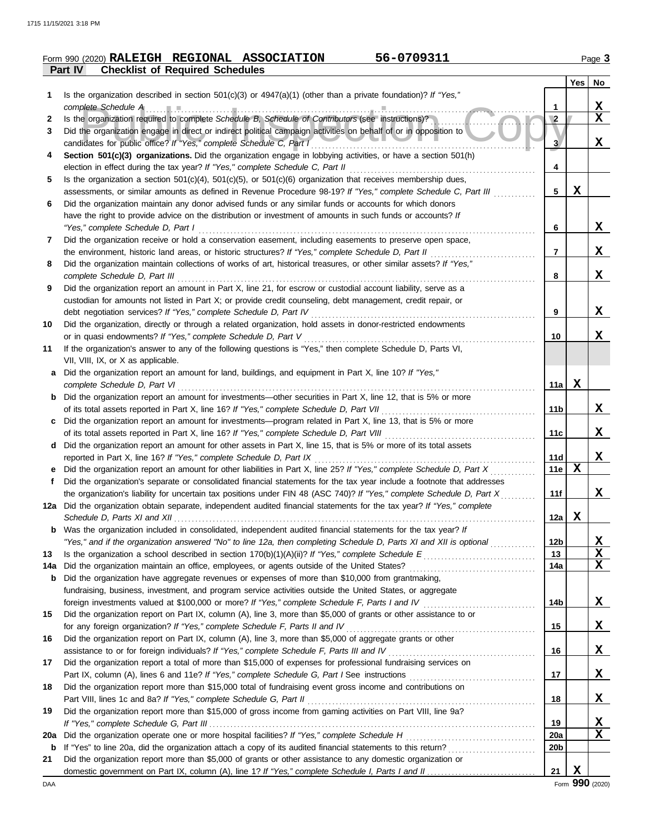**11**

|    | 56-0709311<br>Form 990 (2020) RALEIGH REGIONAL ASSOCIATION                                                           |            |       | Page 3 |
|----|----------------------------------------------------------------------------------------------------------------------|------------|-------|--------|
|    | <b>Checklist of Required Schedules</b><br><b>Part IV</b>                                                             |            |       |        |
|    |                                                                                                                      |            | Yes l | No     |
|    | Is the organization described in section 501(c)(3) or $4947(a)(1)$ (other than a private foundation)? If "Yes,"      |            |       |        |
|    |                                                                                                                      |            |       | х      |
| 2  | Is the organization required to complete Schedule B, Schedule of Contributors (see instructions)?                    | $\sqrt{2}$ |       | х      |
|    | Did the organization engage in direct or indirect political campaign activities on behalf of or in opposition to     |            |       |        |
|    | candidates for public office? If "Yes," complete Schedule C, Part I                                                  |            |       | х      |
| 4  | Section 501(c)(3) organizations. Did the organization engage in lobbying activities, or have a section 501(h)        |            |       |        |
|    | election in effect during the tax year? If "Yes," complete Schedule C, Part II                                       | 4          |       |        |
| 5. | Is the organization a section $501(c)(4)$ , $501(c)(5)$ , or $501(c)(6)$ organization that receives membership dues, |            |       |        |
|    | assessments, or similar amounts as defined in Revenue Procedure 98-19? If "Yes," complete Schedule C, Part III       | 5          | х     |        |
| 6  | Did the organization maintain any donor advised funds or any similar funds or accounts for which donors              |            |       |        |
|    | have the right to provide advice on the distribution or investment of amounts in such funds or accounts? If          |            |       |        |
|    | "Yes," complete Schedule D, Part I                                                                                   | 6          |       |        |

**7** Did the organization receive or hold a conservation easement, including easements to preserve open space, *"Yes," complete Schedule D, Part I* . . . . . . . . . . . . . . . . . . . . . . . . . . . . . . . . . . . . . . . . . . . . . . . . . . . . . . . . . . . . . . . . . . . . . . . . . . . . . . . . . . . . . . . . . . . . . . . . the environment, historic land areas, or historic structures? *If "Yes," complete Schedule D, Part II* . . . . . . . . . . . . . . . . . . . . . . . . . . . . . .

| 8 Did the organization maintain collections of works of art, historical treasures, or other similar assets? If "Yes,"    |
|--------------------------------------------------------------------------------------------------------------------------|
| complete Schedule D, Part III                                                                                            |
| <b>9</b> Did the organization report an amount in Part X, line 21, for escrow or custodial account liability, serve as a |
| custodian for amounts not listed in Part X; or provide credit counseling, debt management, credit repair, or             |

**10** Did the organization, directly or through a related organization, hold assets in donor-restricted endowments debt negotiation services? *If "Yes," complete Schedule D, Part IV* . . . . . . . . . . . . . . . . . . . . . . . . . . . . . . . . . . . . . . . . . . . . . . . . . . . . . . . . . . . . . . . . or in quasi endowments? If "Yes," complete Schedule D, Part V ……………………………………………………………

| If the organization's answer to any of the following questions is "Yes," then complete Schedule D, Parts VI,           |
|------------------------------------------------------------------------------------------------------------------------|
| VII, VIII, IX, or X as applicable.                                                                                     |
| <b>a</b> Did the organization report an amount for land, buildings, and equipment in Part X, line 10? If "Yes,"        |
| complete Schedule D, Part VI                                                                                           |
| <b>b</b> Did the organization report an amount for investments—other securities in Part X, line 12, that is 5% or more |

of its total assets reported in Part X, line 16? *If "Yes," complete Schedule D, Part VII* . . . . . . . . . . . . . . . . . . . . . . . . . . . . . . . . . . . . . . . . . . . . Did the organization report an amount for investments—program related in Part X, line 13, that is 5% or more **c** of its total assets reported in Part X, line 16? *If "Yes," complete Schedule D, Part VIII* . . . . . . . . . . . . . . . . . . . . . . . . . . . . . . . . . . . . . . . . . . . d Did the organization report an amount for other assets in Part X, line 15, that is 5% or more of its total assets

| reported in Part X, line 16? If "Yes," complete Schedule D, Part IX                                                     |
|-------------------------------------------------------------------------------------------------------------------------|
| e Did the organization report an amount for other liabilities in Part X, line 25? If "Yes," complete Schedule D, Part X |
| Did the organization's separate or consolidated financial statements for the tax year include a footnote that addresses |
| the organization's liability for uncertain tax positions under FIN 48 (ASC 740)? If "Yes," complete Schedule D, Part X  |
| 12a Did the organization obtain separate, independent audited financial statements for the tax year? If "Yes," complete |

*Schedule D, Parts XI and XII* . . . . . . . . . . . . . . . . . . . . . . . . . . . . . . . . . . . . . . . . . . . . . . . . . . . . . . . . . . . . . . . . . . . . . . . . . . . . . . . . . . . . . . . . . . . . . . . . . . . . . . . *"Yes," and if the organization answered "No" to line 12a, then completing Schedule D, Parts XI and XII is optional* . . . . . . . . . . . . . Was the organization included in consolidated, independent audited financial statements for the tax year? *If* **b**

|       | 13 Is the organization a school described in section $170(b)(1)(A)(ii)?$ If "Yes," complete Schedule E            | 13  |  |
|-------|-------------------------------------------------------------------------------------------------------------------|-----|--|
| 14a l | Did the organization maintain an office, employees, or agents outside of the United States?                       | 14a |  |
|       | <b>b</b> Did the organization have aggregate revenues or expenses of more than \$10,000 from grantmaking,         |     |  |
|       | fundraising, business, investment, and program service activities outside the United States, or aggregate         |     |  |
|       | foreign investments valued at \$100,000 or more? If "Yes," complete Schedule F, Parts I and IV                    | 14b |  |
| 15    | Did the organization report on Part IX, column (A), line 3, more than \$5,000 of grants or other assistance to or |     |  |
|       | for any foreign organization? If "Yes," complete Schedule F, Parts II and IV                                      | 15  |  |
| 16    | Did the organization report on Part IX, column (A), line 3, more than \$5,000 of aggregate grants or other        |     |  |
|       | assistance to or for foreign individuals? If "Yes," complete Schedule F, Parts III and IV                         | 16  |  |
| 17    | Did the organization report a total of more than \$15,000 of expenses for professional fundraising services on    |     |  |
|       | Part IX, column (A), lines 6 and 11e? If "Yes," complete Schedule G, Part I See instructions                      | 17  |  |
| 18    | Did the organization report more than \$15,000 total of fundraising event gross income and contributions on       |     |  |
|       | Part VIII, lines 1c and 8a? If "Yes," complete Schedule G, Part II                                                | 18  |  |
| 19    | Did the organization report more than \$15,000 of gross income from gaming activities on Part VIII, line 9a?      |     |  |
|       |                                                                                                                   | 19  |  |

**20a** Did the organization operate one or more hospital facilities? *If "Yes," complete Schedule H* . . . . . . . . . . . . . . . . . . . . . . . . . . . . . . . . . . . . . **b** If "Yes" to line 20a, did the organization attach a copy of its audited financial statements to this return? . . . . . . . . . . . . . . . . . . . . . . . . . **20a 20b** domestic government on Part IX, column (A), line 1? If "Yes," complete Schedule I, Parts I and II. **21** Did the organization report more than \$5,000 of grants or other assistance to any domestic organization or **21 X**  $\frac{21}{\text{Form}}$  990 (2020)

**X**

**X**

**X**

**X**

**X**

**X**

**X**

**X**

**X X X**

**X**

**X**

**X**

**X**

**X**

**X**

**10**

**11a X**

**11b**

**11c**

**11d 11e**

**X**

**X**

**11f**

**12a**

**12b**

**9**

**8**

**7**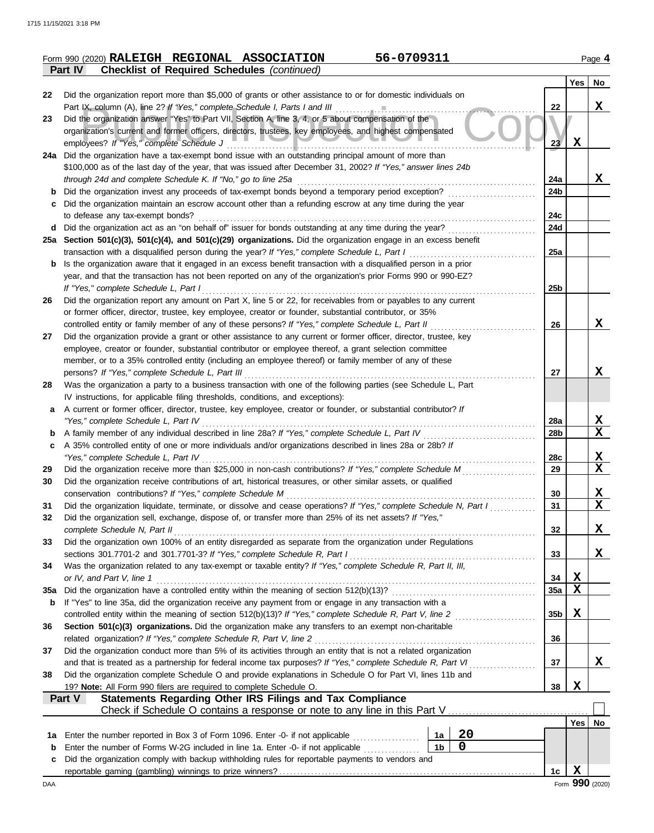|                |  | Form 990 (2020) RALEIGH REGIONAL ASSOCIATION       | 56-0709311 | Page 4 |
|----------------|--|----------------------------------------------------|------------|--------|
| <b>Part IV</b> |  | <b>Checklist of Required Schedules (continued)</b> |            |        |

|             | supermot of itoquitor conounico                                                                                                                                                                                             |                 | <b>Yes</b>  | No          |
|-------------|-----------------------------------------------------------------------------------------------------------------------------------------------------------------------------------------------------------------------------|-----------------|-------------|-------------|
| 22          | Did the organization report more than \$5,000 of grants or other assistance to or for domestic individuals on                                                                                                               |                 |             |             |
|             | Part IX, column (A), line 2? If "Yes," complete Schedule I, Parts I and III [11] [11] [11] [11] [11] [11] [11]                                                                                                              | 22              |             | X           |
| 23          | Did the organization answer "Yes" to Part VII, Section A, line 3, 4, or 5 about compensation of the                                                                                                                         |                 |             |             |
|             | organization's current and former officers, directors, trustees, key employees, and highest compensated                                                                                                                     |                 |             |             |
|             | employees? If "Yes," complete Schedule J                                                                                                                                                                                    | 23 <sup>7</sup> | X           |             |
| 24a         | Did the organization have a tax-exempt bond issue with an outstanding principal amount of more than                                                                                                                         |                 |             |             |
|             | \$100,000 as of the last day of the year, that was issued after December 31, 2002? If "Yes," answer lines 24b                                                                                                               |                 |             |             |
|             | through 24d and complete Schedule K. If "No," go to line 25a                                                                                                                                                                | 24a             |             | X           |
| b           | Did the organization invest any proceeds of tax-exempt bonds beyond a temporary period exception?<br>Did the organization maintain an escrow account other than a refunding escrow at any time during the year              | 24b             |             |             |
| C           | to defease any tax-exempt bonds?                                                                                                                                                                                            | 24c             |             |             |
| d           | Did the organization act as an "on behalf of" issuer for bonds outstanding at any time during the year?                                                                                                                     | 24d             |             |             |
|             | 25a Section 501(c)(3), 501(c)(4), and 501(c)(29) organizations. Did the organization engage in an excess benefit                                                                                                            |                 |             |             |
|             | transaction with a disqualified person during the year? If "Yes," complete Schedule L, Part I                                                                                                                               | 25a             |             |             |
| b           | Is the organization aware that it engaged in an excess benefit transaction with a disqualified person in a prior                                                                                                            |                 |             |             |
|             | year, and that the transaction has not been reported on any of the organization's prior Forms 990 or 990-EZ?                                                                                                                |                 |             |             |
|             | If "Yes," complete Schedule L, Part I                                                                                                                                                                                       | 25b             |             |             |
| 26          | Did the organization report any amount on Part X, line 5 or 22, for receivables from or payables to any current                                                                                                             |                 |             |             |
|             | or former officer, director, trustee, key employee, creator or founder, substantial contributor, or 35%                                                                                                                     |                 |             |             |
|             | controlled entity or family member of any of these persons? If "Yes," complete Schedule L, Part II                                                                                                                          | 26              |             | X           |
| 27          | Did the organization provide a grant or other assistance to any current or former officer, director, trustee, key<br>employee, creator or founder, substantial contributor or employee thereof, a grant selection committee |                 |             |             |
|             | member, or to a 35% controlled entity (including an employee thereof) or family member of any of these                                                                                                                      |                 |             |             |
|             | persons? If "Yes," complete Schedule L, Part III                                                                                                                                                                            | 27              |             | X           |
| 28          | Was the organization a party to a business transaction with one of the following parties (see Schedule L, Part                                                                                                              |                 |             |             |
|             | IV instructions, for applicable filing thresholds, conditions, and exceptions):                                                                                                                                             |                 |             |             |
| a           | A current or former officer, director, trustee, key employee, creator or founder, or substantial contributor? If                                                                                                            |                 |             |             |
|             | "Yes," complete Schedule L, Part IV                                                                                                                                                                                         | 28a             |             | X,          |
| b           | A family member of any individual described in line 28a? If "Yes," complete Schedule L, Part IV                                                                                                                             | 28b             |             | X           |
| c           | A 35% controlled entity of one or more individuals and/or organizations described in lines 28a or 28b? If                                                                                                                   |                 |             |             |
|             | "Yes," complete Schedule L, Part IV                                                                                                                                                                                         | 28c             |             | X           |
| 29          | Did the organization receive more than \$25,000 in non-cash contributions? If "Yes," complete Schedule M                                                                                                                    | 29              |             | $\mathbf x$ |
| 30          | Did the organization receive contributions of art, historical treasures, or other similar assets, or qualified                                                                                                              |                 |             | x           |
| 31          | conservation contributions? If "Yes," complete Schedule M<br>Did the organization liquidate, terminate, or dissolve and cease operations? If "Yes," complete Schedule N, Part I                                             | 30<br>31        |             | $\mathbf X$ |
| 32          | Did the organization sell, exchange, dispose of, or transfer more than 25% of its net assets? If "Yes,"                                                                                                                     |                 |             |             |
|             | complete Schedule N, Part II                                                                                                                                                                                                | 32              |             | X           |
| 33          | Did the organization own 100% of an entity disregarded as separate from the organization under Regulations                                                                                                                  |                 |             |             |
|             | sections 301.7701-2 and 301.7701-3? If "Yes," complete Schedule R, Part I                                                                                                                                                   | 33              |             | X           |
| 34          | Was the organization related to any tax-exempt or taxable entity? If "Yes," complete Schedule R, Part II, III,                                                                                                              |                 |             |             |
|             | or IV, and Part V, line 1                                                                                                                                                                                                   | 34              | Х           |             |
| 35a         |                                                                                                                                                                                                                             | 35a             | X           |             |
| b           | If "Yes" to line 35a, did the organization receive any payment from or engage in any transaction with a                                                                                                                     |                 |             |             |
|             |                                                                                                                                                                                                                             | 35 <sub>b</sub> | X           |             |
| 36          | Section 501(c)(3) organizations. Did the organization make any transfers to an exempt non-charitable<br>related organization? If "Yes," complete Schedule R, Part V, line 2                                                 | 36              |             |             |
| 37          | Did the organization conduct more than 5% of its activities through an entity that is not a related organization                                                                                                            |                 |             |             |
|             |                                                                                                                                                                                                                             | 37              |             | X.          |
| 38          | Did the organization complete Schedule O and provide explanations in Schedule O for Part VI, lines 11b and                                                                                                                  |                 |             |             |
|             | 19? Note: All Form 990 filers are required to complete Schedule O.                                                                                                                                                          | 38              | Х           |             |
|             | Statements Regarding Other IRS Filings and Tax Compliance<br><b>Part V</b>                                                                                                                                                  |                 |             |             |
|             |                                                                                                                                                                                                                             |                 |             |             |
|             |                                                                                                                                                                                                                             |                 | Yes         | No          |
| 1a          | 20<br>Enter the number reported in Box 3 of Form 1096. Enter -0- if not applicable<br>1a                                                                                                                                    |                 |             |             |
| $\mathbf b$ | 0<br>1 <sub>b</sub><br>Enter the number of Forms W-2G included in line 1a. Enter -0- if not applicable                                                                                                                      |                 |             |             |
| c           | Did the organization comply with backup withholding rules for reportable payments to vendors and                                                                                                                            |                 | $\mathbf X$ |             |
|             |                                                                                                                                                                                                                             | 1c              |             |             |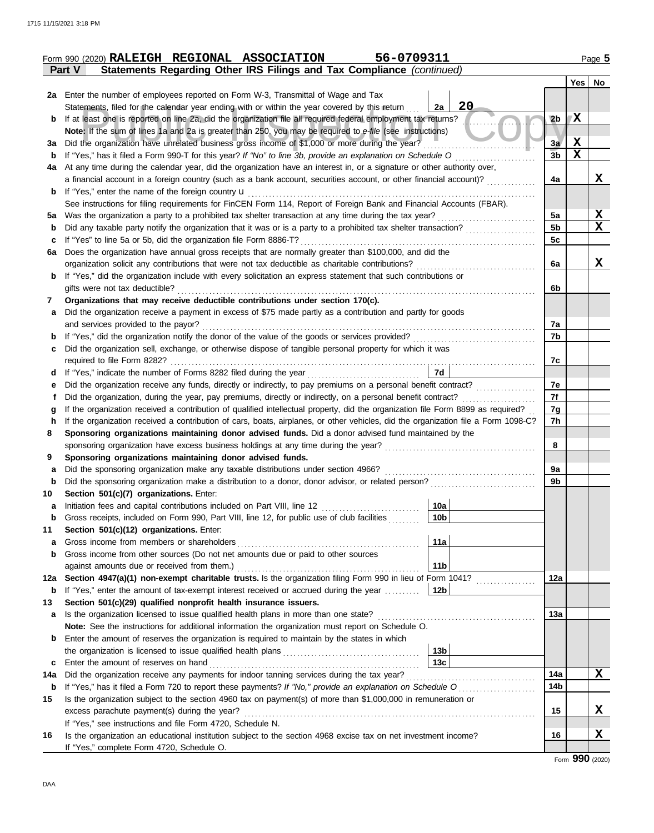|     | 56-0709311<br>Form 990 (2020) RALEIGH REGIONAL ASSOCIATION                                                                         |                 |             | Page 5   |
|-----|------------------------------------------------------------------------------------------------------------------------------------|-----------------|-------------|----------|
|     | Statements Regarding Other IRS Filings and Tax Compliance (continued)<br>Part V                                                    |                 |             |          |
|     |                                                                                                                                    |                 |             | Yes   No |
|     | 2a Enter the number of employees reported on Form W-3, Transmittal of Wage and Tax                                                 |                 |             |          |
|     | 20<br>Statements, filed for the calendar year ending with or within the year covered by this return<br>2a                          |                 |             |          |
| b   | If at least one is reported on line 2a, did the organization file all required federal employment tax returns?                     | 2 <sub>b</sub>  | ΙX          |          |
|     | Note: If the sum of lines 1a and 2a is greater than 250, you may be required to e-file (see instructions)                          |                 |             |          |
| За  | Did the organization have unrelated business gross income of \$1,000 or more during the year?                                      | 3a              | $\mathbf x$ |          |
| b   | If "Yes," has it filed a Form 990-T for this year? If "No" to line 3b, provide an explanation on Schedule O                        | 3 <sub>b</sub>  | $\mathbf x$ |          |
| 4a  | At any time during the calendar year, did the organization have an interest in, or a signature or other authority over,            |                 |             |          |
|     | a financial account in a foreign country (such as a bank account, securities account, or other financial account)?                 | 4a              |             | X        |
| b   | If "Yes," enter the name of the foreign country $\mathbf u$                                                                        |                 |             |          |
|     | See instructions for filing requirements for FinCEN Form 114, Report of Foreign Bank and Financial Accounts (FBAR).                |                 |             |          |
| 5а  | Was the organization a party to a prohibited tax shelter transaction at any time during the tax year?                              | 5a              |             | X        |
| b   | Did any taxable party notify the organization that it was or is a party to a prohibited tax shelter transaction?                   | 5 <sub>b</sub>  |             | X        |
| c   | If "Yes" to line 5a or 5b, did the organization file Form 8886-T?                                                                  | 5c              |             |          |
| 6a  | Does the organization have annual gross receipts that are normally greater than \$100,000, and did the                             |                 |             |          |
|     | organization solicit any contributions that were not tax deductible as charitable contributions?                                   | 6a              |             | X        |
| b   | If "Yes," did the organization include with every solicitation an express statement that such contributions or                     |                 |             |          |
|     | gifts were not tax deductible?                                                                                                     | 6b              |             |          |
| 7   | Organizations that may receive deductible contributions under section 170(c).                                                      |                 |             |          |
| a   | Did the organization receive a payment in excess of \$75 made partly as a contribution and partly for goods                        |                 |             |          |
|     | and services provided to the payor?                                                                                                | 7a              |             |          |
| b   |                                                                                                                                    | 7b              |             |          |
| c   | Did the organization sell, exchange, or otherwise dispose of tangible personal property for which it was                           |                 |             |          |
|     |                                                                                                                                    | 7c              |             |          |
| d   | 7d                                                                                                                                 |                 |             |          |
| е   |                                                                                                                                    | 7е              |             |          |
| f   | Did the organization, during the year, pay premiums, directly or indirectly, on a personal benefit contract?                       | 7f              |             |          |
| g   | If the organization received a contribution of qualified intellectual property, did the organization file Form 8899 as required?   | 7g              |             |          |
| h   | If the organization received a contribution of cars, boats, airplanes, or other vehicles, did the organization file a Form 1098-C? | 7h              |             |          |
| 8   | Sponsoring organizations maintaining donor advised funds. Did a donor advised fund maintained by the                               |                 |             |          |
|     |                                                                                                                                    | 8               |             |          |
| 9   | Sponsoring organizations maintaining donor advised funds.                                                                          |                 |             |          |
| a   | Did the sponsoring organization make any taxable distributions under section 4966?                                                 | 9a              |             |          |
| b   | Did the sponsoring organization make a distribution to a donor, donor advisor, or related person?                                  | 9b              |             |          |
| 10  | Section 501(c)(7) organizations. Enter:                                                                                            |                 |             |          |
|     | 10a  <br>Initiation fees and capital contributions included on Part VIII, line 12                                                  |                 |             |          |
| b   | Gross receipts, included on Form 990, Part VIII, line 12, for public use of club facilities<br>10b                                 |                 |             |          |
| 11  | Section 501(c)(12) organizations. Enter:                                                                                           |                 |             |          |
| a   | Gross income from members or shareholders<br>11a                                                                                   |                 |             |          |
| b   | Gross income from other sources (Do not net amounts due or paid to other sources                                                   |                 |             |          |
|     | against amounts due or received from them.)<br>11 <sub>b</sub>                                                                     |                 |             |          |
| 12a | Section 4947(a)(1) non-exempt charitable trusts. Is the organization filing Form 990 in lieu of Form 1041?                         | 12a             |             |          |
| b   | If "Yes," enter the amount of tax-exempt interest received or accrued during the year<br>12 <sub>b</sub>                           |                 |             |          |
| 13  | Section 501(c)(29) qualified nonprofit health insurance issuers.                                                                   |                 |             |          |
| a   | Is the organization licensed to issue qualified health plans in more than one state?                                               | 13а             |             |          |
|     | Note: See the instructions for additional information the organization must report on Schedule O.                                  |                 |             |          |
| b   | Enter the amount of reserves the organization is required to maintain by the states in which                                       |                 |             |          |
|     | 13 <sub>b</sub>                                                                                                                    |                 |             |          |
| c   | 13 <sub>c</sub><br>Enter the amount of reserves on hand                                                                            |                 |             |          |
| 14a | Did the organization receive any payments for indoor tanning services during the tax year?                                         | 14a             |             | X        |
| b   | If "Yes," has it filed a Form 720 to report these payments? If "No," provide an explanation on Schedule O                          | 14 <sub>b</sub> |             |          |
| 15  | Is the organization subject to the section 4960 tax on payment(s) of more than \$1,000,000 in remuneration or                      |                 |             |          |
|     | excess parachute payment(s) during the year?                                                                                       | 15              |             | X        |
|     | If "Yes," see instructions and file Form 4720, Schedule N.                                                                         |                 |             |          |
| 16  | Is the organization an educational institution subject to the section 4968 excise tax on net investment income?                    | 16              |             | X        |
|     | If "Yes," complete Form 4720, Schedule O.                                                                                          |                 |             |          |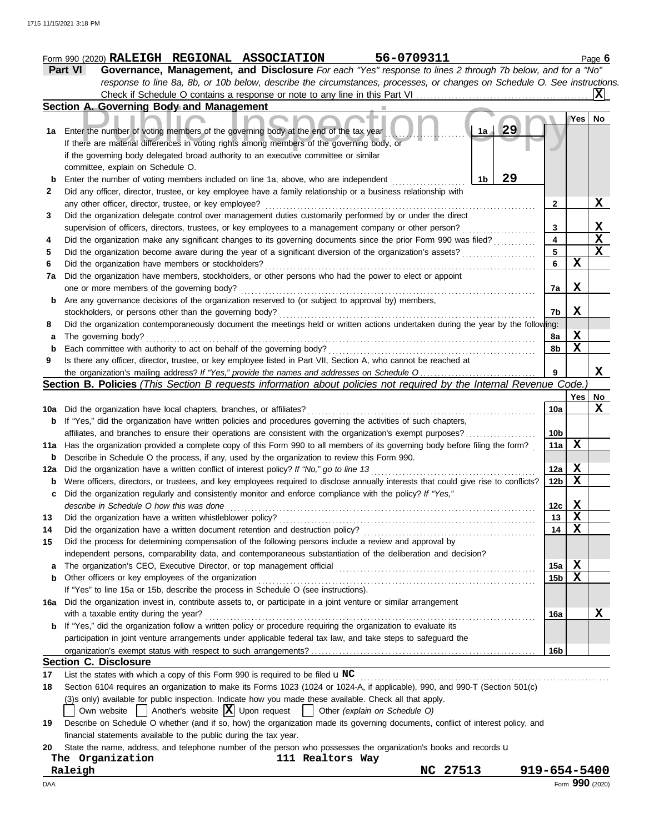|     | 56-0709311<br>Form 990 (2020) RALEIGH REGIONAL ASSOCIATION                                                                          |                 |             | Page $6$                |
|-----|-------------------------------------------------------------------------------------------------------------------------------------|-----------------|-------------|-------------------------|
|     | Governance, Management, and Disclosure For each "Yes" response to lines 2 through 7b below, and for a "No"<br>Part VI               |                 |             |                         |
|     | response to line 8a, 8b, or 10b below, describe the circumstances, processes, or changes on Schedule O. See instructions.           |                 |             |                         |
|     |                                                                                                                                     |                 |             | IXI                     |
|     | Section A. Governing Body and Management                                                                                            |                 |             |                         |
|     | 29<br>1a<br>1a Enter the number of voting members of the governing body at the end of the tax year                                  |                 | Yes   No    |                         |
|     | If there are material differences in voting rights among members of the governing body, or                                          |                 |             |                         |
|     | if the governing body delegated broad authority to an executive committee or similar                                                |                 |             |                         |
|     | committee, explain on Schedule O.                                                                                                   |                 |             |                         |
| b   | 29<br>1b<br>Enter the number of voting members included on line 1a, above, who are independent                                      |                 |             |                         |
| 2   | Did any officer, director, trustee, or key employee have a family relationship or a business relationship with                      |                 |             |                         |
|     | any other officer, director, trustee, or key employee?                                                                              | 2               |             | X                       |
| 3   | Did the organization delegate control over management duties customarily performed by or under the direct                           |                 |             |                         |
|     | supervision of officers, directors, trustees, or key employees to a management company or other person?                             | 3               |             | $\mathbf x$             |
| 4   | Did the organization make any significant changes to its governing documents since the prior Form 990 was filed?                    | 4               |             | $\overline{\mathbf{x}}$ |
| 5   | Did the organization become aware during the year of a significant diversion of the organization's assets?                          | 5               |             | $\mathbf x$             |
| 6   | Did the organization have members or stockholders?                                                                                  | 6               | $\mathbf X$ |                         |
| 7a  | Did the organization have members, stockholders, or other persons who had the power to elect or appoint                             |                 |             |                         |
|     | one or more members of the governing body?                                                                                          | 7a              | $\mathbf X$ |                         |
| b   | Are any governance decisions of the organization reserved to (or subject to approval by) members,                                   |                 |             |                         |
|     | stockholders, or persons other than the governing body?                                                                             | 7b              | X           |                         |
| 8   | Did the organization contemporaneously document the meetings held or written actions undertaken during the year by the following:   |                 |             |                         |
| а   | The governing body?                                                                                                                 | 8а              | X           |                         |
| b   | Each committee with authority to act on behalf of the governing body?                                                               | 8b              | $\mathbf X$ |                         |
| 9   | Is there any officer, director, trustee, or key employee listed in Part VII, Section A, who cannot be reached at                    |                 |             |                         |
|     |                                                                                                                                     | 9               |             | X                       |
|     | Section B. Policies (This Section B requests information about policies not required by the Internal Revenue Code.)                 |                 |             |                         |
|     |                                                                                                                                     |                 | Yes I       | No                      |
|     | 10a Did the organization have local chapters, branches, or affiliates?                                                              | 10a             |             | X                       |
|     | <b>b</b> If "Yes," did the organization have written policies and procedures governing the activities of such chapters,             |                 |             |                         |
|     | affiliates, and branches to ensure their operations are consistent with the organization's exempt purposes?                         | 10 <sub>b</sub> |             |                         |
|     | 11a Has the organization provided a complete copy of this Form 990 to all members of its governing body before filing the form?     | 11a             | X           |                         |
|     | Describe in Schedule O the process, if any, used by the organization to review this Form 990.                                       |                 |             |                         |
| 12a | Did the organization have a written conflict of interest policy? If "No," go to line 13                                             | 12a             | X           |                         |
| b   | Were officers, directors, or trustees, and key employees required to disclose annually interests that could give rise to conflicts? | 12 <sub>b</sub> | X           |                         |
| c   | Did the organization regularly and consistently monitor and enforce compliance with the policy? If "Yes,"                           |                 |             |                         |
|     | describe in Schedule O how this was done                                                                                            | 12 <sub>c</sub> | X           |                         |
| 13  | Did the organization have a written whistleblower policy?                                                                           | 13              | X           |                         |
| 14  | Did the organization have a written document retention and destruction policy?                                                      | 14              | X           |                         |
| 15  | Did the process for determining compensation of the following persons include a review and approval by                              |                 |             |                         |
|     | independent persons, comparability data, and contemporaneous substantiation of the deliberation and decision?                       |                 |             |                         |

|  |  |  | <b>Section C. Disclosure</b> |  |
|--|--|--|------------------------------|--|
|--|--|--|------------------------------|--|

**17** List the states with which a copy of this Form 990 is required to be filed  $\bf u$  NC. And accommutation contains an expansion contained with  $\bf u$ 

organization's exempt status with respect to such arrangements?

If "Yes" to line 15a or 15b, describe the process in Schedule O (see instructions).

with a taxable entity during the year? . . . . . . . . . . . . . . . . . . . . . . . . . . . . . . . . . . . . . . . . . . . . . . . . . . . . . . . . . . . . . . . . . . . . . . . . . . . . . . . . . . . . . . . . . . . . . .

**18** Section 6104 requires an organization to make its Forms 1023 (1024 or 1024-A, if applicable), 990, and 990-T (Section 501(c)

The organization's CEO, Executive Director, or top management official *communical content content content content* Other officers or key employees of the organization . . . . . . . . . . . . . . . . . . . . . . . . . . . . . . . . . . . . . . . . . . . . . . . . . . . . . . . . . . . . . . . . . . . . . . . . . . . . . . .

(3)s only) available for public inspection. Indicate how you made these available. Check all that apply.

**16a** Did the organization invest in, contribute assets to, or participate in a joint venture or similar arrangement

**b** If "Yes," did the organization follow a written policy or procedure requiring the organization to evaluate its

participation in joint venture arrangements under applicable federal tax law, and take steps to safeguard the

Own website  $\Box$  Another's website  $\boxed{\mathbf{X}}$  Upon request  $\Box$  Other *(explain on Schedule O)* 

**19** Describe on Schedule O whether (and if so, how) the organization made its governing documents, conflict of interest policy, and financial statements available to the public during the tax year.

|  | 20 State the name, address, and telephone number of the person who possesses the organization's books and records u |  |  |  |  |  |  |  |  |  |  |  |  |
|--|---------------------------------------------------------------------------------------------------------------------|--|--|--|--|--|--|--|--|--|--|--|--|
|--|---------------------------------------------------------------------------------------------------------------------|--|--|--|--|--|--|--|--|--|--|--|--|

| The Organization | 111 Realtors Way |          |                 |
|------------------|------------------|----------|-----------------|
| Raleigh          |                  | NC 27513 | 919-654-5400    |
| DAA              |                  |          | Form 990 (2020) |

**a b**

**15a 15b** **X X**

**X**

**16a**

**16b**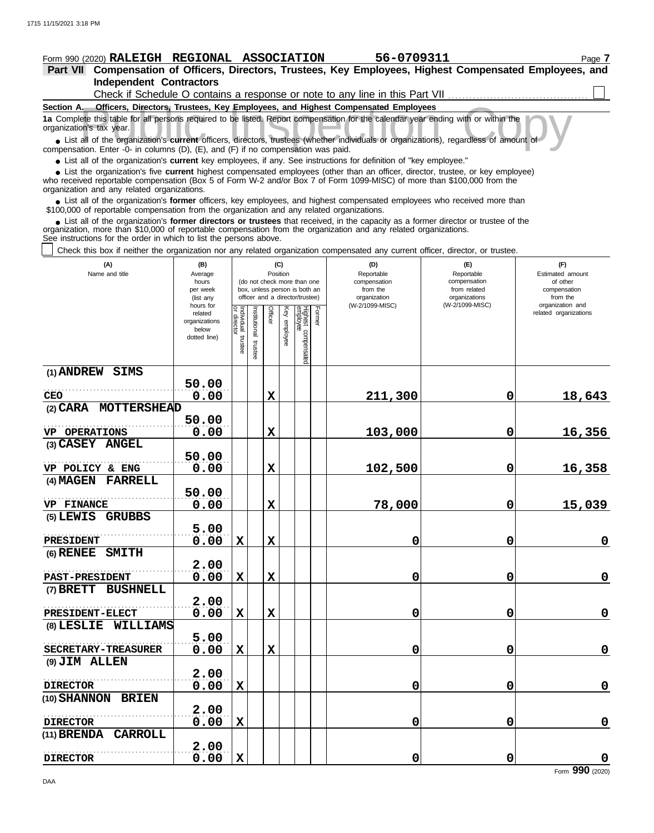# **Form 990 (2020) RALEIGH REGIONAL ASSOCIATION 56-0709311** Page 7

### **Independent Contractors Part VII Compensation of Officers, Directors, Trustees, Key Employees, Highest Compensated Employees, and** Check if Schedule O contains a response or note to any line in this Part VII ......

| Section A. Officers, Directors, Trustees, Key Employees, and Highest Compensated Employees                                                                                                                                       |                          |                             |               |             |              |                       |        |         |   |                       |  |  |  |
|----------------------------------------------------------------------------------------------------------------------------------------------------------------------------------------------------------------------------------|--------------------------|-----------------------------|---------------|-------------|--------------|-----------------------|--------|---------|---|-----------------------|--|--|--|
| 1a Complete this table for all persons required to be listed. Report compensation for the calendar year ending with or within the<br>organization's tax year.                                                                    |                          |                             |               |             |              |                       |        |         |   |                       |  |  |  |
| • List all of the organization's current officers, directors, trustees (whether individuals or organizations), regardless of amount of<br>compensation. Enter -0- in columns (D), (E), and (F) if no compensation was paid.      |                          |                             |               |             |              |                       |        |         |   |                       |  |  |  |
| • List all of the organization's current key employees, if any. See instructions for definition of "key employee."                                                                                                               |                          |                             |               |             |              |                       |        |         |   |                       |  |  |  |
| • List the organization's five current highest compensated employees (other than an officer, director, trustee, or key employee)                                                                                                 |                          |                             |               |             |              |                       |        |         |   |                       |  |  |  |
| who received reportable compensation (Box 5 of Form W-2 and/or Box 7 of Form 1099-MISC) of more than \$100,000 from the<br>organization and any related organizations.                                                           |                          |                             |               |             |              |                       |        |         |   |                       |  |  |  |
| List all of the organization's former officers, key employees, and highest compensated employees who received more than                                                                                                          |                          |                             |               |             |              |                       |        |         |   |                       |  |  |  |
| \$100,000 of reportable compensation from the organization and any related organizations.<br>• List all of the organization's former directors or trustees that received, in the capacity as a former director or trustee of the |                          |                             |               |             |              |                       |        |         |   |                       |  |  |  |
| organization, more than \$10,000 of reportable compensation from the organization and any related organizations.                                                                                                                 |                          |                             |               |             |              |                       |        |         |   |                       |  |  |  |
| See instructions for the order in which to list the persons above.<br>Check this box if neither the organization nor any related organization compensated any current officer, director, or trustee.                             |                          |                             |               |             |              |                       |        |         |   |                       |  |  |  |
| (C)<br>(D)<br>(F)<br>(A)<br>(B)<br>(E)                                                                                                                                                                                           |                          |                             |               |             |              |                       |        |         |   |                       |  |  |  |
| Position<br>Name and title<br>Reportable<br>Reportable<br>Estimated amount<br>Average                                                                                                                                            |                          |                             |               |             |              |                       |        |         |   |                       |  |  |  |
| compensation<br>(do not check more than one<br>compensation<br>of other<br>hours<br>box, unless person is both an<br>from the<br>from related<br>per week<br>compensation                                                        |                          |                             |               |             |              |                       |        |         |   |                       |  |  |  |
| officer and a director/trustee)<br>organizations<br>organization<br>from the<br>(list any<br>(W-2/1099-MISC)<br>(W-2/1099-MISC)<br>organization and<br>hours for                                                                 |                          |                             |               |             |              |                       |        |         |   |                       |  |  |  |
|                                                                                                                                                                                                                                  | related<br>organizations | Individual 1<br>or director | Institutional | Officer     | Key employee | Highest c<br>employee | Former |         |   | related organizations |  |  |  |
|                                                                                                                                                                                                                                  | below                    |                             |               |             |              |                       |        |         |   |                       |  |  |  |
|                                                                                                                                                                                                                                  | dotted line)             | trustee                     |               |             |              |                       |        |         |   |                       |  |  |  |
|                                                                                                                                                                                                                                  |                          |                             | trustee       |             |              | compensated           |        |         |   |                       |  |  |  |
| (1) ANDREW SIMS                                                                                                                                                                                                                  |                          |                             |               |             |              |                       |        |         |   |                       |  |  |  |
|                                                                                                                                                                                                                                  | 50.00                    |                             |               |             |              |                       |        |         |   |                       |  |  |  |
| 0.00<br>X<br>0<br>18,643<br>211,300<br><b>CEO</b><br>(2) CARA MOTTERSHEAD                                                                                                                                                        |                          |                             |               |             |              |                       |        |         |   |                       |  |  |  |
| 50.00                                                                                                                                                                                                                            |                          |                             |               |             |              |                       |        |         |   |                       |  |  |  |
| 103,000<br>0<br>16,356<br>0.00<br>X<br>VP OPERATIONS                                                                                                                                                                             |                          |                             |               |             |              |                       |        |         |   |                       |  |  |  |
| (3) CASEY ANGEL                                                                                                                                                                                                                  |                          |                             |               |             |              |                       |        |         |   |                       |  |  |  |
|                                                                                                                                                                                                                                  | 50.00                    |                             |               |             |              |                       |        |         |   |                       |  |  |  |
| VP POLICY & ENG<br>(4) MAGEN<br><b>FARRELL</b>                                                                                                                                                                                   | 0.00                     |                             |               | X           |              |                       |        | 102,500 | 0 | 16,358                |  |  |  |
|                                                                                                                                                                                                                                  | 50.00                    |                             |               |             |              |                       |        |         |   |                       |  |  |  |
| VP FINANCE                                                                                                                                                                                                                       | 0.00                     |                             |               | X           |              |                       |        | 78,000  | 0 | 15,039                |  |  |  |
| $(5)$ LEWIS<br><b>GRUBBS</b>                                                                                                                                                                                                     |                          |                             |               |             |              |                       |        |         |   |                       |  |  |  |
|                                                                                                                                                                                                                                  | 5.00                     |                             |               |             |              |                       |        |         |   |                       |  |  |  |
| <b>PRESIDENT</b>                                                                                                                                                                                                                 | 0.00                     | $\mathbf x$                 |               | X           |              |                       |        | 0       | 0 | 0                     |  |  |  |
| $(6)$ RENEE<br><b>SMITH</b>                                                                                                                                                                                                      |                          |                             |               |             |              |                       |        |         |   |                       |  |  |  |
| <b>PAST-PRESIDENT</b>                                                                                                                                                                                                            | 2.00<br>0.00             | $\mathbf X$                 |               | $\mathbf x$ |              |                       |        | 0       | 0 | $\mathbf 0$           |  |  |  |
| (7) BRETT BUSHNELL                                                                                                                                                                                                               |                          |                             |               |             |              |                       |        |         |   |                       |  |  |  |
|                                                                                                                                                                                                                                  | 2.00                     |                             |               |             |              |                       |        |         |   |                       |  |  |  |
| PRESIDENT-ELECT                                                                                                                                                                                                                  | 0.00                     | $\mathbf X$                 |               | $\mathbf x$ |              |                       |        | 0       | 0 | $\mathbf 0$           |  |  |  |
| (8) LESLIE WILLIAMS                                                                                                                                                                                                              |                          |                             |               |             |              |                       |        |         |   |                       |  |  |  |
|                                                                                                                                                                                                                                  | 5.00                     |                             |               |             |              |                       |        |         |   |                       |  |  |  |
| SECRETARY-TREASURER                                                                                                                                                                                                              | 0.00                     | $\mathbf X$                 |               | $\mathbf x$ |              |                       |        | 0       | 0 | $\mathbf 0$           |  |  |  |
| (9) JIM ALLEN                                                                                                                                                                                                                    | 2.00                     |                             |               |             |              |                       |        |         |   |                       |  |  |  |
| <b>DIRECTOR</b>                                                                                                                                                                                                                  | 0.00                     | $\mathbf x$                 |               |             |              |                       |        | 0       | 0 | $\mathbf 0$           |  |  |  |
| (10) SHANNON BRIEN                                                                                                                                                                                                               |                          |                             |               |             |              |                       |        |         |   |                       |  |  |  |
|                                                                                                                                                                                                                                  | 2.00                     |                             |               |             |              |                       |        |         |   |                       |  |  |  |
| <b>DIRECTOR</b>                                                                                                                                                                                                                  | 0.00                     | X                           |               |             |              |                       |        | 0       | 0 | $\mathbf 0$           |  |  |  |
| (11) BRENDA CARROLL                                                                                                                                                                                                              |                          |                             |               |             |              |                       |        |         |   |                       |  |  |  |

**0.00 X 0 0 0**

**DIRECTOR**

. . . . . . . . . . . . . . . . . . . . . . . . . . . . . . . . . . . . . . . . . . . . . . . . . . . . . **2.00**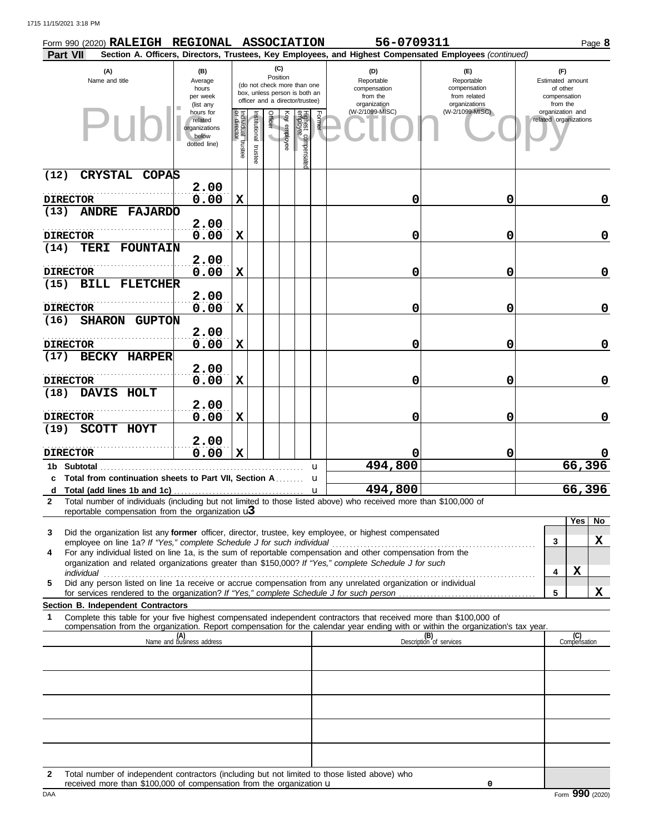|                 | Form 990 (2020) RALEIGH REGIONAL ASSOCIATION                                                                                                                                                                                                                                                                                                    |                                                                |                                   |                          |                 |              |                                                                                                 | 56-0709311                                                    |                                                                                                        |                                                                 |                     | Page 8   |
|-----------------|-------------------------------------------------------------------------------------------------------------------------------------------------------------------------------------------------------------------------------------------------------------------------------------------------------------------------------------------------|----------------------------------------------------------------|-----------------------------------|--------------------------|-----------------|--------------|-------------------------------------------------------------------------------------------------|---------------------------------------------------------------|--------------------------------------------------------------------------------------------------------|-----------------------------------------------------------------|---------------------|----------|
| <b>Part VII</b> |                                                                                                                                                                                                                                                                                                                                                 |                                                                |                                   |                          |                 |              |                                                                                                 |                                                               | Section A. Officers, Directors, Trustees, Key Employees, and Highest Compensated Employees (continued) |                                                                 |                     |          |
|                 | (A)<br>Name and title                                                                                                                                                                                                                                                                                                                           | (B)<br>Average<br>hours<br>per week<br>(list any               |                                   |                          | (C)<br>Position |              | (do not check more than one<br>box, unless person is both an<br>officer and a director/trustee) | (D)<br>Reportable<br>compensation<br>from the<br>organization | (E)<br>Reportable<br>compensation<br>from related<br>organizations                                     | (F)<br>Estimated amount<br>of other<br>compensation<br>from the |                     |          |
|                 |                                                                                                                                                                                                                                                                                                                                                 | hours for<br>related<br>organizations<br>below<br>dotted line) | Individual trustee<br>or director | Institutional<br>trustee | Officer         | Key employee | Former<br>Highest compensate<br>employee                                                        | (W-2/1099-MISC)                                               | (W-2/1099-MISC)                                                                                        | organization and<br>related organizations                       |                     |          |
| (12)            | <b>CRYSTAL</b><br><b>COPAS</b>                                                                                                                                                                                                                                                                                                                  |                                                                |                                   |                          |                 |              |                                                                                                 |                                                               |                                                                                                        |                                                                 |                     |          |
|                 | <b>DIRECTOR</b>                                                                                                                                                                                                                                                                                                                                 | 2.00<br>0.00                                                   | $\mathbf x$                       |                          |                 |              |                                                                                                 | 0                                                             | 0                                                                                                      |                                                                 |                     | 0        |
| (13)            | <b>ANDRE FAJARDO</b>                                                                                                                                                                                                                                                                                                                            |                                                                |                                   |                          |                 |              |                                                                                                 |                                                               |                                                                                                        |                                                                 |                     |          |
|                 |                                                                                                                                                                                                                                                                                                                                                 | 2.00                                                           |                                   |                          |                 |              |                                                                                                 |                                                               |                                                                                                        |                                                                 |                     |          |
|                 | <b>DIRECTOR</b><br>FOUNTAIN                                                                                                                                                                                                                                                                                                                     | 0.00                                                           | $\mathbf X$                       |                          |                 |              |                                                                                                 | 0                                                             | 0                                                                                                      |                                                                 |                     | 0        |
| (14)            | TERI                                                                                                                                                                                                                                                                                                                                            | 2.00                                                           |                                   |                          |                 |              |                                                                                                 |                                                               |                                                                                                        |                                                                 |                     |          |
|                 | <b>DIRECTOR</b>                                                                                                                                                                                                                                                                                                                                 | 0.00                                                           | $\mathbf x$                       |                          |                 |              |                                                                                                 | 0                                                             | 0                                                                                                      |                                                                 |                     | 0        |
| (15)            | <b>FLETCHER</b><br><b>BILL</b>                                                                                                                                                                                                                                                                                                                  |                                                                |                                   |                          |                 |              |                                                                                                 |                                                               |                                                                                                        |                                                                 |                     |          |
|                 |                                                                                                                                                                                                                                                                                                                                                 | 2.00                                                           |                                   |                          |                 |              |                                                                                                 |                                                               |                                                                                                        |                                                                 |                     |          |
| (16)            | <b>DIRECTOR</b><br><b>SHARON</b><br><b>GUPTON</b>                                                                                                                                                                                                                                                                                               | 0.00                                                           | $\mathbf x$                       |                          |                 |              |                                                                                                 | 0                                                             | 0                                                                                                      |                                                                 |                     | 0        |
|                 |                                                                                                                                                                                                                                                                                                                                                 | 2.00                                                           |                                   |                          |                 |              |                                                                                                 |                                                               |                                                                                                        |                                                                 |                     |          |
|                 | <b>DIRECTOR</b>                                                                                                                                                                                                                                                                                                                                 | 0.00                                                           | $\mathbf X$                       |                          |                 |              |                                                                                                 | 0                                                             | 0                                                                                                      |                                                                 |                     | 0        |
| (17)            | <b>BECKY HARPER</b>                                                                                                                                                                                                                                                                                                                             |                                                                |                                   |                          |                 |              |                                                                                                 |                                                               |                                                                                                        |                                                                 |                     |          |
|                 | <b>DIRECTOR</b>                                                                                                                                                                                                                                                                                                                                 | 2.00                                                           |                                   |                          |                 |              |                                                                                                 |                                                               |                                                                                                        |                                                                 |                     | 0        |
| (18)            | DAVIS HOLT                                                                                                                                                                                                                                                                                                                                      | 0.00                                                           | $\mathbf x$                       |                          |                 |              |                                                                                                 | 0                                                             | 0                                                                                                      |                                                                 |                     |          |
|                 |                                                                                                                                                                                                                                                                                                                                                 | 2.00                                                           |                                   |                          |                 |              |                                                                                                 |                                                               |                                                                                                        |                                                                 |                     |          |
|                 | <b>DIRECTOR</b>                                                                                                                                                                                                                                                                                                                                 | 0.00                                                           | $\mathbf X$                       |                          |                 |              |                                                                                                 | 0                                                             | 0                                                                                                      |                                                                 |                     | 0        |
| (19)            | SCOTT HOYT                                                                                                                                                                                                                                                                                                                                      |                                                                |                                   |                          |                 |              |                                                                                                 |                                                               |                                                                                                        |                                                                 |                     |          |
|                 | <b>DIRECTOR</b>                                                                                                                                                                                                                                                                                                                                 | 2.00<br>0.00                                                   | $\mathbf x$                       |                          |                 |              |                                                                                                 |                                                               | 0                                                                                                      |                                                                 |                     |          |
|                 | 1b Subtotal                                                                                                                                                                                                                                                                                                                                     |                                                                |                                   |                          |                 |              | u                                                                                               | 494,800                                                       |                                                                                                        |                                                                 |                     | 66,396   |
|                 | c Total from continuation sheets to Part VII, Section A                                                                                                                                                                                                                                                                                         |                                                                |                                   |                          |                 |              | u                                                                                               |                                                               |                                                                                                        |                                                                 |                     |          |
|                 | d Total (add lines 1b and 1c) $\ldots$ $\ldots$ $\ldots$ $\ldots$ $\ldots$ $\ldots$ $\ldots$ $\ldots$ $\ldots$ $\ldots$ $\ldots$ 494,800                                                                                                                                                                                                        |                                                                |                                   |                          |                 |              |                                                                                                 |                                                               |                                                                                                        |                                                                 | 66,396              |          |
| $\mathbf{2}$    | Total number of individuals (including but not limited to those listed above) who received more than \$100,000 of<br>reportable compensation from the organization $\mathbf{u}$                                                                                                                                                                 |                                                                |                                   |                          |                 |              |                                                                                                 |                                                               |                                                                                                        |                                                                 |                     |          |
|                 |                                                                                                                                                                                                                                                                                                                                                 |                                                                |                                   |                          |                 |              |                                                                                                 |                                                               |                                                                                                        |                                                                 |                     | Yes   No |
| 3               | Did the organization list any former officer, director, trustee, key employee, or highest compensated                                                                                                                                                                                                                                           |                                                                |                                   |                          |                 |              |                                                                                                 |                                                               |                                                                                                        | 3                                                               |                     | X        |
| 4               | For any individual listed on line 1a, is the sum of reportable compensation and other compensation from the                                                                                                                                                                                                                                     |                                                                |                                   |                          |                 |              |                                                                                                 |                                                               |                                                                                                        |                                                                 |                     |          |
|                 | organization and related organizations greater than \$150,000? If "Yes," complete Schedule J for such                                                                                                                                                                                                                                           |                                                                |                                   |                          |                 |              |                                                                                                 |                                                               |                                                                                                        | 4                                                               | $\mathbf x$         |          |
| 5               | individual with the contract of the contract of the contract of the contract of the contract of the contract of the contract of the contract of the contract of the contract of the contract of the contract of the contract o<br>Did any person listed on line 1a receive or accrue compensation from any unrelated organization or individual |                                                                |                                   |                          |                 |              |                                                                                                 |                                                               |                                                                                                        |                                                                 |                     |          |
|                 |                                                                                                                                                                                                                                                                                                                                                 |                                                                |                                   |                          |                 |              |                                                                                                 |                                                               |                                                                                                        | 5                                                               |                     | X        |
| 1               | Section B. Independent Contractors<br>Complete this table for your five highest compensated independent contractors that received more than \$100,000 of                                                                                                                                                                                        |                                                                |                                   |                          |                 |              |                                                                                                 |                                                               |                                                                                                        |                                                                 |                     |          |
|                 | compensation from the organization. Report compensation for the calendar year ending with or within the organization's tax year.                                                                                                                                                                                                                |                                                                |                                   |                          |                 |              |                                                                                                 |                                                               |                                                                                                        |                                                                 |                     |          |
|                 |                                                                                                                                                                                                                                                                                                                                                 | (A)<br>Name and business address                               |                                   |                          |                 |              |                                                                                                 |                                                               | (B)<br>Description of services                                                                         |                                                                 | (C)<br>Compensation |          |
|                 |                                                                                                                                                                                                                                                                                                                                                 |                                                                |                                   |                          |                 |              |                                                                                                 |                                                               |                                                                                                        |                                                                 |                     |          |
|                 |                                                                                                                                                                                                                                                                                                                                                 |                                                                |                                   |                          |                 |              |                                                                                                 |                                                               |                                                                                                        |                                                                 |                     |          |
|                 |                                                                                                                                                                                                                                                                                                                                                 |                                                                |                                   |                          |                 |              |                                                                                                 |                                                               |                                                                                                        |                                                                 |                     |          |
|                 |                                                                                                                                                                                                                                                                                                                                                 |                                                                |                                   |                          |                 |              |                                                                                                 |                                                               |                                                                                                        |                                                                 |                     |          |
|                 |                                                                                                                                                                                                                                                                                                                                                 |                                                                |                                   |                          |                 |              |                                                                                                 |                                                               |                                                                                                        |                                                                 |                     |          |
|                 |                                                                                                                                                                                                                                                                                                                                                 |                                                                |                                   |                          |                 |              |                                                                                                 |                                                               |                                                                                                        |                                                                 |                     |          |
|                 |                                                                                                                                                                                                                                                                                                                                                 |                                                                |                                   |                          |                 |              |                                                                                                 |                                                               |                                                                                                        |                                                                 |                     |          |
|                 |                                                                                                                                                                                                                                                                                                                                                 |                                                                |                                   |                          |                 |              |                                                                                                 |                                                               |                                                                                                        |                                                                 |                     |          |

| Total number of independent contractors (including but not limited to those listed above) who |
|-----------------------------------------------------------------------------------------------|
| received more than \$100,000 of compensation from the organization $\mathbf u$                |

**0**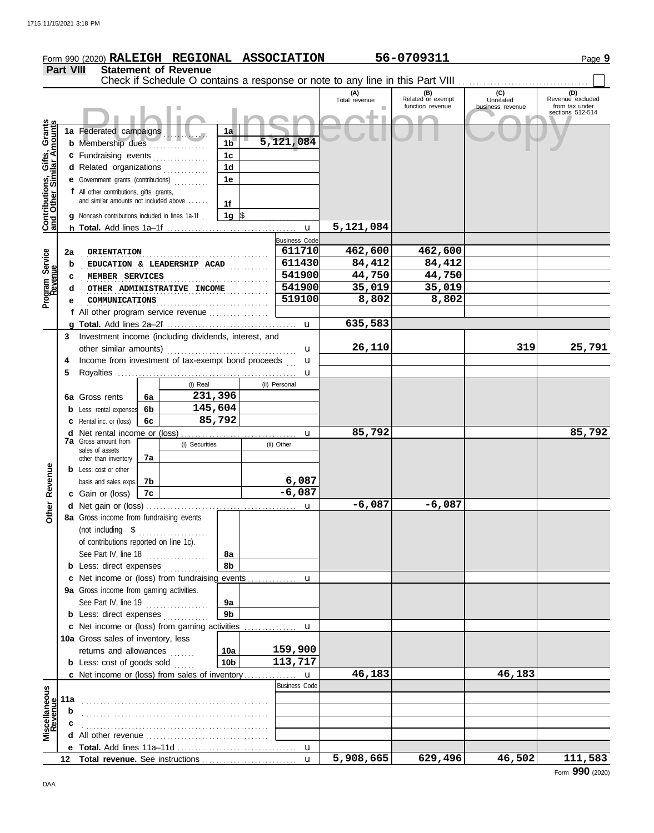|                                                                  |                  | Form 990 (2020) RALEIGH REGIONAL ASSOCIATION                                            |          |                             |                      |  |                      |                      | 56-0709311                                                                    |                  | Page 9                             |
|------------------------------------------------------------------|------------------|-----------------------------------------------------------------------------------------|----------|-----------------------------|----------------------|--|----------------------|----------------------|-------------------------------------------------------------------------------|------------------|------------------------------------|
|                                                                  | <b>Part VIII</b> |                                                                                         |          | <b>Statement of Revenue</b> |                      |  |                      |                      |                                                                               |                  |                                    |
|                                                                  |                  |                                                                                         |          |                             |                      |  |                      |                      | Check if Schedule O contains a response or note to any line in this Part VIII |                  |                                    |
|                                                                  |                  |                                                                                         |          |                             |                      |  |                      | (A)<br>Total revenue | (B)<br>Related or exempt                                                      | (C)<br>Unrelated | (D)<br>Revenue excluded            |
|                                                                  |                  |                                                                                         |          |                             |                      |  |                      |                      | function revenue                                                              | business revenue | from tax under<br>sections 512-514 |
|                                                                  |                  |                                                                                         |          |                             |                      |  |                      |                      |                                                                               |                  |                                    |
|                                                                  |                  | 1a Federated campaigns                                                                  |          |                             | 1a                   |  |                      |                      |                                                                               |                  |                                    |
|                                                                  |                  | <b>b</b> Membership dues<br>1 <sub>b</sub><br>c Fundraising events                      |          |                             | 5,121,084            |  |                      |                      |                                                                               |                  |                                    |
| <b>Contributions, Gifts, Grants</b><br>and Other Similar Amounts |                  |                                                                                         |          |                             | 1c<br>1 <sub>d</sub> |  |                      |                      |                                                                               |                  |                                    |
|                                                                  |                  | d Related organizations                                                                 |          |                             | 1е                   |  |                      |                      |                                                                               |                  |                                    |
|                                                                  |                  | <b>e</b> Government grants (contributions)<br>f All other contributions, gifts, grants, |          |                             |                      |  |                      |                      |                                                                               |                  |                                    |
|                                                                  |                  | and similar amounts not included above                                                  |          |                             | 1f                   |  |                      |                      |                                                                               |                  |                                    |
|                                                                  |                  | g Noncash contributions included in lines 1a-1f.                                        |          |                             | 1g $\vert$ \$        |  |                      |                      |                                                                               |                  |                                    |
|                                                                  |                  |                                                                                         |          |                             |                      |  |                      | 5,121,084            |                                                                               |                  |                                    |
|                                                                  |                  |                                                                                         |          |                             |                      |  | <b>Business Code</b> |                      |                                                                               |                  |                                    |
|                                                                  | 2a               | ORIENTATION                                                                             |          |                             |                      |  | 611710               | 462,600              | 462,600                                                                       |                  |                                    |
|                                                                  | b                |                                                                                         |          | EDUCATION & LEADERSHIP ACAD |                      |  | 611430               | 84,412               | 84,412                                                                        |                  |                                    |
|                                                                  | c                | MEMBER SERVICES                                                                         |          |                             |                      |  | 541900               | 44,750               | 44,750                                                                        |                  |                                    |
|                                                                  | d                |                                                                                         |          | OTHER ADMINISTRATIVE INCOME |                      |  | 541900               | 35,019               | 35,019                                                                        |                  |                                    |
| Program Service<br>Revenue                                       |                  | COMMUNICATIONS                                                                          |          |                             |                      |  | 519100               | 8,802                | 8,802                                                                         |                  |                                    |
|                                                                  |                  | f All other program service revenue                                                     |          |                             |                      |  |                      |                      |                                                                               |                  |                                    |
|                                                                  |                  |                                                                                         |          |                             |                      |  |                      | 635,583              |                                                                               |                  |                                    |
|                                                                  | 3                | Investment income (including dividends, interest, and                                   |          |                             |                      |  |                      |                      |                                                                               |                  |                                    |
|                                                                  |                  | other similar amounts)                                                                  |          |                             |                      |  | u                    | 26,110               |                                                                               | 319              | 25,791                             |
|                                                                  | 4                | Income from investment of tax-exempt bond proceeds                                      |          |                             |                      |  | u                    |                      |                                                                               |                  |                                    |
|                                                                  | 5                |                                                                                         |          |                             |                      |  | u                    |                      |                                                                               |                  |                                    |
|                                                                  |                  |                                                                                         |          | (i) Real                    |                      |  | (ii) Personal        |                      |                                                                               |                  |                                    |
|                                                                  |                  | 6a Gross rents                                                                          | 6a       | 231,396                     |                      |  |                      |                      |                                                                               |                  |                                    |
|                                                                  |                  | <b>b</b> Less: rental expenses                                                          | 6b       | 145,604                     |                      |  |                      |                      |                                                                               |                  |                                    |
|                                                                  |                  | <b>c</b> Rental inc. or (loss)                                                          | 6c       | 85,792                      |                      |  |                      |                      |                                                                               |                  |                                    |
|                                                                  |                  | <b>7a</b> Gross amount from                                                             |          |                             |                      |  | u                    | 85,792               |                                                                               |                  | 85,792                             |
|                                                                  |                  | sales of assets                                                                         |          | (i) Securities              |                      |  | (ii) Other           |                      |                                                                               |                  |                                    |
|                                                                  |                  | other than inventory                                                                    | 7a       |                             |                      |  |                      |                      |                                                                               |                  |                                    |
|                                                                  |                  | <b>b</b> Less: cost or other                                                            |          |                             |                      |  | 6,087                |                      |                                                                               |                  |                                    |
| Revenue                                                          |                  | basis and sales exps.<br>c Gain or (loss)                                               | 7b<br>7c |                             |                      |  | $-6,087$             |                      |                                                                               |                  |                                    |
|                                                                  |                  |                                                                                         |          |                             |                      |  |                      | $-6,087$             | $-6,087$                                                                      |                  |                                    |
| Other                                                            |                  | 8a Gross income from fundraising events                                                 |          |                             |                      |  |                      |                      |                                                                               |                  |                                    |
|                                                                  |                  |                                                                                         |          |                             |                      |  |                      |                      |                                                                               |                  |                                    |
|                                                                  |                  | of contributions reported on line 1c).                                                  |          |                             |                      |  |                      |                      |                                                                               |                  |                                    |
|                                                                  |                  | See Part IV, line 18 $\ldots$                                                           |          |                             | 8a                   |  |                      |                      |                                                                               |                  |                                    |
|                                                                  |                  | <b>b</b> Less: direct expenses                                                          |          |                             | 8b                   |  |                      |                      |                                                                               |                  |                                    |
|                                                                  |                  |                                                                                         |          |                             |                      |  |                      |                      |                                                                               |                  |                                    |
|                                                                  |                  | 9a Gross income from gaming activities.                                                 |          |                             |                      |  |                      |                      |                                                                               |                  |                                    |
|                                                                  |                  | See Part IV, line 19 $\ldots$                                                           |          |                             | 9a                   |  |                      |                      |                                                                               |                  |                                    |
|                                                                  |                  | <b>b</b> Less: direct expenses <i>minimum</i>                                           |          |                             | 9 <sub>b</sub>       |  |                      |                      |                                                                               |                  |                                    |
|                                                                  |                  | c Net income or (loss) from gaming activities                                           |          |                             |                      |  | u                    |                      |                                                                               |                  |                                    |
|                                                                  |                  | 10a Gross sales of inventory, less                                                      |          |                             |                      |  |                      |                      |                                                                               |                  |                                    |
|                                                                  |                  | returns and allowances                                                                  |          |                             | 10a                  |  | 159,900              |                      |                                                                               |                  |                                    |
|                                                                  |                  | <b>b</b> Less: $cost$ of goods sold $\ldots$                                            |          |                             | 10 <sub>b</sub>      |  | 113,717              |                      |                                                                               |                  |                                    |
|                                                                  |                  | c Net income or (loss) from sales of inventory                                          |          |                             |                      |  | u                    | 46,183               |                                                                               | 46,183           |                                    |
|                                                                  |                  |                                                                                         |          |                             |                      |  | <b>Business Code</b> |                      |                                                                               |                  |                                    |
|                                                                  | 11a              |                                                                                         |          |                             |                      |  |                      |                      |                                                                               |                  |                                    |
| Miscellaneous<br>Revenue                                         | b                |                                                                                         |          |                             |                      |  |                      |                      |                                                                               |                  |                                    |
|                                                                  | c                |                                                                                         |          |                             |                      |  |                      |                      |                                                                               |                  |                                    |
|                                                                  |                  |                                                                                         |          |                             |                      |  |                      |                      |                                                                               |                  |                                    |
|                                                                  |                  |                                                                                         |          |                             |                      |  | $\mathbf{u}$         | 5,908,665            | 629,496                                                                       | 46,502           | 111,583                            |
|                                                                  |                  |                                                                                         |          |                             |                      |  |                      |                      |                                                                               |                  |                                    |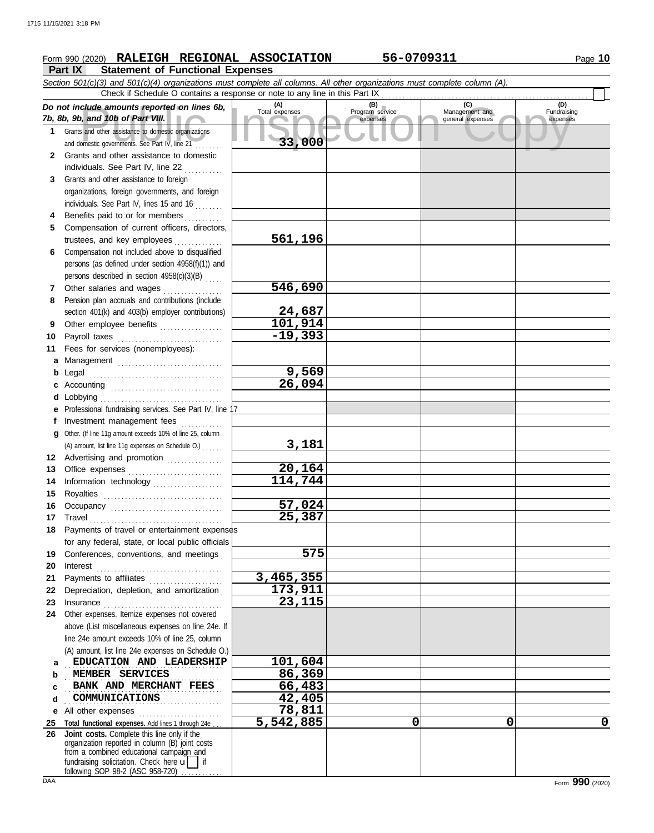## **Form 990 (2020) RALEIGH REGIONAL ASSOCIATION 56-0709311** Page 10

**Part IX Statement of Functional Expenses**

|              | Section 501(c)(3) and 501(c)(4) organizations must complete all columns. All other organizations must complete column (A).<br>Check if Schedule O contains a response or note to any line in this Part IX                                |                       |                                    |                                           |                                |  |  |  |  |  |
|--------------|------------------------------------------------------------------------------------------------------------------------------------------------------------------------------------------------------------------------------------------|-----------------------|------------------------------------|-------------------------------------------|--------------------------------|--|--|--|--|--|
|              | Do not include amounts reported on lines 6b,<br>7b, 8b, 9b, and 10b of Part VIII.                                                                                                                                                        | (A)<br>Total expenses | (B)<br>Program service<br>expenses | (C)<br>Management and<br>general expenses | (D)<br>Fundraising<br>expenses |  |  |  |  |  |
| 1.           | Grants and other assistance to domestic organizations<br>and domestic governments. See Part IV, line 21                                                                                                                                  | 33,000                |                                    |                                           |                                |  |  |  |  |  |
| $\mathbf{2}$ | Grants and other assistance to domestic<br>individuals. See Part IV, line 22                                                                                                                                                             |                       |                                    |                                           |                                |  |  |  |  |  |
| 3            | Grants and other assistance to foreign<br>organizations, foreign governments, and foreign                                                                                                                                                |                       |                                    |                                           |                                |  |  |  |  |  |
|              | individuals. See Part IV, lines 15 and 16                                                                                                                                                                                                |                       |                                    |                                           |                                |  |  |  |  |  |
| 5.           | Benefits paid to or for members<br>Compensation of current officers, directors,                                                                                                                                                          |                       |                                    |                                           |                                |  |  |  |  |  |
|              |                                                                                                                                                                                                                                          | 561,196               |                                    |                                           |                                |  |  |  |  |  |
| 6            | Compensation not included above to disqualified<br>persons (as defined under section 4958(f)(1)) and                                                                                                                                     |                       |                                    |                                           |                                |  |  |  |  |  |
|              | persons described in section 4958(c)(3)(B)                                                                                                                                                                                               |                       |                                    |                                           |                                |  |  |  |  |  |
| 7            | Other salaries and wages                                                                                                                                                                                                                 | 546,690               |                                    |                                           |                                |  |  |  |  |  |
| 8            | Pension plan accruals and contributions (include                                                                                                                                                                                         | 24,687                |                                    |                                           |                                |  |  |  |  |  |
| 9            | section 401(k) and 403(b) employer contributions)<br>Other employee benefits                                                                                                                                                             | 101,914               |                                    |                                           |                                |  |  |  |  |  |
| 10           |                                                                                                                                                                                                                                          | $-19,393$             |                                    |                                           |                                |  |  |  |  |  |
| 11           | Fees for services (nonemployees):                                                                                                                                                                                                        |                       |                                    |                                           |                                |  |  |  |  |  |
| a            | Management                                                                                                                                                                                                                               |                       |                                    |                                           |                                |  |  |  |  |  |
| b            |                                                                                                                                                                                                                                          | 9,569<br>26,094       |                                    |                                           |                                |  |  |  |  |  |
| c            |                                                                                                                                                                                                                                          |                       |                                    |                                           |                                |  |  |  |  |  |
| е            | Professional fundraising services. See Part IV, line 17                                                                                                                                                                                  |                       |                                    |                                           |                                |  |  |  |  |  |
|              | Investment management fees                                                                                                                                                                                                               |                       |                                    |                                           |                                |  |  |  |  |  |
| a            | Other. (If line 11g amount exceeds 10% of line 25, column                                                                                                                                                                                |                       |                                    |                                           |                                |  |  |  |  |  |
|              | (A) amount, list line 11g expenses on Schedule O.)                                                                                                                                                                                       | 3,181                 |                                    |                                           |                                |  |  |  |  |  |
| 12<br>13     | Advertising and promotion [1] [1] [1] Advertising and promotion                                                                                                                                                                          | 20,164                |                                    |                                           |                                |  |  |  |  |  |
| 14           | Information technology                                                                                                                                                                                                                   | 114,744               |                                    |                                           |                                |  |  |  |  |  |
| 15           |                                                                                                                                                                                                                                          |                       |                                    |                                           |                                |  |  |  |  |  |
| 16           |                                                                                                                                                                                                                                          | 57,024                |                                    |                                           |                                |  |  |  |  |  |
|              |                                                                                                                                                                                                                                          | 25,387                |                                    |                                           |                                |  |  |  |  |  |
|              | 18 Payments of travel or entertainment expenses<br>for any federal, state, or local public officials                                                                                                                                     |                       |                                    |                                           |                                |  |  |  |  |  |
| 19           | Conferences, conventions, and meetings                                                                                                                                                                                                   | 575                   |                                    |                                           |                                |  |  |  |  |  |
| 20           | Interest                                                                                                                                                                                                                                 |                       |                                    |                                           |                                |  |  |  |  |  |
| 21           | Payments to affiliates [11] [11] Payments to affiliates                                                                                                                                                                                  | 3,465,355             |                                    |                                           |                                |  |  |  |  |  |
| 22<br>23     | Depreciation, depletion, and amortization                                                                                                                                                                                                | 173,911<br>23,115     |                                    |                                           |                                |  |  |  |  |  |
| 24           | Other expenses. Itemize expenses not covered                                                                                                                                                                                             |                       |                                    |                                           |                                |  |  |  |  |  |
|              | above (List miscellaneous expenses on line 24e. If                                                                                                                                                                                       |                       |                                    |                                           |                                |  |  |  |  |  |
|              | line 24e amount exceeds 10% of line 25, column                                                                                                                                                                                           |                       |                                    |                                           |                                |  |  |  |  |  |
|              | (A) amount, list line 24e expenses on Schedule O.)                                                                                                                                                                                       |                       |                                    |                                           |                                |  |  |  |  |  |
| а            | EDUCATION AND LEADERSHIP<br>MEMBER SERVICES                                                                                                                                                                                              | 101,604<br>86,369     |                                    |                                           |                                |  |  |  |  |  |
| b<br>с       | BANK AND MERCHANT FEES                                                                                                                                                                                                                   | 66,483                |                                    |                                           |                                |  |  |  |  |  |
| d            | COMMUNICATIONS                                                                                                                                                                                                                           | 42,405                |                                    |                                           |                                |  |  |  |  |  |
| е            |                                                                                                                                                                                                                                          | 78,811                |                                    |                                           |                                |  |  |  |  |  |
| 25           | Total functional expenses. Add lines 1 through 24e                                                                                                                                                                                       | 5,542,885             | 0                                  | 0                                         | 0                              |  |  |  |  |  |
| 26           | Joint costs. Complete this line only if the<br>organization reported in column (B) joint costs<br>from a combined educational campaign and<br>fundraising solicitation. Check here $\mathbf{u}$   if<br>following SOP 98-2 (ASC 958-720) |                       |                                    |                                           |                                |  |  |  |  |  |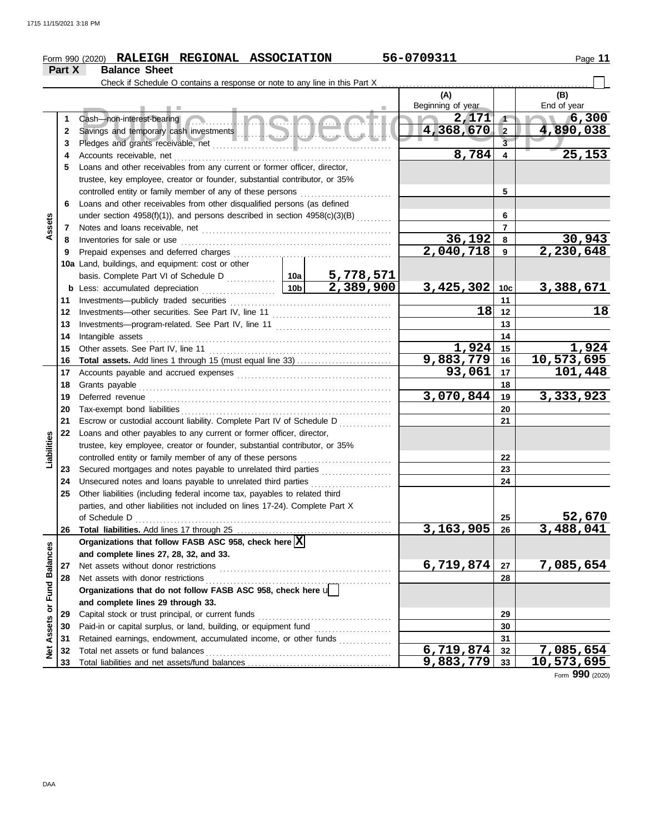### **Form 990 (2020) RALEIGH REGIONAL ASSOCIATION** 56-0709311 Page 11 **Part X Balance Sheet** Check if Schedule O contains a response or note to any line in this Part X **(A) (B)** Beginning of year Fund of year End of year<br>Savings and temporary cash investments<br>Pledges and grants receivable, net the computation Copyrighten Copyrighten Copyrighten Copyrighten Copyrighten<br>Copyrighten Copyrighten Copyrighten Copyrighten Copyrighten Cash—non-interest-bearing ................ **2,171 6,300 1 1 4,368,670 4,890,038 2 2** Savings and temporary cash investments . . . . . . . . . . . . . . . . . . . . . . . . . . . . . . . . . . . . . . . . . . . . **3 3** Pledges and grants receivable, net . . . . . . . . . . . . . . . . . . . . . . . . . . . . . . . . . . . . . . . . . . . . . . . . . . . **8,784 25,153 4 4** Accounts receivable, net . . . . . . . . . . . . . . . . . . . . . . . . . . . . . . . . . . . . . . . . . . . . . . . . . . . . . . . . . . . . . . **5** Loans and other receivables from any current or former officer, director, trustee, key employee, creator or founder, substantial contributor, or 35% controlled entity or family member of any of these persons **5 6** Loans and other receivables from other disqualified persons (as defined **6** under section 4958(f)(1)), and persons described in section 4958(c)(3)(B) .......... **Assets 7 7** Notes and loans receivable, net . . . . . . . . . . . . . . . . . . . . . . . . . . . . . . . . . . . . . . . . . . . . . . . . . . . . . . Inventories for sale or use . . . . . . . . . . . . . . . . . . . . . . . . . . . . . . . . . . . . . . . . . . . . . . . . . . . . . . . . . . . . **36,192 30,943 8 8 9** Prepaid expenses and deferred charges **2,040,718 2,230,648 9** Prepaid expenses and deferred charges . . . . . . . . . . . . . . . . . . . . . . . . . . . . . . . . . . . . . . . . . . . . . **10a** Land, buildings, and equipment: cost or other basis. Complete Part VI of Schedule D .............. **10a 5,778,571 2,389,900 3,425,302 3,388,671 10b 10c b** Less: accumulated depreciation ..................... **11** Investments—publicly traded securities **11 18 18 12 12** Investments—other securities. See Part IV, line 11 . . . . . . . . . . . . . . . . . . . . . . . . . . . . . . . . . . Investments—program-related. See Part IV, line 11 . . . . . . . . . . . . . . . . . . . . . . . . . . . . . . . . . **13 13 14 14** Intangible assets . . . . . . . . . . . . . . . . . . . . . . . . . . . . . . . . . . . . . . . . . . . . . . . . . . . . . . . . . . . . . . . . . . . . . . **1,924 1,924** Other assets. See Part IV, line 11 . . . . . . . . . . . . . . . . . . . . . . . . . . . . . . . . . . . . . . . . . . . . . . . . . . . . **15 15 9,883,779 10,573,695 16 Total assets.** Add lines 1 through 15 (must equal line 33) . . . . . . . . . . . . . . . . . **16 93,061** Accounts payable and accrued expenses . . . . . . . . . . . . . . . . . . . . . . . . . . . . . . . . . . . . . . . . . . . . **17 17** Grants payable . . . . . . . . . . . . . . . . . . . . . . . . . . . . . . . . . . . . . . . . . . . . . . . . . . . . . . . . . . . . . . . . . . . . . . . . **18 18 3,070,844 3,333,923 19** Deferred revenue . . . . . . . . . . . . . . . . . . . . . . . . . . . . . . . . . . . . . . . . . . . . . . . . . . . . . . . . . . . . . . . . . . . . . **19** Tax-exempt bond liabilities . . . . . . . . . . . . . . . . . . . . . . . . . . . . . . . . . . . . . . . . . . . . . . . . . . . . . . . . . . . . **20 20 21** Escrow or custodial account liability. Complete Part IV of Schedule D **21 22** Loans and other payables to any current or former officer, director, **Liabilities** trustee, key employee, creator or founder, substantial contributor, or 35% controlled entity or family member of any of these persons . . . . . . . . . . . . . . . . . . . . . . . . . . **22** Secured mortgages and notes payable to unrelated third parties . . . . . . . . . . . . . . . . . . . . **23 23** Unsecured notes and loans payable to unrelated third parties . . . . . . . . . . . . . . . . . . . . . . . **24 24 25** Other liabilities (including federal income tax, payables to related third parties, and other liabilities not included on lines 17-24). Complete Part X **52,670** of Schedule D . . . . . . . . . . . . . . . . . . . . . . . . . . . . . . . . . . . . . . . . . . . . . . . . . . . . . . . . . . . . . . . . . . . . . . . . . **25 3,163,905 3,488,041 26 26 Total liabilities.** Add lines 17 through 25 ............. Organizations that follow FASB ASC 958, check here  $\boxed{\text{X}}$ Net Assets or Fund Balances **Net Assets or Fund Balances and complete lines 27, 28, 32, and 33.** Net assets without donor restrictions **6,719,874 7,085,654 27 27** Net assets with donor restrictions . . . . . . . . . . . . . . . . . . . . . . . . . . . . . . . . . . . . . . . . . . . . . . . . . . . . . **28 28 Organizations that do not follow FASB ASC 958, check here** u **and complete lines 29 through 33.** Capital stock or trust principal, or current funds . . . . . . . . . . . . . . . . . . . . . . . . . . . . . . . . . . . . . . **29 29** Paid-in or capital surplus, or land, building, or equipment fund . . . . . . . . . . . . . . . . . . . . . . **30 30**

Retained earnings, endowment, accumulated income, or other funds . . . . . . . . . . . . . . . . . . Total net assets or fund balances . . . . . . . . . . . . . . . . . . . . . . . . . . . . . . . . . . . . . . . . . . . . . . . . . . . . .

Total liabilities and net assets/fund balances ................................

Form **990** (2020)

**9,883,779 10,573,695**

**33 32 31**

**6,719,874 7,085,654**

**31 32 33**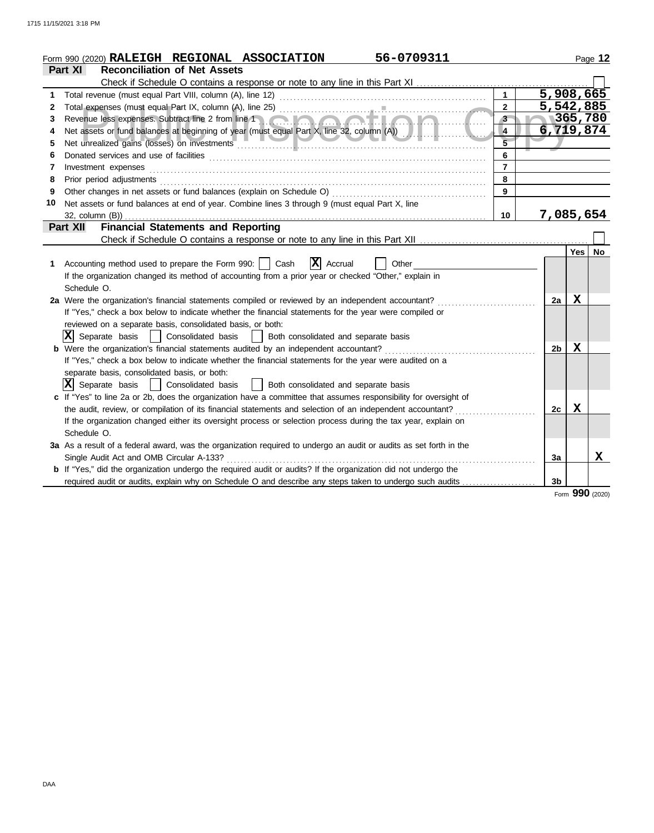|    | 56-0709311<br>Form 990 (2020) RALEIGH REGIONAL ASSOCIATION                                                                                                                                                                          |                |                  | Page 12   |
|----|-------------------------------------------------------------------------------------------------------------------------------------------------------------------------------------------------------------------------------------|----------------|------------------|-----------|
|    | <b>Reconciliation of Net Assets</b><br><b>Part XI</b>                                                                                                                                                                               |                |                  |           |
|    | Check if Schedule O contains a response or note to any line in this Part XI                                                                                                                                                         |                |                  |           |
| 1  | $\mathbf{1}$                                                                                                                                                                                                                        | 5,908,665      |                  |           |
| 2  | $\overline{2}$                                                                                                                                                                                                                      | 5,542,885      |                  |           |
| 3  | 3 <sup>2</sup>                                                                                                                                                                                                                      |                | 365,780          |           |
| 4  | $\overline{4}$                                                                                                                                                                                                                      | 6,719,874      |                  |           |
| 5  | $\overline{5}$                                                                                                                                                                                                                      |                |                  |           |
| 6  | 6                                                                                                                                                                                                                                   |                |                  |           |
| 7  | $\overline{7}$<br>Investment expenses                                                                                                                                                                                               |                |                  |           |
| 8  | 8<br>Prior period adjustments [11, 12] and the contract of the contract of the contract of the contract of the contract of the contract of the contract of the contract of the contract of the contract of the contract of the cont |                |                  |           |
| 9  | Other changes in net assets or fund balances (explain on Schedule O)<br>9                                                                                                                                                           |                |                  |           |
| 10 | Net assets or fund balances at end of year. Combine lines 3 through 9 (must equal Part X, line                                                                                                                                      |                |                  |           |
|    | 10<br>$32$ , column $(B)$ )                                                                                                                                                                                                         | 7,085,654      |                  |           |
|    | <b>Financial Statements and Reporting</b><br>Part XII                                                                                                                                                                               |                |                  |           |
|    |                                                                                                                                                                                                                                     |                |                  |           |
|    |                                                                                                                                                                                                                                     |                | Yes <sup>1</sup> | <b>No</b> |
| 1  | $ \mathbf{x} $<br>Accounting method used to prepare the Form 990:    <br>Cash<br>Accrual<br>Other                                                                                                                                   |                |                  |           |
|    | If the organization changed its method of accounting from a prior year or checked "Other," explain in                                                                                                                               |                |                  |           |
|    | Schedule O.                                                                                                                                                                                                                         |                |                  |           |
|    | 2a Were the organization's financial statements compiled or reviewed by an independent accountant?                                                                                                                                  | 2a             | Х                |           |
|    | If "Yes," check a box below to indicate whether the financial statements for the year were compiled or                                                                                                                              |                |                  |           |
|    | reviewed on a separate basis, consolidated basis, or both:                                                                                                                                                                          |                |                  |           |
|    | IXI<br>Separate basis<br>Consolidated basis<br>Both consolidated and separate basis                                                                                                                                                 |                |                  |           |
|    | <b>b</b> Were the organization's financial statements audited by an independent accountant?                                                                                                                                         | 2 <sub>b</sub> | Х                |           |
|    | If "Yes," check a box below to indicate whether the financial statements for the year were audited on a                                                                                                                             |                |                  |           |
|    | separate basis, consolidated basis, or both:                                                                                                                                                                                        |                |                  |           |
|    | x <br>Separate basis<br>Both consolidated and separate basis<br>Consolidated basis                                                                                                                                                  |                |                  |           |
|    | c If "Yes" to line 2a or 2b, does the organization have a committee that assumes responsibility for oversight of                                                                                                                    |                |                  |           |
|    | the audit, review, or compilation of its financial statements and selection of an independent accountant?                                                                                                                           | 2c             | Х                |           |
|    | If the organization changed either its oversight process or selection process during the tax year, explain on                                                                                                                       |                |                  |           |
|    | Schedule O.                                                                                                                                                                                                                         |                |                  |           |
|    | 3a As a result of a federal award, was the organization required to undergo an audit or audits as set forth in the                                                                                                                  |                |                  |           |
|    | Single Audit Act and OMB Circular A-133?                                                                                                                                                                                            | 3a             |                  | x         |
|    | <b>b</b> If "Yes," did the organization undergo the required audit or audits? If the organization did not undergo the                                                                                                               |                |                  |           |
|    | required audit or audits, explain why on Schedule O and describe any steps taken to undergo such audits                                                                                                                             | 3 <sub>b</sub> |                  |           |
|    |                                                                                                                                                                                                                                     |                | Form 990 (2020)  |           |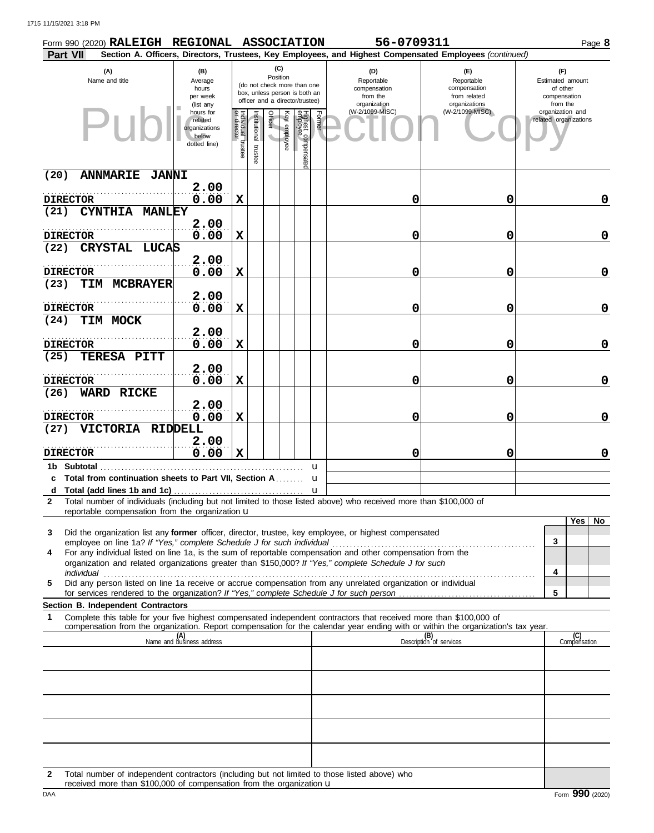|      | Form 990 (2020) RALEIGH REGIONAL ASSOCIATION                                                                                                                                                                                                           |                                                                |                              |                          |                         |                                                                                                 |        | 56-0709311                                                                                             |                                                                    |                                                                 | Page 8              |
|------|--------------------------------------------------------------------------------------------------------------------------------------------------------------------------------------------------------------------------------------------------------|----------------------------------------------------------------|------------------------------|--------------------------|-------------------------|-------------------------------------------------------------------------------------------------|--------|--------------------------------------------------------------------------------------------------------|--------------------------------------------------------------------|-----------------------------------------------------------------|---------------------|
|      | Part VII                                                                                                                                                                                                                                               |                                                                |                              |                          |                         |                                                                                                 |        | Section A. Officers, Directors, Trustees, Key Employees, and Highest Compensated Employees (continued) |                                                                    |                                                                 |                     |
|      | (A)<br>Name and title                                                                                                                                                                                                                                  | (B)<br>Average<br>hours<br>per week<br>(list any               |                              |                          | (C)<br>Position         | (do not check more than one<br>box, unless person is both an<br>officer and a director/trustee) |        | (D)<br>Reportable<br>compensation<br>from the<br>organization                                          | (E)<br>Reportable<br>compensation<br>from related<br>organizations | (F)<br>Estimated amount<br>of other<br>compensation<br>from the |                     |
|      | -11                                                                                                                                                                                                                                                    | hours for<br>related<br>organizations<br>below<br>dotted line) | Individual trustee<br>rector | Institutional<br>trustee | Officer<br>Key employee | Highest compensate<br>employee                                                                  | Former | (W-2/1099-MISC)                                                                                        | (W-2/1099-MISC)                                                    | organization and<br>related organizations                       |                     |
| (20) | <b>ANNMARIE</b><br><b>JANNI</b>                                                                                                                                                                                                                        |                                                                |                              |                          |                         |                                                                                                 |        |                                                                                                        |                                                                    |                                                                 |                     |
|      |                                                                                                                                                                                                                                                        | 2.00                                                           |                              |                          |                         |                                                                                                 |        |                                                                                                        |                                                                    |                                                                 |                     |
| (21) | <b>DIRECTOR</b><br><b>CYNTHIA</b><br><b>MANLEY</b>                                                                                                                                                                                                     | 0.00                                                           | $\mathbf x$                  |                          |                         |                                                                                                 |        | 0                                                                                                      | 0                                                                  |                                                                 | 0                   |
|      |                                                                                                                                                                                                                                                        | 2.00                                                           |                              |                          |                         |                                                                                                 |        |                                                                                                        |                                                                    |                                                                 |                     |
|      | <b>DIRECTOR</b>                                                                                                                                                                                                                                        | 0.00                                                           | $\mathbf x$                  |                          |                         |                                                                                                 |        | 0                                                                                                      | 0                                                                  |                                                                 | 0                   |
| (22) | CRYSTAL LUCAS                                                                                                                                                                                                                                          |                                                                |                              |                          |                         |                                                                                                 |        |                                                                                                        |                                                                    |                                                                 |                     |
|      | <b>DIRECTOR</b>                                                                                                                                                                                                                                        | 2.00<br>0.00                                                   | $\mathbf x$                  |                          |                         |                                                                                                 |        | 0                                                                                                      | 0                                                                  |                                                                 | 0                   |
| (23) | TIM MCBRAYER                                                                                                                                                                                                                                           |                                                                |                              |                          |                         |                                                                                                 |        |                                                                                                        |                                                                    |                                                                 |                     |
|      |                                                                                                                                                                                                                                                        | 2.00                                                           |                              |                          |                         |                                                                                                 |        |                                                                                                        |                                                                    |                                                                 |                     |
|      | <b>DIRECTOR</b>                                                                                                                                                                                                                                        | 0.00                                                           | $\mathbf x$                  |                          |                         |                                                                                                 |        | 0                                                                                                      | 0                                                                  |                                                                 | 0                   |
| (24) | TIM MOCK                                                                                                                                                                                                                                               | 2.00                                                           |                              |                          |                         |                                                                                                 |        |                                                                                                        |                                                                    |                                                                 |                     |
|      | <b>DIRECTOR</b>                                                                                                                                                                                                                                        | 0.00                                                           | $\mathbf x$                  |                          |                         |                                                                                                 |        | 0                                                                                                      | 0                                                                  |                                                                 | 0                   |
| (25) | TERESA PITT                                                                                                                                                                                                                                            |                                                                |                              |                          |                         |                                                                                                 |        |                                                                                                        |                                                                    |                                                                 |                     |
|      |                                                                                                                                                                                                                                                        | 2.00                                                           |                              |                          |                         |                                                                                                 |        |                                                                                                        |                                                                    |                                                                 |                     |
|      | <b>DIRECTOR</b>                                                                                                                                                                                                                                        | 0.00                                                           | $\mathbf x$                  |                          |                         |                                                                                                 |        | 0                                                                                                      | 0                                                                  |                                                                 | 0                   |
| (26) | <b>WARD RICKE</b>                                                                                                                                                                                                                                      | 2.00                                                           |                              |                          |                         |                                                                                                 |        |                                                                                                        |                                                                    |                                                                 |                     |
|      | <b>DIRECTOR</b>                                                                                                                                                                                                                                        | 0.00                                                           | $\mathbf x$                  |                          |                         |                                                                                                 |        | 0                                                                                                      | 0                                                                  |                                                                 | 0                   |
| (27) | VICTORIA RIDDELL                                                                                                                                                                                                                                       |                                                                |                              |                          |                         |                                                                                                 |        |                                                                                                        |                                                                    |                                                                 |                     |
|      | <b>DIRECTOR</b>                                                                                                                                                                                                                                        | 2.00<br>0.00                                                   | $\mathbf x$                  |                          |                         |                                                                                                 |        | 0                                                                                                      | 0                                                                  |                                                                 | 0                   |
|      | 1b Subtotal                                                                                                                                                                                                                                            |                                                                |                              |                          |                         |                                                                                                 | u      |                                                                                                        |                                                                    |                                                                 |                     |
|      | c Total from continuation sheets to Part VII, Section A.                                                                                                                                                                                               |                                                                |                              |                          |                         |                                                                                                 | u      |                                                                                                        |                                                                    |                                                                 |                     |
|      |                                                                                                                                                                                                                                                        |                                                                |                              |                          |                         |                                                                                                 |        |                                                                                                        |                                                                    |                                                                 |                     |
| 2    | Total number of individuals (including but not limited to those listed above) who received more than \$100,000 of<br>reportable compensation from the organization $\mathbf u$                                                                         |                                                                |                              |                          |                         |                                                                                                 |        |                                                                                                        |                                                                    |                                                                 |                     |
|      |                                                                                                                                                                                                                                                        |                                                                |                              |                          |                         |                                                                                                 |        |                                                                                                        |                                                                    |                                                                 | Yes  <br><b>No</b>  |
| 3    | Did the organization list any former officer, director, trustee, key employee, or highest compensated                                                                                                                                                  |                                                                |                              |                          |                         |                                                                                                 |        |                                                                                                        |                                                                    | 3                                                               |                     |
| 4    | For any individual listed on line 1a, is the sum of reportable compensation and other compensation from the                                                                                                                                            |                                                                |                              |                          |                         |                                                                                                 |        |                                                                                                        |                                                                    |                                                                 |                     |
|      | organization and related organizations greater than \$150,000? If "Yes," complete Schedule J for such                                                                                                                                                  |                                                                |                              |                          |                         |                                                                                                 |        |                                                                                                        |                                                                    | 4                                                               |                     |
| 5    | individual<br>Did any person listed on line 1a receive or accrue compensation from any unrelated organization or individual                                                                                                                            |                                                                |                              |                          |                         |                                                                                                 |        |                                                                                                        |                                                                    |                                                                 |                     |
|      |                                                                                                                                                                                                                                                        |                                                                |                              |                          |                         |                                                                                                 |        |                                                                                                        |                                                                    | 5                                                               |                     |
|      | Section B. Independent Contractors                                                                                                                                                                                                                     |                                                                |                              |                          |                         |                                                                                                 |        |                                                                                                        |                                                                    |                                                                 |                     |
| 1    | Complete this table for your five highest compensated independent contractors that received more than \$100,000 of<br>compensation from the organization. Report compensation for the calendar year ending with or within the organization's tax year. |                                                                |                              |                          |                         |                                                                                                 |        |                                                                                                        |                                                                    |                                                                 |                     |
|      |                                                                                                                                                                                                                                                        | (A)<br>Name and business address                               |                              |                          |                         |                                                                                                 |        |                                                                                                        | (B)<br>Description of services                                     |                                                                 | (C)<br>Compensation |
|      |                                                                                                                                                                                                                                                        |                                                                |                              |                          |                         |                                                                                                 |        |                                                                                                        |                                                                    |                                                                 |                     |
|      |                                                                                                                                                                                                                                                        |                                                                |                              |                          |                         |                                                                                                 |        |                                                                                                        |                                                                    |                                                                 |                     |
|      |                                                                                                                                                                                                                                                        |                                                                |                              |                          |                         |                                                                                                 |        |                                                                                                        |                                                                    |                                                                 |                     |
|      |                                                                                                                                                                                                                                                        |                                                                |                              |                          |                         |                                                                                                 |        |                                                                                                        |                                                                    |                                                                 |                     |
|      |                                                                                                                                                                                                                                                        |                                                                |                              |                          |                         |                                                                                                 |        |                                                                                                        |                                                                    |                                                                 |                     |
|      |                                                                                                                                                                                                                                                        |                                                                |                              |                          |                         |                                                                                                 |        |                                                                                                        |                                                                    |                                                                 |                     |
|      |                                                                                                                                                                                                                                                        |                                                                |                              |                          |                         |                                                                                                 |        |                                                                                                        |                                                                    |                                                                 |                     |
|      |                                                                                                                                                                                                                                                        |                                                                |                              |                          |                         |                                                                                                 |        |                                                                                                        |                                                                    |                                                                 |                     |

**2** Total number of independent contractors (including but not limited to those listed above) who received more than \$100,000 of compensation from the organization u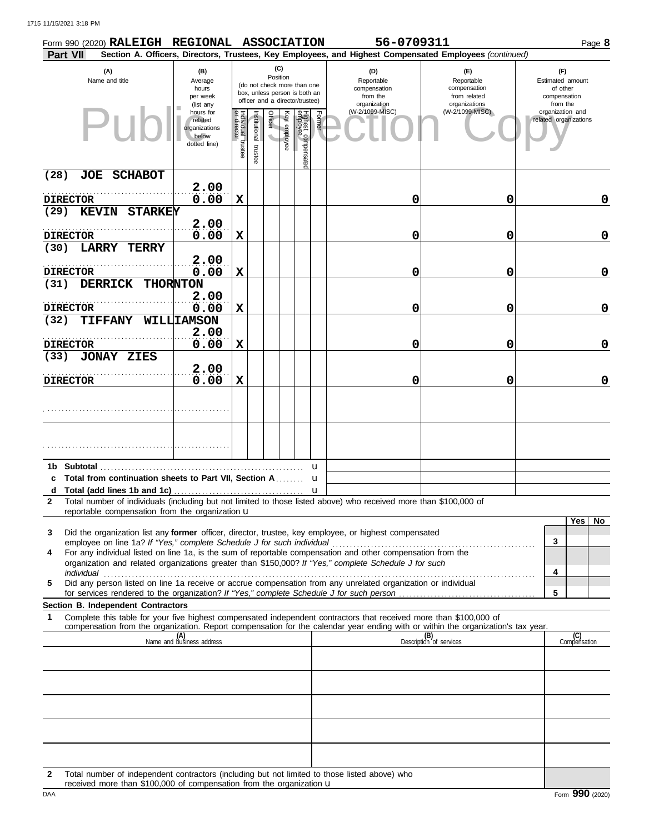|              | Form 990 (2020) RALEIGH REGIONAL ASSOCIATION                                                                                                                                                                         |                                                                |                                   |                          |                 |              |                                                                                                 |        | 56-0709311                                                                                             |                                                                    |                                                                 |                     | Page 8 |
|--------------|----------------------------------------------------------------------------------------------------------------------------------------------------------------------------------------------------------------------|----------------------------------------------------------------|-----------------------------------|--------------------------|-----------------|--------------|-------------------------------------------------------------------------------------------------|--------|--------------------------------------------------------------------------------------------------------|--------------------------------------------------------------------|-----------------------------------------------------------------|---------------------|--------|
|              | <b>Part VII</b>                                                                                                                                                                                                      |                                                                |                                   |                          |                 |              |                                                                                                 |        | Section A. Officers, Directors, Trustees, Key Employees, and Highest Compensated Employees (continued) |                                                                    |                                                                 |                     |        |
|              | (A)<br>Name and title                                                                                                                                                                                                | (B)<br>Average<br>hours<br>per week<br>(list any               |                                   |                          | (C)<br>Position |              | (do not check more than one<br>box, unless person is both an<br>officer and a director/trustee) |        | (D)<br>Reportable<br>compensation<br>from the<br>organization                                          | (E)<br>Reportable<br>compensation<br>from related<br>organizations | (F)<br>Estimated amount<br>of other<br>compensation<br>from the |                     |        |
|              |                                                                                                                                                                                                                      | hours for<br>related<br>organizations<br>below<br>dotted line) | Individual trustee<br>or director | Institutional<br>trustee | Officer         | Key employee | Highest compensate<br>employee                                                                  | Former | (W-2/1099-MISC)                                                                                        | (W-2/1099-MISC)                                                    | organization and<br>related organizations                       |                     |        |
| (28)         | JOE SCHABOT                                                                                                                                                                                                          |                                                                |                                   |                          |                 |              |                                                                                                 |        |                                                                                                        |                                                                    |                                                                 |                     |        |
|              |                                                                                                                                                                                                                      | 2.00                                                           |                                   |                          |                 |              |                                                                                                 |        |                                                                                                        |                                                                    |                                                                 |                     |        |
| (29)         | <b>DIRECTOR</b><br><b>STARKEY</b><br><b>KEVIN</b>                                                                                                                                                                    | 0.00                                                           | $\mathbf X$                       |                          |                 |              |                                                                                                 |        | 0                                                                                                      | 0                                                                  |                                                                 |                     | 0      |
|              |                                                                                                                                                                                                                      | 2.00                                                           |                                   |                          |                 |              |                                                                                                 |        |                                                                                                        |                                                                    |                                                                 |                     |        |
|              | <b>DIRECTOR</b>                                                                                                                                                                                                      | 0.00                                                           | $\mathbf x$                       |                          |                 |              |                                                                                                 |        | 0                                                                                                      | 0                                                                  |                                                                 |                     | 0      |
| (30)         | LARRY<br><b>TERRY</b>                                                                                                                                                                                                |                                                                |                                   |                          |                 |              |                                                                                                 |        |                                                                                                        |                                                                    |                                                                 |                     |        |
|              |                                                                                                                                                                                                                      | 2.00                                                           |                                   |                          |                 |              |                                                                                                 |        |                                                                                                        |                                                                    |                                                                 |                     |        |
| (31)         | <b>DIRECTOR</b><br><b>DERRICK</b>                                                                                                                                                                                    | 0.00<br>THORNTON                                               | $\mathbf X$                       |                          |                 |              |                                                                                                 |        | 0                                                                                                      | 0                                                                  |                                                                 |                     | 0      |
|              |                                                                                                                                                                                                                      | 2.00                                                           |                                   |                          |                 |              |                                                                                                 |        |                                                                                                        |                                                                    |                                                                 |                     |        |
|              | <b>DIRECTOR</b>                                                                                                                                                                                                      | 0.00                                                           | $\mathbf X$                       |                          |                 |              |                                                                                                 |        | 0                                                                                                      | 0                                                                  |                                                                 |                     | 0      |
| (32)         | <b>TIFFANY</b>                                                                                                                                                                                                       | WILLLIAMSON                                                    |                                   |                          |                 |              |                                                                                                 |        |                                                                                                        |                                                                    |                                                                 |                     |        |
|              | <b>DIRECTOR</b>                                                                                                                                                                                                      | 2.00<br>0.00                                                   | $\mathbf X$                       |                          |                 |              |                                                                                                 |        | 0                                                                                                      | 0                                                                  |                                                                 |                     | 0      |
| (33)         | <b>JONAY ZIES</b>                                                                                                                                                                                                    |                                                                |                                   |                          |                 |              |                                                                                                 |        |                                                                                                        |                                                                    |                                                                 |                     |        |
|              |                                                                                                                                                                                                                      | 2.00                                                           |                                   |                          |                 |              |                                                                                                 |        |                                                                                                        |                                                                    |                                                                 |                     |        |
|              | <b>DIRECTOR</b>                                                                                                                                                                                                      | 0.00                                                           | $\mathbf x$                       |                          |                 |              |                                                                                                 |        | 0                                                                                                      | 0                                                                  |                                                                 |                     | 0      |
|              |                                                                                                                                                                                                                      |                                                                |                                   |                          |                 |              |                                                                                                 |        |                                                                                                        |                                                                    |                                                                 |                     |        |
|              |                                                                                                                                                                                                                      |                                                                |                                   |                          |                 |              |                                                                                                 |        |                                                                                                        |                                                                    |                                                                 |                     |        |
|              |                                                                                                                                                                                                                      |                                                                |                                   |                          |                 |              |                                                                                                 | u      |                                                                                                        |                                                                    |                                                                 |                     |        |
|              | c Total from continuation sheets to Part VII, Section A                                                                                                                                                              |                                                                |                                   |                          |                 |              |                                                                                                 | u      |                                                                                                        |                                                                    |                                                                 |                     |        |
| $\mathbf{2}$ | Total number of individuals (including but not limited to those listed above) who received more than \$100,000 of<br>reportable compensation from the organization $\mathbf u$                                       |                                                                |                                   |                          |                 |              |                                                                                                 |        |                                                                                                        |                                                                    |                                                                 |                     |        |
|              |                                                                                                                                                                                                                      |                                                                |                                   |                          |                 |              |                                                                                                 |        |                                                                                                        |                                                                    |                                                                 | Yes   No            |        |
| 3            | Did the organization list any former officer, director, trustee, key employee, or highest compensated                                                                                                                |                                                                |                                   |                          |                 |              |                                                                                                 |        |                                                                                                        |                                                                    | 3                                                               |                     |        |
| 4            | For any individual listed on line 1a, is the sum of reportable compensation and other compensation from the<br>organization and related organizations greater than \$150,000? If "Yes," complete Schedule J for such |                                                                |                                   |                          |                 |              |                                                                                                 |        |                                                                                                        |                                                                    | 4                                                               |                     |        |
| 5            | Did any person listed on line 1a receive or accrue compensation from any unrelated organization or individual                                                                                                        |                                                                |                                   |                          |                 |              |                                                                                                 |        |                                                                                                        |                                                                    |                                                                 |                     |        |
|              |                                                                                                                                                                                                                      |                                                                |                                   |                          |                 |              |                                                                                                 |        |                                                                                                        |                                                                    | 5                                                               |                     |        |
| 1            | Section B. Independent Contractors<br>Complete this table for your five highest compensated independent contractors that received more than \$100,000 of                                                             |                                                                |                                   |                          |                 |              |                                                                                                 |        |                                                                                                        |                                                                    |                                                                 |                     |        |
|              | compensation from the organization. Report compensation for the calendar year ending with or within the organization's tax year.                                                                                     |                                                                |                                   |                          |                 |              |                                                                                                 |        |                                                                                                        |                                                                    |                                                                 |                     |        |
|              |                                                                                                                                                                                                                      | (A)<br>Name and business address                               |                                   |                          |                 |              |                                                                                                 |        |                                                                                                        | (B)<br>Description of services                                     |                                                                 | (C)<br>Compensation |        |
|              |                                                                                                                                                                                                                      |                                                                |                                   |                          |                 |              |                                                                                                 |        |                                                                                                        |                                                                    |                                                                 |                     |        |
|              |                                                                                                                                                                                                                      |                                                                |                                   |                          |                 |              |                                                                                                 |        |                                                                                                        |                                                                    |                                                                 |                     |        |
|              |                                                                                                                                                                                                                      |                                                                |                                   |                          |                 |              |                                                                                                 |        |                                                                                                        |                                                                    |                                                                 |                     |        |
|              |                                                                                                                                                                                                                      |                                                                |                                   |                          |                 |              |                                                                                                 |        |                                                                                                        |                                                                    |                                                                 |                     |        |
|              |                                                                                                                                                                                                                      |                                                                |                                   |                          |                 |              |                                                                                                 |        |                                                                                                        |                                                                    |                                                                 |                     |        |
|              |                                                                                                                                                                                                                      |                                                                |                                   |                          |                 |              |                                                                                                 |        |                                                                                                        |                                                                    |                                                                 |                     |        |
|              |                                                                                                                                                                                                                      |                                                                |                                   |                          |                 |              |                                                                                                 |        |                                                                                                        |                                                                    |                                                                 |                     |        |
|              |                                                                                                                                                                                                                      |                                                                |                                   |                          |                 |              |                                                                                                 |        |                                                                                                        |                                                                    |                                                                 |                     |        |

**2** Total number of independent contractors (including but not limited to those listed above) who received more than \$100,000 of compensation from the organization u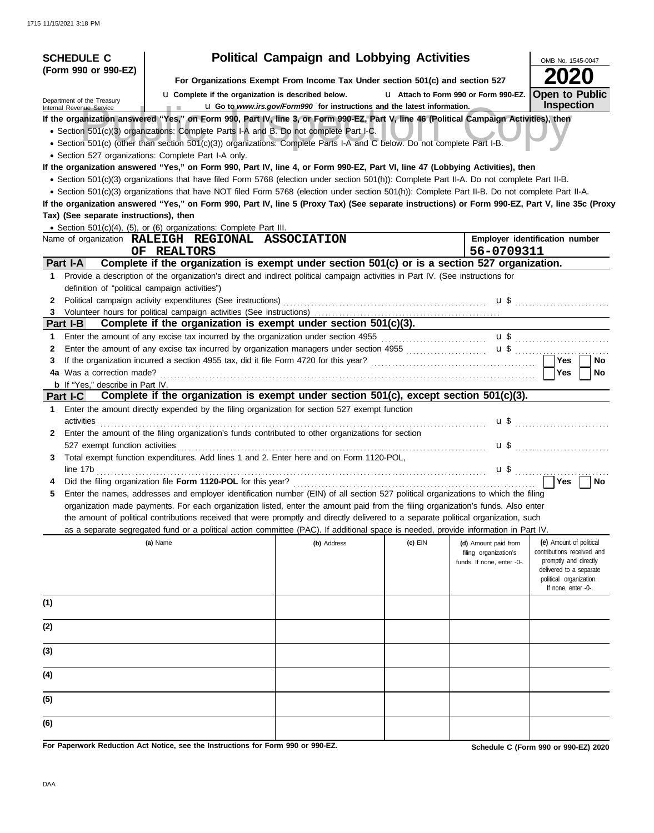| <b>SCHEDULE C</b>                                      |                                                                                                                                                                                                                    | <b>Political Campaign and Lobbying Activities</b>                             |           |                                       | OMB No. 1545-0047                                  |
|--------------------------------------------------------|--------------------------------------------------------------------------------------------------------------------------------------------------------------------------------------------------------------------|-------------------------------------------------------------------------------|-----------|---------------------------------------|----------------------------------------------------|
| (Form 990 or 990-EZ)                                   |                                                                                                                                                                                                                    |                                                                               |           |                                       |                                                    |
|                                                        |                                                                                                                                                                                                                    | For Organizations Exempt From Income Tax Under section 501(c) and section 527 |           |                                       |                                                    |
| Department of the Treasury<br>Internal Revenue Service | <b>u</b> Complete if the organization is described below.<br><b>COLLECTION</b>                                                                                                                                     | La Go to www.irs.gov/Form990 for instructions and the latest information.     |           | L1 Attach to Form 990 or Form 990-EZ. | <b>Open to Public</b><br><b>Inspection</b>         |
|                                                        | If the organization answered "Yes," on Form 990, Part IV, line 3, or Form 990-EZ, Part V, line 46 (Political Campaign Activities), then                                                                            |                                                                               |           |                                       |                                                    |
|                                                        | • Section 501(c)(3) organizations: Complete Parts I-A and B. Do not complete Part I-C.                                                                                                                             |                                                                               |           |                                       |                                                    |
|                                                        | · Section 501(c) (other than section 501(c)(3)) organizations: Complete Parts I-A and C below. Do not complete Part I-B.                                                                                           |                                                                               |           |                                       |                                                    |
|                                                        | · Section 527 organizations: Complete Part I-A only.                                                                                                                                                               |                                                                               |           |                                       |                                                    |
|                                                        | If the organization answered "Yes," on Form 990, Part IV, line 4, or Form 990-EZ, Part VI, line 47 (Lobbying Activities), then                                                                                     |                                                                               |           |                                       |                                                    |
|                                                        | • Section 501(c)(3) organizations that have filed Form 5768 (election under section 501(h)): Complete Part II-A. Do not complete Part II-B.                                                                        |                                                                               |           |                                       |                                                    |
|                                                        | • Section 501(c)(3) organizations that have NOT filed Form 5768 (election under section 501(h)): Complete Part II-B. Do not complete Part II-A.                                                                    |                                                                               |           |                                       |                                                    |
|                                                        | If the organization answered "Yes," on Form 990, Part IV, line 5 (Proxy Tax) (See separate instructions) or Form 990-EZ, Part V, line 35c (Proxy                                                                   |                                                                               |           |                                       |                                                    |
| Tax) (See separate instructions), then                 |                                                                                                                                                                                                                    |                                                                               |           |                                       |                                                    |
|                                                        | • Section 501(c)(4), (5), or (6) organizations: Complete Part III.                                                                                                                                                 |                                                                               |           |                                       |                                                    |
|                                                        | Name of organization RALEIGH REGIONAL ASSOCIATION                                                                                                                                                                  |                                                                               |           |                                       | Employer identification number                     |
|                                                        | OF REALTORS                                                                                                                                                                                                        |                                                                               |           | 56-0709311                            |                                                    |
| Part I-A                                               | Complete if the organization is exempt under section 501(c) or is a section 527 organization.                                                                                                                      |                                                                               |           |                                       |                                                    |
|                                                        | 1 Provide a description of the organization's direct and indirect political campaign activities in Part IV. (See instructions for                                                                                  |                                                                               |           |                                       |                                                    |
| definition of "political campaign activities")         |                                                                                                                                                                                                                    |                                                                               |           |                                       |                                                    |
| 2                                                      | Political campaign activity expenditures (See instructions)                                                                                                                                                        |                                                                               |           |                                       | $\mathbf{u}$ \$                                    |
| 3                                                      |                                                                                                                                                                                                                    |                                                                               |           |                                       |                                                    |
| Part I-B                                               | Complete if the organization is exempt under section 501(c)(3).                                                                                                                                                    |                                                                               |           |                                       |                                                    |
| 1                                                      |                                                                                                                                                                                                                    |                                                                               |           |                                       |                                                    |
| 2                                                      | Enter the amount of any excise tax incurred by organization managers under section 4955 [[[[[[[[[[[[[[[[[[[[[[[]]]]]]]]]]] Enter the amount of any excise tax incurred by organization managers under section 4955 |                                                                               |           |                                       |                                                    |
| 3                                                      |                                                                                                                                                                                                                    |                                                                               |           |                                       | l Yes<br>No                                        |
| 4a Was a correction made?                              |                                                                                                                                                                                                                    |                                                                               |           |                                       | Yes<br>No                                          |
| <b>b</b> If "Yes," describe in Part IV.                | Complete if the organization is exempt under section 501(c), except section 501(c)(3).                                                                                                                             |                                                                               |           |                                       |                                                    |
| Part I-C                                               |                                                                                                                                                                                                                    |                                                                               |           |                                       |                                                    |
| 1.                                                     | Enter the amount directly expended by the filing organization for section 527 exempt function                                                                                                                      |                                                                               |           |                                       |                                                    |
| activities                                             |                                                                                                                                                                                                                    |                                                                               |           |                                       | $\mathbf{u}$ \$                                    |
| 2.<br>527 exempt function activities                   | Enter the amount of the filing organization's funds contributed to other organizations for section                                                                                                                 |                                                                               |           |                                       |                                                    |
| 3.                                                     | Total exempt function expenditures. Add lines 1 and 2. Enter here and on Form 1120-POL,                                                                                                                            |                                                                               |           |                                       | $\mathbf{u}$ \$                                    |
|                                                        |                                                                                                                                                                                                                    |                                                                               |           |                                       |                                                    |
|                                                        | line 17b                                                                                                                                                                                                           |                                                                               |           |                                       | $\mathbf{u}$ \$ <u></u><br><b>No</b><br>  Yes      |
|                                                        | Enter the names, addresses and employer identification number (EIN) of all section 527 political organizations to which the filing                                                                                 |                                                                               |           |                                       |                                                    |
|                                                        | organization made payments. For each organization listed, enter the amount paid from the filing organization's funds. Also enter                                                                                   |                                                                               |           |                                       |                                                    |
|                                                        | the amount of political contributions received that were promptly and directly delivered to a separate political organization, such                                                                                |                                                                               |           |                                       |                                                    |
|                                                        | as a separate segregated fund or a political action committee (PAC). If additional space is needed, provide information in Part IV.                                                                                |                                                                               |           |                                       |                                                    |
|                                                        | (a) Name                                                                                                                                                                                                           | (b) Address                                                                   | $(c)$ EIN | (d) Amount paid from                  | (e) Amount of political                            |
|                                                        |                                                                                                                                                                                                                    |                                                                               |           | filing organization's                 | contributions received and                         |
|                                                        |                                                                                                                                                                                                                    |                                                                               |           | funds. If none, enter -0-.            | promptly and directly                              |
|                                                        |                                                                                                                                                                                                                    |                                                                               |           |                                       | delivered to a separate<br>political organization. |
|                                                        |                                                                                                                                                                                                                    |                                                                               |           |                                       | If none, enter -0-.                                |
| (1)                                                    |                                                                                                                                                                                                                    |                                                                               |           |                                       |                                                    |
|                                                        |                                                                                                                                                                                                                    |                                                                               |           |                                       |                                                    |
| (2)                                                    |                                                                                                                                                                                                                    |                                                                               |           |                                       |                                                    |
| (3)                                                    |                                                                                                                                                                                                                    |                                                                               |           |                                       |                                                    |
| (4)                                                    |                                                                                                                                                                                                                    |                                                                               |           |                                       |                                                    |
| (5)                                                    |                                                                                                                                                                                                                    |                                                                               |           |                                       |                                                    |
|                                                        |                                                                                                                                                                                                                    |                                                                               |           |                                       |                                                    |
| (6)                                                    |                                                                                                                                                                                                                    |                                                                               |           |                                       |                                                    |
|                                                        | For Paperwork Reduction Act Notice, see the Instructions for Form 990 or 990-EZ.                                                                                                                                   |                                                                               |           |                                       | Schedule C (Form 990 or 990-EZ) 2020               |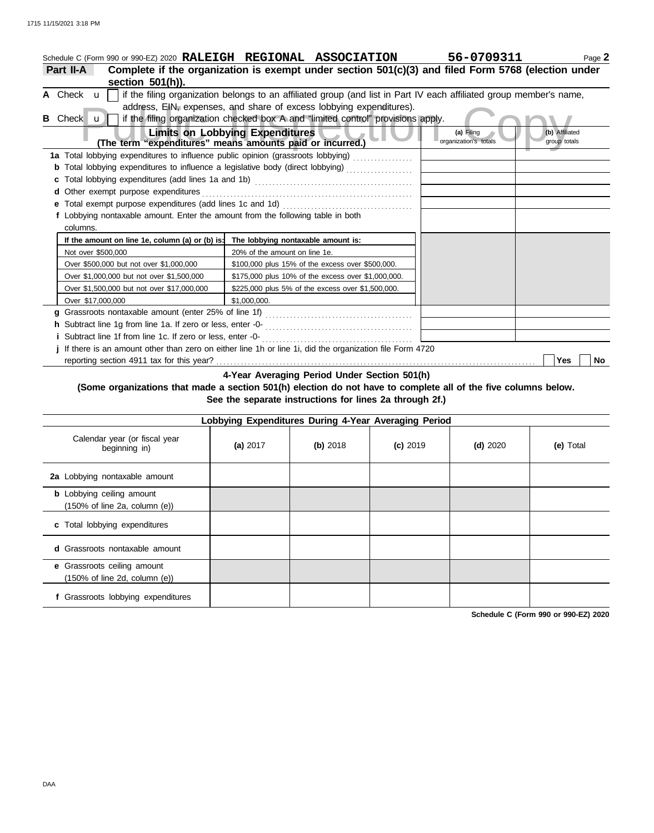|   | Schedule C (Form 990 or 990-EZ) 2020 RALEIGH REGIONAL ASSOCIATION                                               |                                        |                                                                                                                     | 56-0709311                          | Page 2                         |
|---|-----------------------------------------------------------------------------------------------------------------|----------------------------------------|---------------------------------------------------------------------------------------------------------------------|-------------------------------------|--------------------------------|
|   | Complete if the organization is exempt under section 501(c)(3) and filed Form 5768 (election under<br>Part II-A |                                        |                                                                                                                     |                                     |                                |
|   | section 501(h)).                                                                                                |                                        |                                                                                                                     |                                     |                                |
|   | A Check u                                                                                                       |                                        | if the filing organization belongs to an affiliated group (and list in Part IV each affiliated group member's name, |                                     |                                |
|   |                                                                                                                 |                                        | address, EIN, expenses, and share of excess lobbying expenditures).                                                 |                                     |                                |
| в | Check $\mathbf{u}$                                                                                              |                                        | if the filing organization checked box A and "limited control" provisions apply.                                    |                                     |                                |
|   | (The term "expenditures" means amounts paid or incurred.)                                                       | <b>Limits on Lobbying Expenditures</b> |                                                                                                                     | (a) Filing<br>organization's totals | (b) Affiliated<br>group totals |
|   | 1a Total lobbying expenditures to influence public opinion (grassroots lobbying)                                |                                        |                                                                                                                     |                                     |                                |
|   |                                                                                                                 |                                        |                                                                                                                     |                                     |                                |
|   |                                                                                                                 |                                        |                                                                                                                     |                                     |                                |
| d | Other exempt purpose expenditures                                                                               |                                        |                                                                                                                     |                                     |                                |
|   | Total exempt purpose expenditures (add lines 1c and 1d)                                                         |                                        |                                                                                                                     |                                     |                                |
|   | f Lobbying nontaxable amount. Enter the amount from the following table in both                                 |                                        |                                                                                                                     |                                     |                                |
|   | columns.                                                                                                        |                                        |                                                                                                                     |                                     |                                |
|   | If the amount on line 1e, column (a) or (b) is:                                                                 | The lobbying nontaxable amount is:     |                                                                                                                     |                                     |                                |
|   | Not over \$500,000                                                                                              | 20% of the amount on line 1e.          |                                                                                                                     |                                     |                                |
|   | Over \$500,000 but not over \$1,000,000                                                                         |                                        | \$100,000 plus 15% of the excess over \$500,000.                                                                    |                                     |                                |
|   | Over \$1,000,000 but not over \$1,500,000                                                                       |                                        | \$175,000 plus 10% of the excess over \$1,000,000.                                                                  |                                     |                                |
|   | Over \$1,500,000 but not over \$17,000,000                                                                      |                                        | \$225,000 plus 5% of the excess over \$1,500,000.                                                                   |                                     |                                |
|   | Over \$17,000,000                                                                                               | \$1,000,000.                           |                                                                                                                     |                                     |                                |
| a |                                                                                                                 |                                        |                                                                                                                     |                                     |                                |
|   |                                                                                                                 |                                        |                                                                                                                     |                                     |                                |
|   | Subtract line 1f from line 1c. If zero or less, enter -0-                                                       |                                        |                                                                                                                     |                                     |                                |
|   | j If there is an amount other than zero on either line 1h or line 1i, did the organization file Form 4720       |                                        |                                                                                                                     |                                     |                                |
|   |                                                                                                                 |                                        |                                                                                                                     |                                     | Yes<br>No.                     |

**4-Year Averaging Period Under Section 501(h)**

### **(Some organizations that made a section 501(h) election do not have to complete all of the five columns below. See the separate instructions for lines 2a through 2f.)**

|                                                                                        | Lobbying Expenditures During 4-Year Averaging Period |          |            |            |           |  |  |  |  |  |  |
|----------------------------------------------------------------------------------------|------------------------------------------------------|----------|------------|------------|-----------|--|--|--|--|--|--|
| Calendar year (or fiscal year<br>beginning in)                                         | (a) 2017                                             | (b) 2018 | $(c)$ 2019 | $(d)$ 2020 | (e) Total |  |  |  |  |  |  |
| 2a Lobbying nontaxable amount                                                          |                                                      |          |            |            |           |  |  |  |  |  |  |
| <b>b</b> Lobbying ceiling amount<br>$(150\% \text{ of line } 2a, \text{ column } (e))$ |                                                      |          |            |            |           |  |  |  |  |  |  |
| c Total lobbying expenditures                                                          |                                                      |          |            |            |           |  |  |  |  |  |  |
| Grassroots nontaxable amount<br>d.                                                     |                                                      |          |            |            |           |  |  |  |  |  |  |
| e Grassroots ceiling amount<br>(150% of line 2d, column (e))                           |                                                      |          |            |            |           |  |  |  |  |  |  |
| Grassroots lobbying expenditures                                                       |                                                      |          |            |            |           |  |  |  |  |  |  |

**Schedule C (Form 990 or 990-EZ) 2020**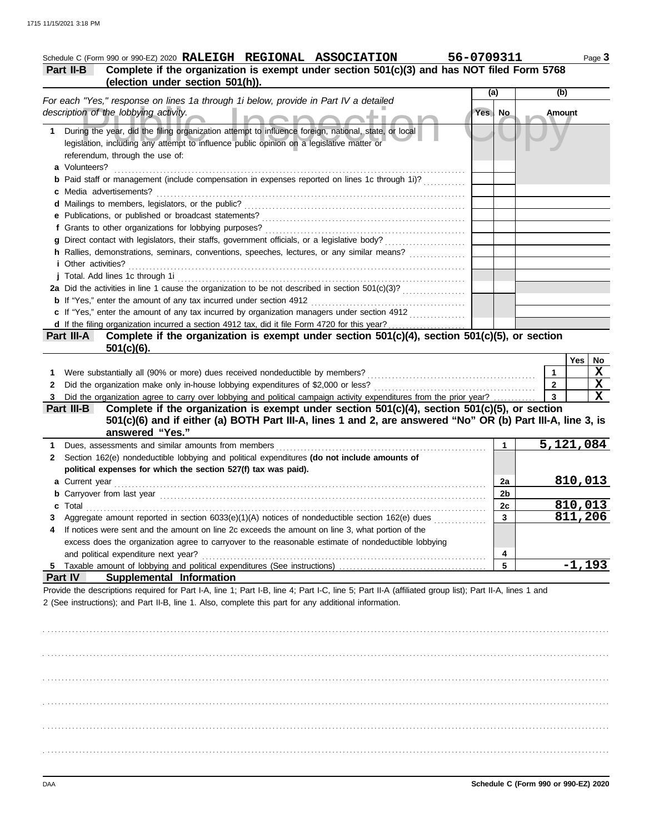## Schedule C (Form 990 or 990-EZ) 2020 RALEIGH REGIONAL ASSOCIATION 56-0709311 Page 3 **Part II-B Complete if the organization is exempt under section 501(c)(3) and has NOT filed Form 5768 (election under section 501(h)).**

|    |                                                                                                                                                                                                                               | (a)    |                | (b)            |         |             |
|----|-------------------------------------------------------------------------------------------------------------------------------------------------------------------------------------------------------------------------------|--------|----------------|----------------|---------|-------------|
|    | For each "Yes," response on lines 1a through 1i below, provide in Part IV a detailed                                                                                                                                          |        |                |                |         |             |
|    | description of the lobbying activity.                                                                                                                                                                                         | Yes No |                | Amount         |         |             |
| 1. | During the year, did the filing organization attempt to influence foreign, national, state, or local                                                                                                                          |        |                |                |         |             |
|    | legislation, including any attempt to influence public opinion on a legislative matter or                                                                                                                                     |        |                |                |         |             |
|    | referendum, through the use of:                                                                                                                                                                                               |        |                |                |         |             |
|    | a Volunteers?                                                                                                                                                                                                                 |        |                |                |         |             |
|    | Paid staff or management (include compensation in expenses reported on lines 1c through 1i)?                                                                                                                                  |        |                |                |         |             |
|    | c Media advertisements?                                                                                                                                                                                                       |        |                |                |         |             |
|    |                                                                                                                                                                                                                               |        |                |                |         |             |
|    |                                                                                                                                                                                                                               |        |                |                |         |             |
|    |                                                                                                                                                                                                                               |        |                |                |         |             |
|    |                                                                                                                                                                                                                               |        |                |                |         |             |
|    | h Rallies, demonstrations, seminars, conventions, speeches, lectures, or any similar means?                                                                                                                                   |        |                |                |         |             |
|    | <i>i</i> Other activities?                                                                                                                                                                                                    |        |                |                |         |             |
|    | j Total. Add lines 1c through 1i                                                                                                                                                                                              |        |                |                |         |             |
|    |                                                                                                                                                                                                                               |        |                |                |         |             |
|    |                                                                                                                                                                                                                               |        |                |                |         |             |
|    | c If "Yes," enter the amount of any tax incurred by organization managers under section 4912                                                                                                                                  |        |                |                |         |             |
|    | d If the filing organization incurred a section 4912 tax, did it file Form 4720 for this year?                                                                                                                                |        |                |                |         |             |
|    | Complete if the organization is exempt under section 501(c)(4), section 501(c)(5), or section<br>Part III-A                                                                                                                   |        |                |                |         |             |
|    | $501(c)(6)$ .                                                                                                                                                                                                                 |        |                |                |         |             |
|    |                                                                                                                                                                                                                               |        |                |                | Yes     | $N_{\odot}$ |
| 1. | Were substantially all (90% or more) dues received nondeductible by members?                                                                                                                                                  |        |                | $\mathbf 1$    |         | $\mathbf X$ |
| 2  | Did the organization make only in-house lobbying expenditures of \$2,000 or less?                                                                                                                                             |        |                | $\overline{2}$ |         | $\mathbf X$ |
|    | Did the organization agree to carry over lobbying and political campaign activity expenditures from the prior year?                                                                                                           |        |                | $\mathbf{3}$   |         | $\mathbf X$ |
|    | Complete if the organization is exempt under section $501(c)(4)$ , section $501(c)(5)$ , or section<br>Part III-B                                                                                                             |        |                |                |         |             |
|    | 501(c)(6) and if either (a) BOTH Part III-A, lines 1 and 2, are answered "No" OR (b) Part III-A, line 3, is                                                                                                                   |        |                |                |         |             |
|    | answered "Yes."                                                                                                                                                                                                               |        |                |                |         |             |
|    | Dues, assessments and similar amounts from members [11] contained as a series and similar and similar amounts from members [11] contained as a series and similar and similar and similar and similar and similar and similar |        | $\mathbf 1$    | 5,121,084      |         |             |
| 2  | Section 162(e) nondeductible lobbying and political expenditures (do not include amounts of                                                                                                                                   |        |                |                |         |             |
|    | political expenses for which the section 527(f) tax was paid).                                                                                                                                                                |        |                |                |         |             |
|    | a Current year                                                                                                                                                                                                                |        | 2a             |                | 810,013 |             |
|    |                                                                                                                                                                                                                               |        | 2 <sub>b</sub> |                |         |             |
|    | Total                                                                                                                                                                                                                         |        | 2c             |                | 810,013 |             |
|    | Aggregate amount reported in section 6033(e)(1)(A) notices of nondeductible section 162(e) dues                                                                                                                               |        | $\overline{3}$ |                | 811,206 |             |
|    | If notices were sent and the amount on line 2c exceeds the amount on line 3, what portion of the                                                                                                                              |        |                |                |         |             |
|    | excess does the organization agree to carryover to the reasonable estimate of nondeductible lobbying                                                                                                                          |        |                |                |         |             |
|    | and political expenditure next year?                                                                                                                                                                                          |        | 4              |                |         |             |
|    |                                                                                                                                                                                                                               |        | 5              |                | -1,193  |             |
|    | <b>Part IV</b><br>Supplemental Information                                                                                                                                                                                    |        |                |                |         |             |
|    | Provide the descriptions required for Part I-A, line 1; Part I-B, line 4; Part I-C, line 5; Part II-A (affiliated group list); Part II-A, lines 1 and                                                                         |        |                |                |         |             |
|    | 2 (See instructions); and Part II-B, line 1. Also, complete this part for any additional information.                                                                                                                         |        |                |                |         |             |
|    |                                                                                                                                                                                                                               |        |                |                |         |             |
|    |                                                                                                                                                                                                                               |        |                |                |         |             |
|    |                                                                                                                                                                                                                               |        |                |                |         |             |
|    |                                                                                                                                                                                                                               |        |                |                |         |             |
|    |                                                                                                                                                                                                                               |        |                |                |         |             |

. . . . . . . . . . . . . . . . . . . . . . . . . . . . . . . . . . . . . . . . . . . . . . . . . . . . . . . . . . . . . . . . . . . . . . . . . . . . . . . . . . . . . . . . . . . . . . . . . . . . . . . . . . . . . . . . . . . . . . . . . . . . . . . . . . . . . . . . . . . . . . . . . . . . . . . . . . . . . . . . .

. . . . . . . . . . . . . . . . . . . . . . . . . . . . . . . . . . . . . . . . . . . . . . . . . . . . . . . . . . . . . . . . . . . . . . . . . . . . . . . . . . . . . . . . . . . . . . . . . . . . . . . . . . . . . . . . . . . . . . . . . . . . . . . . . . . . . . . . . . . . . . . . . . . . . . . . . . . . . . . . .

. . . . . . . . . . . . . . . . . . . . . . . . . . . . . . . . . . . . . . . . . . . . . . . . . . . . . . . . . . . . . . . . . . . . . . . . . . . . . . . . . . . . . . . . . . . . . . . . . . . . . . . . . . . . . . . . . . . . . . . . . . . . . . . . . . . . . . . . . . . . . . . . . . . . . . . . . . . . . . . . .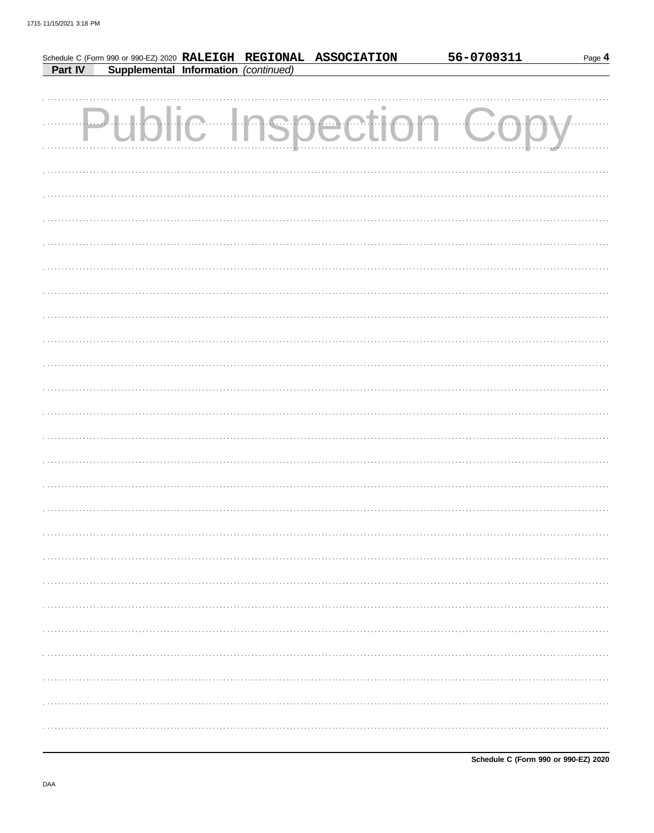|         |                                      |  | Schedule C (Form 990 or 990-EZ) 2020 RALEIGH REGIONAL ASSOCIATION | 56-0709311 | Page 4 |
|---------|--------------------------------------|--|-------------------------------------------------------------------|------------|--------|
| Part IV | Supplemental Information (continued) |  |                                                                   |            |        |
|         |                                      |  |                                                                   |            |        |
|         |                                      |  |                                                                   |            |        |
|         |                                      |  | Public Inspection Co                                              |            |        |
|         |                                      |  |                                                                   |            |        |
|         |                                      |  |                                                                   |            |        |
|         |                                      |  |                                                                   |            |        |
|         |                                      |  |                                                                   |            |        |
|         |                                      |  |                                                                   |            |        |
|         |                                      |  |                                                                   |            |        |
|         |                                      |  |                                                                   |            |        |
|         |                                      |  |                                                                   |            |        |
|         |                                      |  |                                                                   |            |        |
|         |                                      |  |                                                                   |            |        |
|         |                                      |  |                                                                   |            |        |
|         |                                      |  |                                                                   |            |        |
|         |                                      |  |                                                                   |            |        |
|         |                                      |  |                                                                   |            |        |
|         |                                      |  |                                                                   |            |        |
|         |                                      |  |                                                                   |            |        |
|         |                                      |  |                                                                   |            |        |
|         |                                      |  |                                                                   |            |        |
|         |                                      |  |                                                                   |            |        |
|         |                                      |  |                                                                   |            |        |
|         |                                      |  |                                                                   |            |        |
|         |                                      |  |                                                                   |            |        |
|         |                                      |  |                                                                   |            |        |
|         |                                      |  |                                                                   |            |        |
|         |                                      |  |                                                                   |            |        |
|         |                                      |  |                                                                   |            |        |
|         |                                      |  |                                                                   |            |        |
|         |                                      |  |                                                                   |            |        |
|         |                                      |  |                                                                   |            |        |
|         |                                      |  |                                                                   |            |        |
|         |                                      |  |                                                                   |            |        |
|         |                                      |  |                                                                   |            |        |
|         |                                      |  |                                                                   |            |        |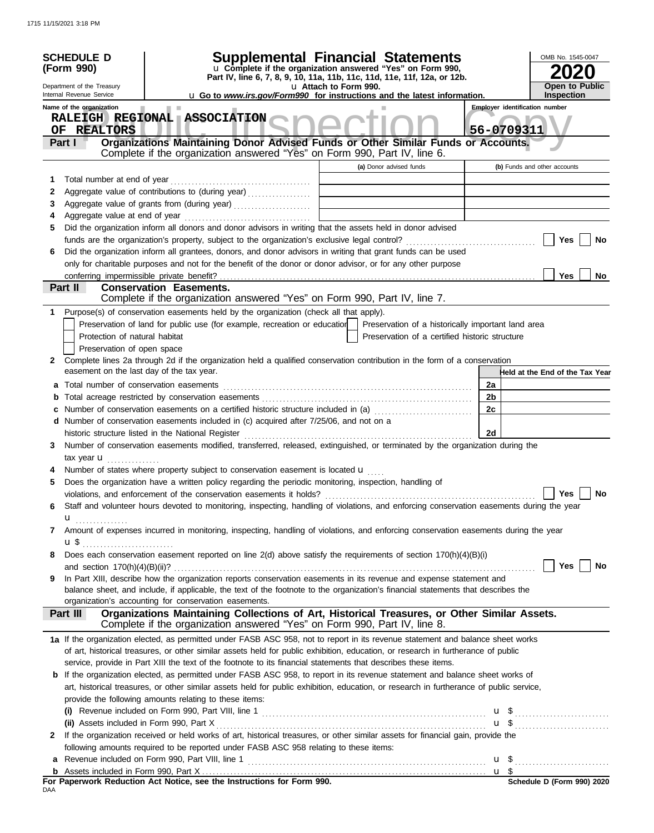|              | <b>SCHEDULE D</b><br>(Form 990)<br>Department of the Treasury<br>Internal Revenue Service<br>Name of the organization<br>RALEIGH REGIONAL ASSOCIATION | <b>Supplemental Financial Statements</b><br>u Complete if the organization answered "Yes" on Form 990,<br>Part IV, line 6, 7, 8, 9, 10, 11a, 11b, 11c, 11d, 11e, 11f, 12a, or 12b.<br><b>u</b> Go to <i>www.irs.gov/Form990</i> for instructions and the latest information. | OMB No. 1545-0047<br><b>Open to Public</b><br><b>Inspection</b><br><b>Employer identification number</b> |                                                |                                 |
|--------------|-------------------------------------------------------------------------------------------------------------------------------------------------------|------------------------------------------------------------------------------------------------------------------------------------------------------------------------------------------------------------------------------------------------------------------------------|----------------------------------------------------------------------------------------------------------|------------------------------------------------|---------------------------------|
|              | OF REALTORS<br>Part I                                                                                                                                 | Organizations Maintaining Donor Advised Funds or Other Similar Funds or Accounts.<br>Complete if the organization answered "Yes" on Form 990, Part IV, line 6.                                                                                                               |                                                                                                          |                                                | 56-0709311                      |
|              |                                                                                                                                                       |                                                                                                                                                                                                                                                                              | (a) Donor advised funds                                                                                  |                                                | (b) Funds and other accounts    |
| 1            |                                                                                                                                                       |                                                                                                                                                                                                                                                                              |                                                                                                          |                                                |                                 |
| 2            |                                                                                                                                                       | Aggregate value of contributions to (during year)                                                                                                                                                                                                                            |                                                                                                          |                                                |                                 |
| 3            |                                                                                                                                                       | Aggregate value of grants from (during year)                                                                                                                                                                                                                                 |                                                                                                          |                                                |                                 |
| 4            |                                                                                                                                                       |                                                                                                                                                                                                                                                                              |                                                                                                          |                                                |                                 |
| 5            |                                                                                                                                                       | Did the organization inform all donors and donor advisors in writing that the assets held in donor advised                                                                                                                                                                   |                                                                                                          |                                                |                                 |
|              |                                                                                                                                                       |                                                                                                                                                                                                                                                                              |                                                                                                          |                                                | Yes<br>No                       |
| 6            |                                                                                                                                                       | Did the organization inform all grantees, donors, and donor advisors in writing that grant funds can be used                                                                                                                                                                 |                                                                                                          |                                                |                                 |
|              |                                                                                                                                                       | only for charitable purposes and not for the benefit of the donor or donor advisor, or for any other purpose                                                                                                                                                                 |                                                                                                          |                                                |                                 |
|              |                                                                                                                                                       |                                                                                                                                                                                                                                                                              |                                                                                                          |                                                | <b>Yes</b><br>No                |
|              | Part II                                                                                                                                               | <b>Conservation Easements.</b>                                                                                                                                                                                                                                               |                                                                                                          |                                                |                                 |
|              |                                                                                                                                                       | Complete if the organization answered "Yes" on Form 990, Part IV, line 7.                                                                                                                                                                                                    |                                                                                                          |                                                |                                 |
| 1.           |                                                                                                                                                       | Purpose(s) of conservation easements held by the organization (check all that apply).                                                                                                                                                                                        |                                                                                                          |                                                |                                 |
|              | Protection of natural habitat                                                                                                                         | Preservation of land for public use (for example, recreation or education   Preservation of a historically important land area                                                                                                                                               |                                                                                                          |                                                |                                 |
|              |                                                                                                                                                       |                                                                                                                                                                                                                                                                              |                                                                                                          | Preservation of a certified historic structure |                                 |
| $\mathbf{2}$ | Preservation of open space                                                                                                                            | Complete lines 2a through 2d if the organization held a qualified conservation contribution in the form of a conservation                                                                                                                                                    |                                                                                                          |                                                |                                 |
|              | easement on the last day of the tax year.                                                                                                             |                                                                                                                                                                                                                                                                              |                                                                                                          |                                                | Held at the End of the Tax Year |
|              |                                                                                                                                                       |                                                                                                                                                                                                                                                                              |                                                                                                          | 2a                                             |                                 |
|              |                                                                                                                                                       |                                                                                                                                                                                                                                                                              |                                                                                                          | 2b                                             |                                 |
|              |                                                                                                                                                       |                                                                                                                                                                                                                                                                              |                                                                                                          | 2c                                             |                                 |
|              |                                                                                                                                                       | d Number of conservation easements included in (c) acquired after 7/25/06, and not on a                                                                                                                                                                                      |                                                                                                          |                                                |                                 |
|              |                                                                                                                                                       |                                                                                                                                                                                                                                                                              |                                                                                                          | 2d                                             |                                 |
| 3            |                                                                                                                                                       | Number of conservation easements modified, transferred, released, extinguished, or terminated by the organization during the                                                                                                                                                 |                                                                                                          |                                                |                                 |
|              | tax year $\mathbf{u}$ ,                                                                                                                               |                                                                                                                                                                                                                                                                              |                                                                                                          |                                                |                                 |
|              |                                                                                                                                                       | Number of states where property subject to conservation easement is located $\mathbf{u}$                                                                                                                                                                                     |                                                                                                          |                                                |                                 |
| 5            |                                                                                                                                                       | Does the organization have a written policy regarding the periodic monitoring, inspection, handling of                                                                                                                                                                       |                                                                                                          |                                                |                                 |
|              |                                                                                                                                                       | violations, and enforcement of the conservation easements it holds?                                                                                                                                                                                                          |                                                                                                          |                                                | Yes<br>No                       |
| 6            |                                                                                                                                                       | Staff and volunteer hours devoted to monitoring, inspecting, handling of violations, and enforcing conservation easements during the year                                                                                                                                    |                                                                                                          |                                                |                                 |
|              |                                                                                                                                                       |                                                                                                                                                                                                                                                                              |                                                                                                          |                                                |                                 |
| 7            |                                                                                                                                                       | Amount of expenses incurred in monitoring, inspecting, handling of violations, and enforcing conservation easements during the year                                                                                                                                          |                                                                                                          |                                                |                                 |
|              |                                                                                                                                                       |                                                                                                                                                                                                                                                                              |                                                                                                          |                                                |                                 |
| 8            |                                                                                                                                                       | Does each conservation easement reported on line 2(d) above satisfy the requirements of section 170(h)(4)(B)(i)                                                                                                                                                              |                                                                                                          |                                                |                                 |
|              |                                                                                                                                                       |                                                                                                                                                                                                                                                                              |                                                                                                          |                                                | Yes $ $  <br>No                 |
| 9            |                                                                                                                                                       | In Part XIII, describe how the organization reports conservation easements in its revenue and expense statement and                                                                                                                                                          |                                                                                                          |                                                |                                 |
|              |                                                                                                                                                       | balance sheet, and include, if applicable, the text of the footnote to the organization's financial statements that describes the                                                                                                                                            |                                                                                                          |                                                |                                 |
|              |                                                                                                                                                       | organization's accounting for conservation easements.                                                                                                                                                                                                                        |                                                                                                          |                                                |                                 |
|              | Part III                                                                                                                                              | Organizations Maintaining Collections of Art, Historical Treasures, or Other Similar Assets.<br>Complete if the organization answered "Yes" on Form 990, Part IV, line 8.                                                                                                    |                                                                                                          |                                                |                                 |
|              |                                                                                                                                                       | 1a If the organization elected, as permitted under FASB ASC 958, not to report in its revenue statement and balance sheet works                                                                                                                                              |                                                                                                          |                                                |                                 |
|              |                                                                                                                                                       | of art, historical treasures, or other similar assets held for public exhibition, education, or research in furtherance of public                                                                                                                                            |                                                                                                          |                                                |                                 |
|              |                                                                                                                                                       | service, provide in Part XIII the text of the footnote to its financial statements that describes these items.                                                                                                                                                               |                                                                                                          |                                                |                                 |
|              |                                                                                                                                                       | <b>b</b> If the organization elected, as permitted under FASB ASC 958, to report in its revenue statement and balance sheet works of                                                                                                                                         |                                                                                                          |                                                |                                 |
|              |                                                                                                                                                       | art, historical treasures, or other similar assets held for public exhibition, education, or research in furtherance of public service,                                                                                                                                      |                                                                                                          |                                                |                                 |
|              |                                                                                                                                                       | provide the following amounts relating to these items:                                                                                                                                                                                                                       |                                                                                                          |                                                |                                 |
|              |                                                                                                                                                       | (i) Revenue included on Form 990, Part VIII, line 1 $\ldots$ $\ldots$ $\ldots$ $\ldots$ $\ldots$ $\ldots$ $\ldots$ $\ldots$ $\ldots$ $\ldots$                                                                                                                                |                                                                                                          |                                                |                                 |
|              |                                                                                                                                                       |                                                                                                                                                                                                                                                                              |                                                                                                          |                                                |                                 |
| 2            |                                                                                                                                                       | If the organization received or held works of art, historical treasures, or other similar assets for financial gain, provide the                                                                                                                                             |                                                                                                          |                                                |                                 |
|              |                                                                                                                                                       | following amounts required to be reported under FASB ASC 958 relating to these items:                                                                                                                                                                                        |                                                                                                          |                                                |                                 |
|              |                                                                                                                                                       |                                                                                                                                                                                                                                                                              |                                                                                                          |                                                |                                 |
|              |                                                                                                                                                       |                                                                                                                                                                                                                                                                              |                                                                                                          |                                                |                                 |
| DAA          |                                                                                                                                                       | For Paperwork Reduction Act Notice, see the Instructions for Form 990.                                                                                                                                                                                                       |                                                                                                          |                                                | Schedule D (Form 990) 2020      |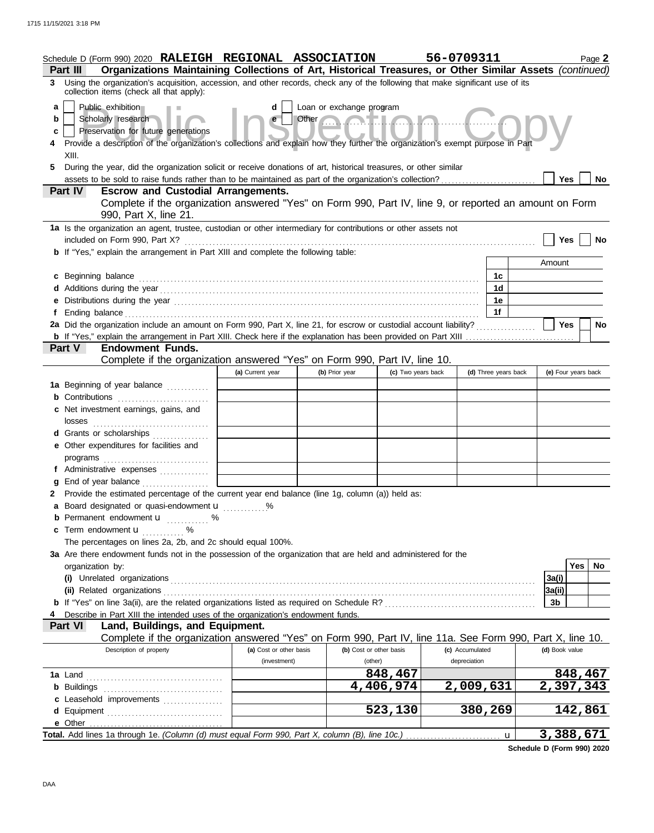|             | Schedule D (Form 990) 2020 RALEIGH REGIONAL ASSOCIATION                                                                                                                                                                        |                         |                                                                                                                                                                                                                                                                  |                         | 56-0709311      |                      |                | Page 2              |  |
|-------------|--------------------------------------------------------------------------------------------------------------------------------------------------------------------------------------------------------------------------------|-------------------------|------------------------------------------------------------------------------------------------------------------------------------------------------------------------------------------------------------------------------------------------------------------|-------------------------|-----------------|----------------------|----------------|---------------------|--|
|             | Organizations Maintaining Collections of Art, Historical Treasures, or Other Similar Assets (continued)<br>Part III                                                                                                            |                         |                                                                                                                                                                                                                                                                  |                         |                 |                      |                |                     |  |
| 3           | Using the organization's acquisition, accession, and other records, check any of the following that make significant use of its<br>collection items (check all that apply):                                                    |                         |                                                                                                                                                                                                                                                                  |                         |                 |                      |                |                     |  |
| a<br>b<br>C | Public exhibition<br>Scholarly research<br>Preservation for future generations<br>Provide a description of the organization's collections and explain how they further the organization's exempt purpose in Part               | d<br>e                  | Loan or exchange program<br>Other <b>Contains the Contact of the Contact of the Contact of the Contact of the Contact of the Contact of The Contact of The Contact of The Contact of The Contact of The Contact of The Contact of The Contact of The Contact</b> |                         |                 |                      |                |                     |  |
| 5           | XIII.<br>During the year, did the organization solicit or receive donations of art, historical treasures, or other similar                                                                                                     |                         |                                                                                                                                                                                                                                                                  |                         |                 |                      |                |                     |  |
|             |                                                                                                                                                                                                                                |                         |                                                                                                                                                                                                                                                                  |                         |                 |                      |                | Yes<br>No           |  |
|             | <b>Part IV</b><br><b>Escrow and Custodial Arrangements.</b><br>Complete if the organization answered "Yes" on Form 990, Part IV, line 9, or reported an amount on Form                                                         |                         |                                                                                                                                                                                                                                                                  |                         |                 |                      |                |                     |  |
|             | 990, Part X, line 21.                                                                                                                                                                                                          |                         |                                                                                                                                                                                                                                                                  |                         |                 |                      |                |                     |  |
|             | 1a Is the organization an agent, trustee, custodian or other intermediary for contributions or other assets not                                                                                                                |                         |                                                                                                                                                                                                                                                                  |                         |                 |                      |                | Yes<br>No           |  |
|             | <b>b</b> If "Yes," explain the arrangement in Part XIII and complete the following table:                                                                                                                                      |                         |                                                                                                                                                                                                                                                                  |                         |                 |                      |                |                     |  |
|             |                                                                                                                                                                                                                                |                         |                                                                                                                                                                                                                                                                  |                         |                 |                      | Amount         |                     |  |
|             | c Beginning balance                                                                                                                                                                                                            |                         |                                                                                                                                                                                                                                                                  |                         |                 | 1c                   |                |                     |  |
|             |                                                                                                                                                                                                                                |                         |                                                                                                                                                                                                                                                                  |                         |                 | 1d                   |                |                     |  |
|             | e Distributions during the year manufactured contains and the year manufactured with the set of the set of the set of the set of the set of the set of the set of the set of the set of the set of the set of the set of the s |                         |                                                                                                                                                                                                                                                                  |                         |                 | 1e                   |                |                     |  |
|             |                                                                                                                                                                                                                                |                         |                                                                                                                                                                                                                                                                  |                         |                 | 1f                   |                | Yes<br>No           |  |
|             |                                                                                                                                                                                                                                |                         |                                                                                                                                                                                                                                                                  |                         |                 |                      |                |                     |  |
|             | <b>Endowment Funds.</b><br><b>Part V</b>                                                                                                                                                                                       |                         |                                                                                                                                                                                                                                                                  |                         |                 |                      |                |                     |  |
|             | Complete if the organization answered "Yes" on Form 990, Part IV, line 10.                                                                                                                                                     |                         |                                                                                                                                                                                                                                                                  |                         |                 |                      |                |                     |  |
|             |                                                                                                                                                                                                                                | (a) Current year        | (b) Prior year                                                                                                                                                                                                                                                   | (c) Two years back      |                 | (d) Three years back |                | (e) Four years back |  |
|             | 1a Beginning of year balance                                                                                                                                                                                                   |                         |                                                                                                                                                                                                                                                                  |                         |                 |                      |                |                     |  |
|             | <b>b</b> Contributions                                                                                                                                                                                                         |                         |                                                                                                                                                                                                                                                                  |                         |                 |                      |                |                     |  |
|             | c Net investment earnings, gains, and                                                                                                                                                                                          |                         |                                                                                                                                                                                                                                                                  |                         |                 |                      |                |                     |  |
|             | d Grants or scholarships                                                                                                                                                                                                       |                         |                                                                                                                                                                                                                                                                  |                         |                 |                      |                |                     |  |
|             | e Other expenditures for facilities and                                                                                                                                                                                        |                         |                                                                                                                                                                                                                                                                  |                         |                 |                      |                |                     |  |
|             |                                                                                                                                                                                                                                |                         |                                                                                                                                                                                                                                                                  |                         |                 |                      |                |                     |  |
|             | f Administrative expenses                                                                                                                                                                                                      |                         |                                                                                                                                                                                                                                                                  |                         |                 |                      |                |                     |  |
|             | <b>g</b> End of year balance $\ldots$<br>2 Provide the estimated percentage of the current year end balance (line 1g, column (a)) held as:                                                                                     |                         |                                                                                                                                                                                                                                                                  |                         |                 |                      |                |                     |  |
|             | a Board designated or quasi-endowment u                                                                                                                                                                                        |                         |                                                                                                                                                                                                                                                                  |                         |                 |                      |                |                     |  |
|             | <b>b</b> Permanent endowment <b>u</b> %                                                                                                                                                                                        |                         |                                                                                                                                                                                                                                                                  |                         |                 |                      |                |                     |  |
|             | c Term endowment <b>u</b> %                                                                                                                                                                                                    |                         |                                                                                                                                                                                                                                                                  |                         |                 |                      |                |                     |  |
|             | The percentages on lines 2a, 2b, and 2c should equal 100%.                                                                                                                                                                     |                         |                                                                                                                                                                                                                                                                  |                         |                 |                      |                |                     |  |
|             | 3a Are there endowment funds not in the possession of the organization that are held and administered for the                                                                                                                  |                         |                                                                                                                                                                                                                                                                  |                         |                 |                      |                |                     |  |
|             | organization by:                                                                                                                                                                                                               |                         |                                                                                                                                                                                                                                                                  |                         |                 |                      |                | Yes  <br>No         |  |
|             |                                                                                                                                                                                                                                |                         |                                                                                                                                                                                                                                                                  |                         |                 |                      | 3a(i)          |                     |  |
|             |                                                                                                                                                                                                                                |                         |                                                                                                                                                                                                                                                                  |                         |                 |                      | 3a(ii)         |                     |  |
|             | Describe in Part XIII the intended uses of the organization's endowment funds.                                                                                                                                                 |                         |                                                                                                                                                                                                                                                                  |                         |                 |                      | 3b             |                     |  |
|             | Land, Buildings, and Equipment.<br><b>Part VI</b>                                                                                                                                                                              |                         |                                                                                                                                                                                                                                                                  |                         |                 |                      |                |                     |  |
|             | Complete if the organization answered "Yes" on Form 990, Part IV, line 11a. See Form 990, Part X, line 10.                                                                                                                     |                         |                                                                                                                                                                                                                                                                  |                         |                 |                      |                |                     |  |
|             | Description of property                                                                                                                                                                                                        | (a) Cost or other basis |                                                                                                                                                                                                                                                                  | (b) Cost or other basis | (c) Accumulated |                      | (d) Book value |                     |  |
|             |                                                                                                                                                                                                                                | (investment)            | (other)                                                                                                                                                                                                                                                          |                         | depreciation    |                      |                |                     |  |
|             |                                                                                                                                                                                                                                |                         |                                                                                                                                                                                                                                                                  | 848,467                 |                 |                      |                | 848,467             |  |
|             |                                                                                                                                                                                                                                |                         |                                                                                                                                                                                                                                                                  | 4,406,974               | 2,009,631       |                      |                | 2,397,343           |  |
|             | c Leasehold improvements<br>d Equipment                                                                                                                                                                                        |                         |                                                                                                                                                                                                                                                                  | 523,130                 |                 | 380,269              |                | 142,861             |  |
|             | e Other                                                                                                                                                                                                                        |                         |                                                                                                                                                                                                                                                                  |                         |                 |                      |                |                     |  |
|             |                                                                                                                                                                                                                                |                         |                                                                                                                                                                                                                                                                  |                         |                 | $\mathbf u$          |                | 3,388,671           |  |

**Schedule D (Form 990) 2020**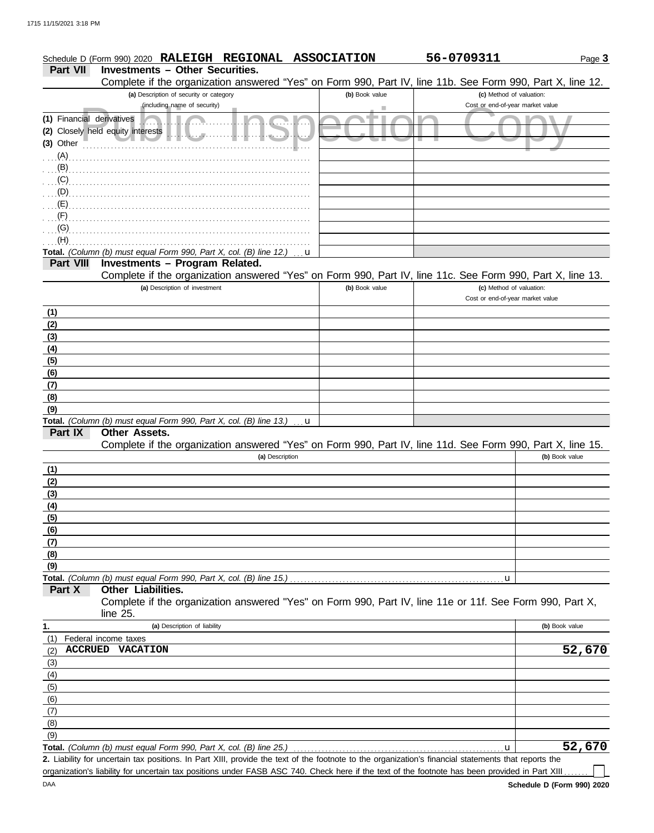|                                | Schedule D (Form 990) 2020 RALEIGH REGIONAL ASSOCIATION                                                                                               |                | 56-0709311                       | Page 3         |
|--------------------------------|-------------------------------------------------------------------------------------------------------------------------------------------------------|----------------|----------------------------------|----------------|
| Part VII                       | <b>Investments - Other Securities.</b>                                                                                                                |                |                                  |                |
|                                | Complete if the organization answered "Yes" on Form 990, Part IV, line 11b. See Form 990, Part X, line 12.<br>(a) Description of security or category | (b) Book value | (c) Method of valuation:         |                |
|                                | (including name of security)                                                                                                                          |                | Cost or end-of-year market value |                |
| (1) Financial derivatives      |                                                                                                                                                       |                |                                  |                |
|                                | (2) Closely held equity interests<br>$\mathbf{u}$ , , , , , ,                                                                                         |                |                                  |                |
| $(3)$ Other                    |                                                                                                                                                       |                |                                  |                |
| $(A)$ .                        |                                                                                                                                                       |                |                                  |                |
| $\ldots$ (B)                   |                                                                                                                                                       |                |                                  |                |
| (C)                            |                                                                                                                                                       |                |                                  |                |
| $\mathbf{D}$ (D), $\mathbf{D}$ |                                                                                                                                                       |                |                                  |                |
| (E)                            |                                                                                                                                                       |                |                                  |                |
| $(+)$                          |                                                                                                                                                       |                |                                  |                |
| (G)                            |                                                                                                                                                       |                |                                  |                |
| (H)                            |                                                                                                                                                       |                |                                  |                |
| <b>Part VIII</b>               | Total. (Column (b) must equal Form 990, Part X, col. (B) line 12.)<br>Investments - Program Related.                                                  | u              |                                  |                |
|                                | Complete if the organization answered "Yes" on Form 990, Part IV, line 11c. See Form 990, Part X, line 13.                                            |                |                                  |                |
|                                | (a) Description of investment                                                                                                                         | (b) Book value | (c) Method of valuation:         |                |
|                                |                                                                                                                                                       |                | Cost or end-of-year market value |                |
| (1)                            |                                                                                                                                                       |                |                                  |                |
| (2)                            |                                                                                                                                                       |                |                                  |                |
| (3)                            |                                                                                                                                                       |                |                                  |                |
| (4)                            |                                                                                                                                                       |                |                                  |                |
| (5)                            |                                                                                                                                                       |                |                                  |                |
| (6)                            |                                                                                                                                                       |                |                                  |                |
| (7)                            |                                                                                                                                                       |                |                                  |                |
| (8)                            |                                                                                                                                                       |                |                                  |                |
| (9)                            |                                                                                                                                                       |                |                                  |                |
|                                | Total. (Column (b) must equal Form 990, Part X, col. (B) line 13.)                                                                                    | u              |                                  |                |
| Part IX                        | Other Assets.<br>Complete if the organization answered "Yes" on Form 990, Part IV, line 11d. See Form 990, Part X, line 15.                           |                |                                  |                |
|                                | (a) Description                                                                                                                                       |                |                                  | (b) Book value |
| (1)                            |                                                                                                                                                       |                |                                  |                |
| (2)                            |                                                                                                                                                       |                |                                  |                |
| (3)                            |                                                                                                                                                       |                |                                  |                |
| (4)                            |                                                                                                                                                       |                |                                  |                |
| (5)                            |                                                                                                                                                       |                |                                  |                |
| (6)                            |                                                                                                                                                       |                |                                  |                |
| (7)                            |                                                                                                                                                       |                |                                  |                |
| (8)                            |                                                                                                                                                       |                |                                  |                |
| (9)                            |                                                                                                                                                       |                |                                  |                |
|                                | Total. (Column (b) must equal Form 990, Part X, col. (B) line 15.)                                                                                    |                | u                                |                |
| Part X                         | Other Liabilities.                                                                                                                                    |                |                                  |                |
|                                | Complete if the organization answered "Yes" on Form 990, Part IV, line 11e or 11f. See Form 990, Part X,                                              |                |                                  |                |
|                                | line 25.                                                                                                                                              |                |                                  |                |
| 1.<br>(1)                      | (a) Description of liability                                                                                                                          |                |                                  | (b) Book value |
| (2)                            | Federal income taxes<br><b>ACCRUED VACATION</b>                                                                                                       |                |                                  | 52,670         |
| (3)                            |                                                                                                                                                       |                |                                  |                |
| (4)                            |                                                                                                                                                       |                |                                  |                |
| (5)                            |                                                                                                                                                       |                |                                  |                |
| (6)                            |                                                                                                                                                       |                |                                  |                |
| (7)                            |                                                                                                                                                       |                |                                  |                |
| (8)                            |                                                                                                                                                       |                |                                  |                |
| (9)                            |                                                                                                                                                       |                |                                  |                |
|                                | Total. (Column (b) must equal Form 990, Part X, col. (B) line 25.)                                                                                    |                | $\mathbf u$                      | 52,670         |

Total. *(Column (b) must equal Form 990, Part X, col. (B) line 25.)* 

Liability for uncertain tax positions. In Part XIII, provide the text of the footnote to the organization's financial statements that reports the **2.** organization's liability for uncertain tax positions under FASB ASC 740. Check here if the text of the footnote has been provided in Part XIII ...

 $\Box$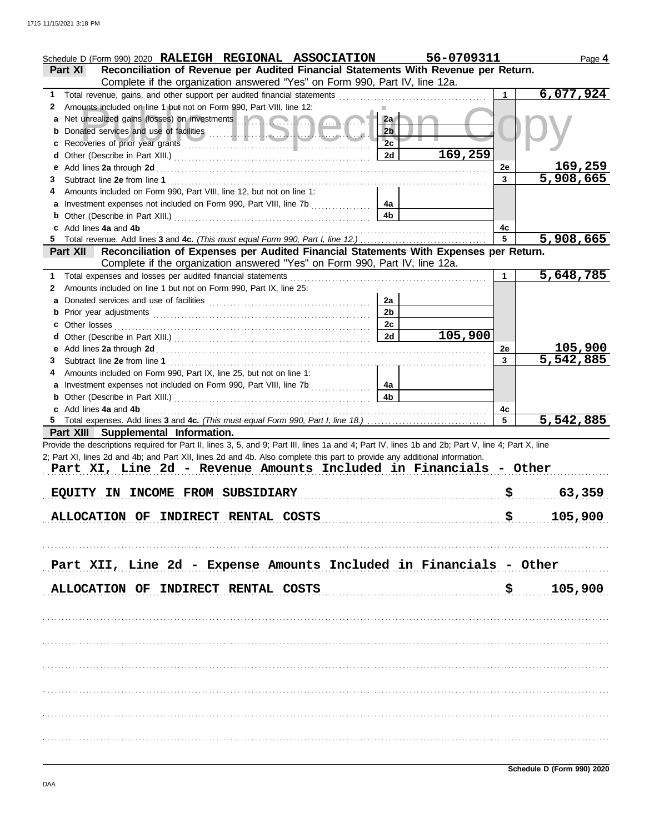|   | Schedule D (Form 990) 2020 RALEIGH REGIONAL ASSOCIATION                                                                                                                                                                              |                | 56-0709311 |         | Page 4         |
|---|--------------------------------------------------------------------------------------------------------------------------------------------------------------------------------------------------------------------------------------|----------------|------------|---------|----------------|
|   | Reconciliation of Revenue per Audited Financial Statements With Revenue per Return.<br>Part XI                                                                                                                                       |                |            |         |                |
|   | Complete if the organization answered "Yes" on Form 990, Part IV, line 12a.                                                                                                                                                          |                |            |         |                |
| 1 | Total revenue, gains, and other support per audited financial statements                                                                                                                                                             |                |            |         | 6,077,924      |
| 2 | Amounts included on line 1 but not on Form 990, Part VIII, line 12:                                                                                                                                                                  |                |            |         |                |
| a | Net unrealized gains (losses) on investments <b>and a strategie of the strategie of the strategie of the strategie of the strategie of the strategie of the strategie of the strategie of the strategie of the strategie of the </b> | 2a             |            |         |                |
|   |                                                                                                                                                                                                                                      | 2 <sub>b</sub> |            |         |                |
|   |                                                                                                                                                                                                                                      | 2c             |            |         |                |
| d |                                                                                                                                                                                                                                      | 2d             | 169,259    |         |                |
| е |                                                                                                                                                                                                                                      |                |            | 2e      | <u>169,259</u> |
| 3 |                                                                                                                                                                                                                                      |                |            | 3       | 5,908,665      |
| 4 | Amounts included on Form 990, Part VIII, line 12, but not on line 1:                                                                                                                                                                 |                |            |         |                |
| a |                                                                                                                                                                                                                                      | 4а             |            |         |                |
|   |                                                                                                                                                                                                                                      | 4b             |            |         |                |
| 5 | Add lines 4a and 4b                                                                                                                                                                                                                  |                |            | 4c<br>5 | 5,908,665      |
|   | Reconciliation of Expenses per Audited Financial Statements With Expenses per Return.<br><b>Part XII</b>                                                                                                                             |                |            |         |                |
|   | Complete if the organization answered "Yes" on Form 990, Part IV, line 12a.                                                                                                                                                          |                |            |         |                |
| 1 | Total expenses and losses per audited financial statements                                                                                                                                                                           |                |            |         | 5,648,785      |
| 2 | Amounts included on line 1 but not on Form 990, Part IX, line 25:                                                                                                                                                                    |                |            |         |                |
| a |                                                                                                                                                                                                                                      | 2a             |            |         |                |
|   |                                                                                                                                                                                                                                      | 2 <sub>b</sub> |            |         |                |
|   | Other losses                                                                                                                                                                                                                         | 2c             |            |         |                |
| d |                                                                                                                                                                                                                                      | 2d             | 105,900    |         |                |
| е |                                                                                                                                                                                                                                      |                |            | 2e      | 105,900        |
| З |                                                                                                                                                                                                                                      |                |            | 3       | 5,542,885      |
| 4 | Amounts included on Form 990, Part IX, line 25, but not on line 1:                                                                                                                                                                   |                |            |         |                |
| a |                                                                                                                                                                                                                                      | 4a             |            |         |                |
|   |                                                                                                                                                                                                                                      | 4b             |            |         |                |
|   | c Add lines 4a and 4b                                                                                                                                                                                                                |                |            | 4c      |                |
|   |                                                                                                                                                                                                                                      |                |            | 5       | 5,542,885      |
|   | Part XIII Supplemental Information.                                                                                                                                                                                                  |                |            |         |                |
|   | Provide the descriptions required for Part II, lines 3, 5, and 9; Part III, lines 1a and 4; Part IV, lines 1b and 2b; Part V, line 4; Part X, line                                                                                   |                |            |         |                |
|   | 2; Part XI, lines 2d and 4b; and Part XII, lines 2d and 4b. Also complete this part to provide any additional information.                                                                                                           |                |            |         |                |
|   | Part XI, Line 2d - Revenue Amounts Included in Financials - Other                                                                                                                                                                    |                |            |         |                |
|   |                                                                                                                                                                                                                                      |                |            |         |                |
|   | IN INCOME FROM SUBSIDIARY<br><b>EQUITY</b>                                                                                                                                                                                           |                |            |         | 63,359         |
|   | ALLOCATION OF INDIRECT RENTAL COSTS                                                                                                                                                                                                  |                |            | \$      | 105,900        |
|   |                                                                                                                                                                                                                                      |                |            |         |                |
|   |                                                                                                                                                                                                                                      |                |            |         |                |
|   |                                                                                                                                                                                                                                      |                |            |         |                |
|   | Part XII, Line 2d - Expense Amounts Included in Financials - Other                                                                                                                                                                   |                |            |         |                |
|   |                                                                                                                                                                                                                                      |                |            |         |                |
|   | <b>ALLOCATION OF</b><br>INDIRECT RENTAL COSTS                                                                                                                                                                                        |                |            | \$      | 105,900        |
|   |                                                                                                                                                                                                                                      |                |            |         |                |
|   |                                                                                                                                                                                                                                      |                |            |         |                |
|   |                                                                                                                                                                                                                                      |                |            |         |                |
|   |                                                                                                                                                                                                                                      |                |            |         |                |
|   |                                                                                                                                                                                                                                      |                |            |         |                |
|   |                                                                                                                                                                                                                                      |                |            |         |                |
|   |                                                                                                                                                                                                                                      |                |            |         |                |
|   |                                                                                                                                                                                                                                      |                |            |         |                |
|   |                                                                                                                                                                                                                                      |                |            |         |                |
|   |                                                                                                                                                                                                                                      |                |            |         |                |
|   |                                                                                                                                                                                                                                      |                |            |         |                |
|   |                                                                                                                                                                                                                                      |                |            |         |                |
|   |                                                                                                                                                                                                                                      |                |            |         |                |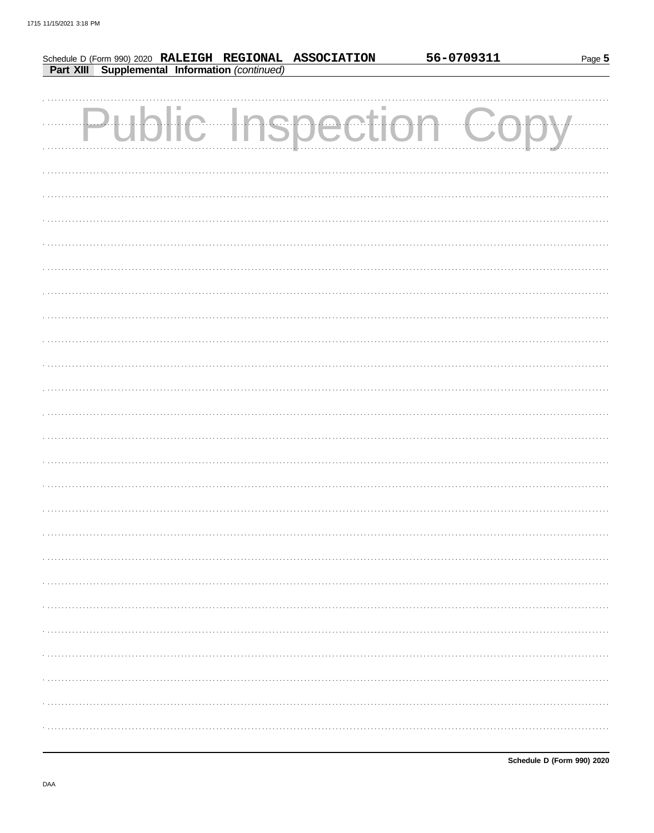|  |  |                                                                                                           | 56-0709311               | Page 5 |
|--|--|-----------------------------------------------------------------------------------------------------------|--------------------------|--------|
|  |  | Schedule D (Form 990) 2020 RALEIGH REGIONAL ASSOCIATION<br>Part XIII Supplemental Information (continued) |                          |        |
|  |  |                                                                                                           |                          |        |
|  |  |                                                                                                           |                          |        |
|  |  | <b>Public Inspection</b>                                                                                  |                          |        |
|  |  |                                                                                                           | $\overline{\phantom{a}}$ |        |
|  |  |                                                                                                           |                          |        |
|  |  |                                                                                                           |                          |        |
|  |  |                                                                                                           |                          |        |
|  |  |                                                                                                           |                          |        |
|  |  |                                                                                                           |                          |        |
|  |  |                                                                                                           |                          |        |
|  |  |                                                                                                           |                          |        |
|  |  |                                                                                                           |                          |        |
|  |  |                                                                                                           |                          |        |
|  |  |                                                                                                           |                          |        |
|  |  |                                                                                                           |                          |        |
|  |  |                                                                                                           |                          |        |
|  |  |                                                                                                           |                          |        |
|  |  |                                                                                                           |                          |        |
|  |  |                                                                                                           |                          |        |
|  |  |                                                                                                           |                          |        |
|  |  |                                                                                                           |                          |        |
|  |  |                                                                                                           |                          |        |
|  |  |                                                                                                           |                          |        |
|  |  |                                                                                                           |                          |        |
|  |  |                                                                                                           |                          |        |
|  |  |                                                                                                           |                          |        |
|  |  |                                                                                                           |                          |        |
|  |  |                                                                                                           |                          |        |
|  |  |                                                                                                           |                          |        |
|  |  |                                                                                                           |                          |        |
|  |  |                                                                                                           |                          |        |
|  |  |                                                                                                           |                          |        |
|  |  |                                                                                                           |                          |        |
|  |  |                                                                                                           |                          |        |
|  |  |                                                                                                           |                          |        |
|  |  |                                                                                                           |                          |        |
|  |  |                                                                                                           |                          |        |
|  |  |                                                                                                           |                          |        |
|  |  |                                                                                                           |                          |        |
|  |  |                                                                                                           |                          |        |
|  |  |                                                                                                           |                          |        |
|  |  |                                                                                                           |                          |        |
|  |  |                                                                                                           |                          |        |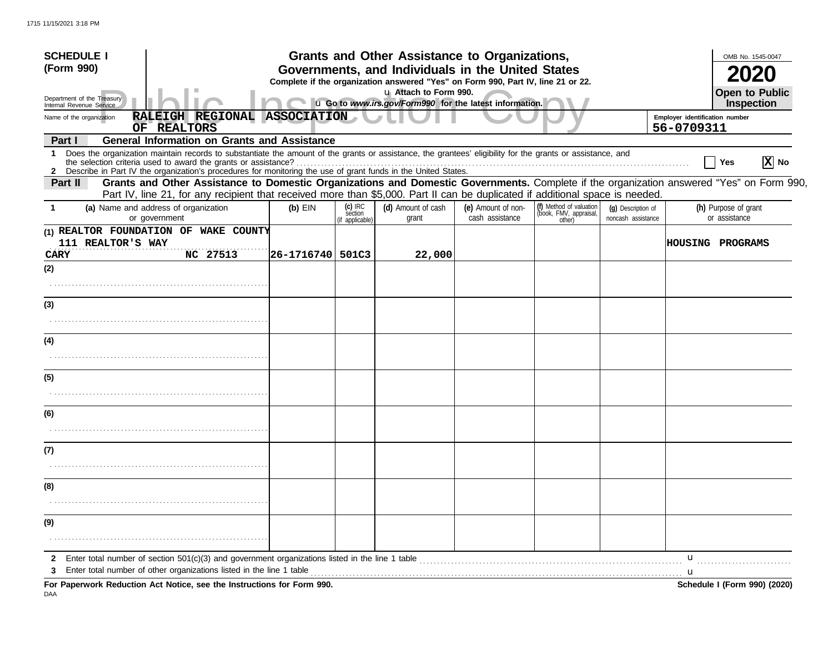| <b>SCHEDULE I</b>                                                                                                                                                                                                                                                                    |            |                                        | Grants and Other Assistance to Organizations,                                                                                         |                                       |                                                             |                                          |                                | OMB No. 1545-0047                     |                   |
|--------------------------------------------------------------------------------------------------------------------------------------------------------------------------------------------------------------------------------------------------------------------------------------|------------|----------------------------------------|---------------------------------------------------------------------------------------------------------------------------------------|---------------------------------------|-------------------------------------------------------------|------------------------------------------|--------------------------------|---------------------------------------|-------------------|
| (Form 990)                                                                                                                                                                                                                                                                           |            |                                        | Governments, and Individuals in the United States<br>Complete if the organization answered "Yes" on Form 990, Part IV, line 21 or 22. |                                       |                                                             |                                          |                                |                                       |                   |
| Department of the Treasury<br>Internal Revenue Service                                                                                                                                                                                                                               |            |                                        | u Attach to Form 990.<br>u Go to www.irs.gov/Form990 for the latest information.                                                      |                                       |                                                             |                                          |                                | Open to Public<br>Inspection          |                   |
| RALEIGH REGIONAL ASSOCIATION<br>Name of the organization                                                                                                                                                                                                                             |            |                                        |                                                                                                                                       |                                       |                                                             |                                          | Employer identification number |                                       |                   |
| OF REALTORS                                                                                                                                                                                                                                                                          |            |                                        |                                                                                                                                       |                                       |                                                             |                                          | 56-0709311                     |                                       |                   |
| <b>General Information on Grants and Assistance</b><br>Part I                                                                                                                                                                                                                        |            |                                        |                                                                                                                                       |                                       |                                                             |                                          |                                |                                       |                   |
| Does the organization maintain records to substantiate the amount of the grants or assistance, the grantees' eligibility for the grants or assistance, and<br>1<br>2 Describe in Part IV the organization's procedures for monitoring the use of grant funds in the United States.   |            |                                        |                                                                                                                                       |                                       |                                                             |                                          |                                | Yes                                   | $ \mathbf{X} $ No |
| Grants and Other Assistance to Domestic Organizations and Domestic Governments. Complete if the organization answered "Yes" on Form 990,<br>Part II<br>Part IV, line 21, for any recipient that received more than \$5,000. Part II can be duplicated if additional space is needed. |            |                                        |                                                                                                                                       |                                       |                                                             |                                          |                                |                                       |                   |
| (a) Name and address of organization<br>or government                                                                                                                                                                                                                                | $(b)$ EIN  | $(c)$ IRC<br>séction<br>if applicable) | (d) Amount of cash<br>grant                                                                                                           | (e) Amount of non-<br>cash assistance | (f) Method of valuation<br>(book, FMV, appraisal,<br>other) | (g) Description of<br>noncash assistance |                                | (h) Purpose of grant<br>or assistance |                   |
| (1) REALTOR FOUNDATION OF WAKE COUNTY<br>111 REALTOR'S WAY                                                                                                                                                                                                                           |            |                                        |                                                                                                                                       |                                       |                                                             |                                          |                                | <b>HOUSING PROGRAMS</b>               |                   |
| NC 27513<br><b>CARY</b>                                                                                                                                                                                                                                                              | 26-1716740 | 501C3                                  | 22,000                                                                                                                                |                                       |                                                             |                                          |                                |                                       |                   |
| (2)                                                                                                                                                                                                                                                                                  |            |                                        |                                                                                                                                       |                                       |                                                             |                                          |                                |                                       |                   |
|                                                                                                                                                                                                                                                                                      |            |                                        |                                                                                                                                       |                                       |                                                             |                                          |                                |                                       |                   |
| (3)                                                                                                                                                                                                                                                                                  |            |                                        |                                                                                                                                       |                                       |                                                             |                                          |                                |                                       |                   |
|                                                                                                                                                                                                                                                                                      |            |                                        |                                                                                                                                       |                                       |                                                             |                                          |                                |                                       |                   |
| (4)                                                                                                                                                                                                                                                                                  |            |                                        |                                                                                                                                       |                                       |                                                             |                                          |                                |                                       |                   |
|                                                                                                                                                                                                                                                                                      |            |                                        |                                                                                                                                       |                                       |                                                             |                                          |                                |                                       |                   |
| (5)                                                                                                                                                                                                                                                                                  |            |                                        |                                                                                                                                       |                                       |                                                             |                                          |                                |                                       |                   |
|                                                                                                                                                                                                                                                                                      |            |                                        |                                                                                                                                       |                                       |                                                             |                                          |                                |                                       |                   |
| (6)                                                                                                                                                                                                                                                                                  |            |                                        |                                                                                                                                       |                                       |                                                             |                                          |                                |                                       |                   |
|                                                                                                                                                                                                                                                                                      |            |                                        |                                                                                                                                       |                                       |                                                             |                                          |                                |                                       |                   |
| (7)                                                                                                                                                                                                                                                                                  |            |                                        |                                                                                                                                       |                                       |                                                             |                                          |                                |                                       |                   |
|                                                                                                                                                                                                                                                                                      |            |                                        |                                                                                                                                       |                                       |                                                             |                                          |                                |                                       |                   |
| (8)                                                                                                                                                                                                                                                                                  |            |                                        |                                                                                                                                       |                                       |                                                             |                                          |                                |                                       |                   |
|                                                                                                                                                                                                                                                                                      |            |                                        |                                                                                                                                       |                                       |                                                             |                                          |                                |                                       |                   |
| (9)                                                                                                                                                                                                                                                                                  |            |                                        |                                                                                                                                       |                                       |                                                             |                                          |                                |                                       |                   |
|                                                                                                                                                                                                                                                                                      |            |                                        |                                                                                                                                       |                                       |                                                             |                                          |                                |                                       |                   |
| 2                                                                                                                                                                                                                                                                                    |            |                                        |                                                                                                                                       |                                       |                                                             |                                          | u                              |                                       |                   |
| Enter total number of other organizations listed in the line 1 table                                                                                                                                                                                                                 |            |                                        |                                                                                                                                       |                                       |                                                             |                                          |                                |                                       |                   |
| For Paperwork Reduction Act Notice, see the Instructions for Form 990.                                                                                                                                                                                                               |            |                                        |                                                                                                                                       |                                       |                                                             |                                          |                                | Schedule I (Form 990) (2020)          |                   |

DAA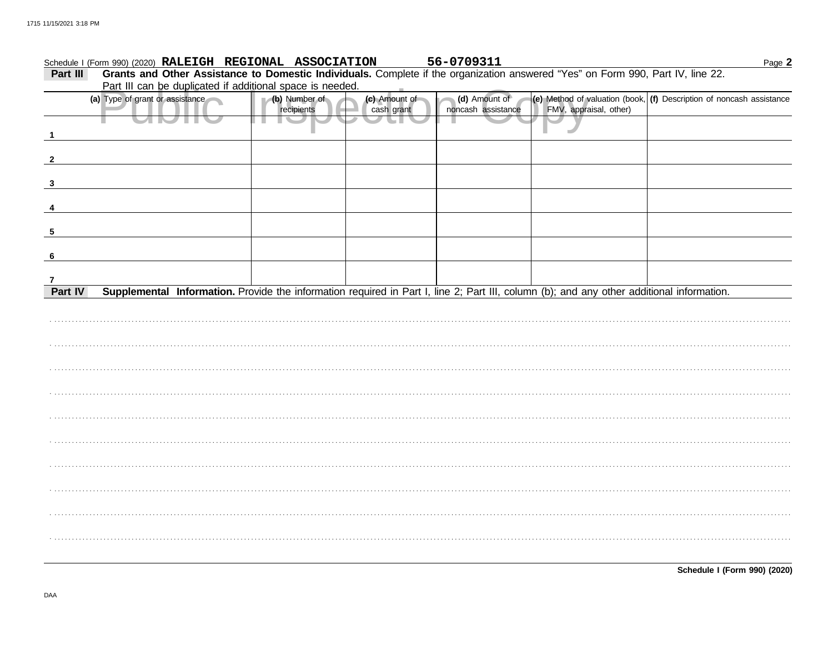|                         | Schedule I (Form 990) (2020) RALEIGH REGIONAL ASSOCIATION |                             |                             | 56-0709311                          |                        | Page 2                                                                                                                                    |
|-------------------------|-----------------------------------------------------------|-----------------------------|-----------------------------|-------------------------------------|------------------------|-------------------------------------------------------------------------------------------------------------------------------------------|
| Part III                |                                                           |                             |                             |                                     |                        | Grants and Other Assistance to Domestic Individuals. Complete if the organization answered "Yes" on Form 990, Part IV, line 22.           |
|                         | Part III can be duplicated if additional space is needed. |                             |                             |                                     |                        |                                                                                                                                           |
|                         | (a) Type of grant or assistance                           | (b) Number of<br>recipients | (c) Amount of<br>cash grant | (d) Amount of<br>noncash assistance | FMV, appraisal, other) | (e) Method of valuation (book, $(f)$ Description of noncash assistance                                                                    |
| $\overline{1}$          |                                                           |                             |                             |                                     |                        |                                                                                                                                           |
|                         |                                                           |                             |                             |                                     |                        |                                                                                                                                           |
| $\overline{\mathbf{2}}$ |                                                           |                             |                             |                                     |                        |                                                                                                                                           |
| 3                       |                                                           |                             |                             |                                     |                        |                                                                                                                                           |
| 4                       |                                                           |                             |                             |                                     |                        |                                                                                                                                           |
|                         |                                                           |                             |                             |                                     |                        |                                                                                                                                           |
| 5                       |                                                           |                             |                             |                                     |                        |                                                                                                                                           |
| $6\phantom{.}6$         |                                                           |                             |                             |                                     |                        |                                                                                                                                           |
| $\mathbf{7}$            |                                                           |                             |                             |                                     |                        |                                                                                                                                           |
| Part IV                 |                                                           |                             |                             |                                     |                        | Supplemental Information. Provide the information required in Part I, line 2; Part III, column (b); and any other additional information. |
|                         |                                                           |                             |                             |                                     |                        |                                                                                                                                           |
|                         |                                                           |                             |                             |                                     |                        |                                                                                                                                           |
|                         |                                                           |                             |                             |                                     |                        |                                                                                                                                           |
|                         |                                                           |                             |                             |                                     |                        |                                                                                                                                           |
|                         |                                                           |                             |                             |                                     |                        |                                                                                                                                           |
|                         |                                                           |                             |                             |                                     |                        |                                                                                                                                           |
|                         |                                                           |                             |                             |                                     |                        |                                                                                                                                           |
|                         |                                                           |                             |                             |                                     |                        |                                                                                                                                           |
|                         |                                                           |                             |                             |                                     |                        |                                                                                                                                           |
|                         |                                                           |                             |                             |                                     |                        |                                                                                                                                           |
|                         |                                                           |                             |                             |                                     |                        |                                                                                                                                           |

Schedule I (Form 990) (2020)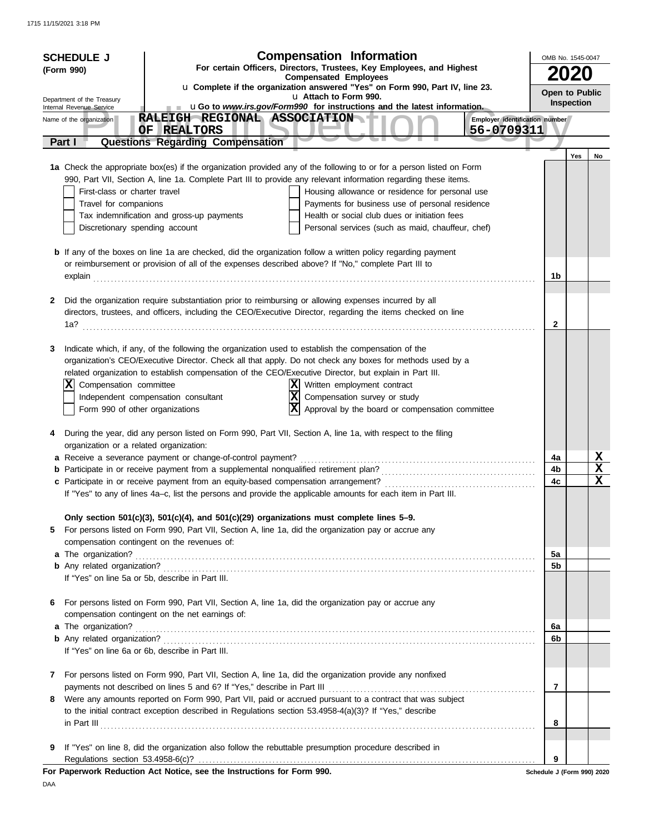| <b>Compensation Information</b><br><b>SCHEDULE J</b> |                                                        |                                                                                                                                                         |                                                                                                                                                                                                                                         |                            | OMB No. 1545-0047 |             |  |
|------------------------------------------------------|--------------------------------------------------------|---------------------------------------------------------------------------------------------------------------------------------------------------------|-----------------------------------------------------------------------------------------------------------------------------------------------------------------------------------------------------------------------------------------|----------------------------|-------------------|-------------|--|
|                                                      | (Form 990)                                             |                                                                                                                                                         | For certain Officers, Directors, Trustees, Key Employees, and Highest<br><b>Compensated Employees</b>                                                                                                                                   |                            |                   |             |  |
|                                                      |                                                        |                                                                                                                                                         | u Complete if the organization answered "Yes" on Form 990, Part IV, line 23.<br>u Attach to Form 990.                                                                                                                                   | Open to Public             |                   |             |  |
|                                                      | Department of the Treasury<br>Internal Revenue Service |                                                                                                                                                         | uGo to www.irs.gov/Form990 for instructions and the latest information.                                                                                                                                                                 |                            | Inspection        |             |  |
|                                                      | Name of the organization                               | RALEIGH REGIONAL ASSOCIATION<br>OF<br><b>REALTORS</b>                                                                                                   | Employer identification number<br>56-0709311                                                                                                                                                                                            |                            |                   |             |  |
|                                                      | Part I                                                 | <b>Questions Regarding Compensation</b>                                                                                                                 |                                                                                                                                                                                                                                         |                            |                   |             |  |
|                                                      |                                                        |                                                                                                                                                         |                                                                                                                                                                                                                                         |                            | Yes               | No          |  |
|                                                      |                                                        |                                                                                                                                                         | 1a Check the appropriate box(es) if the organization provided any of the following to or for a person listed on Form<br>990, Part VII, Section A, line 1a. Complete Part III to provide any relevant information regarding these items. |                            |                   |             |  |
|                                                      | First-class or charter travel                          |                                                                                                                                                         | Housing allowance or residence for personal use                                                                                                                                                                                         |                            |                   |             |  |
|                                                      | Travel for companions                                  |                                                                                                                                                         | Payments for business use of personal residence                                                                                                                                                                                         |                            |                   |             |  |
|                                                      |                                                        | Tax indemnification and gross-up payments                                                                                                               | Health or social club dues or initiation fees                                                                                                                                                                                           |                            |                   |             |  |
|                                                      | Discretionary spending account                         |                                                                                                                                                         | Personal services (such as maid, chauffeur, chef)                                                                                                                                                                                       |                            |                   |             |  |
|                                                      |                                                        |                                                                                                                                                         | <b>b</b> If any of the boxes on line 1a are checked, did the organization follow a written policy regarding payment                                                                                                                     |                            |                   |             |  |
|                                                      |                                                        | or reimbursement or provision of all of the expenses described above? If "No," complete Part III to                                                     |                                                                                                                                                                                                                                         |                            |                   |             |  |
|                                                      |                                                        |                                                                                                                                                         | explain continuous contract to the contract of the contract of the contract of the contract of the contract of the contract of the contract of the contract of the contract of the contract of the contract of the contract of          | 1b                         |                   |             |  |
| 2                                                    |                                                        | Did the organization require substantiation prior to reimbursing or allowing expenses incurred by all                                                   |                                                                                                                                                                                                                                         |                            |                   |             |  |
|                                                      |                                                        |                                                                                                                                                         | directors, trustees, and officers, including the CEO/Executive Director, regarding the items checked on line                                                                                                                            |                            |                   |             |  |
|                                                      | 1a?                                                    |                                                                                                                                                         |                                                                                                                                                                                                                                         | $\mathbf{2}$               |                   |             |  |
|                                                      |                                                        |                                                                                                                                                         |                                                                                                                                                                                                                                         |                            |                   |             |  |
| 3                                                    |                                                        | Indicate which, if any, of the following the organization used to establish the compensation of the                                                     | organization's CEO/Executive Director. Check all that apply. Do not check any boxes for methods used by a                                                                                                                               |                            |                   |             |  |
|                                                      |                                                        |                                                                                                                                                         | related organization to establish compensation of the CEO/Executive Director, but explain in Part III.                                                                                                                                  |                            |                   |             |  |
|                                                      | X<br>Compensation committee                            |                                                                                                                                                         | Written employment contract                                                                                                                                                                                                             |                            |                   |             |  |
|                                                      |                                                        | Independent compensation consultant                                                                                                                     | X<br>Compensation survey or study                                                                                                                                                                                                       |                            |                   |             |  |
|                                                      | Form 990 of other organizations                        |                                                                                                                                                         | Approval by the board or compensation committee                                                                                                                                                                                         |                            |                   |             |  |
| 4                                                    |                                                        |                                                                                                                                                         | During the year, did any person listed on Form 990, Part VII, Section A, line 1a, with respect to the filing                                                                                                                            |                            |                   |             |  |
|                                                      | organization or a related organization:                |                                                                                                                                                         |                                                                                                                                                                                                                                         |                            |                   |             |  |
|                                                      |                                                        |                                                                                                                                                         |                                                                                                                                                                                                                                         | 4a                         |                   | X           |  |
|                                                      |                                                        |                                                                                                                                                         |                                                                                                                                                                                                                                         | 4b                         |                   | $\mathbf x$ |  |
|                                                      |                                                        |                                                                                                                                                         | If "Yes" to any of lines 4a-c, list the persons and provide the applicable amounts for each item in Part III.                                                                                                                           | 4c                         |                   | X           |  |
|                                                      |                                                        |                                                                                                                                                         |                                                                                                                                                                                                                                         |                            |                   |             |  |
|                                                      |                                                        | Only section 501(c)(3), 501(c)(4), and 501(c)(29) organizations must complete lines 5-9.                                                                |                                                                                                                                                                                                                                         |                            |                   |             |  |
| 5                                                    |                                                        | For persons listed on Form 990, Part VII, Section A, line 1a, did the organization pay or accrue any                                                    |                                                                                                                                                                                                                                         |                            |                   |             |  |
|                                                      |                                                        | compensation contingent on the revenues of:                                                                                                             |                                                                                                                                                                                                                                         | 5a                         |                   |             |  |
|                                                      |                                                        |                                                                                                                                                         |                                                                                                                                                                                                                                         | 5b                         |                   |             |  |
|                                                      |                                                        | If "Yes" on line 5a or 5b, describe in Part III.                                                                                                        |                                                                                                                                                                                                                                         |                            |                   |             |  |
|                                                      |                                                        |                                                                                                                                                         |                                                                                                                                                                                                                                         |                            |                   |             |  |
| 6                                                    |                                                        | For persons listed on Form 990, Part VII, Section A, line 1a, did the organization pay or accrue any<br>compensation contingent on the net earnings of: |                                                                                                                                                                                                                                         |                            |                   |             |  |
|                                                      |                                                        |                                                                                                                                                         |                                                                                                                                                                                                                                         | 6a                         |                   |             |  |
|                                                      |                                                        |                                                                                                                                                         |                                                                                                                                                                                                                                         | 6b                         |                   |             |  |
|                                                      |                                                        | If "Yes" on line 6a or 6b, describe in Part III.                                                                                                        |                                                                                                                                                                                                                                         |                            |                   |             |  |
| 7                                                    |                                                        |                                                                                                                                                         | For persons listed on Form 990, Part VII, Section A, line 1a, did the organization provide any nonfixed                                                                                                                                 |                            |                   |             |  |
|                                                      |                                                        |                                                                                                                                                         |                                                                                                                                                                                                                                         | 7                          |                   |             |  |
| 8                                                    |                                                        |                                                                                                                                                         | Were any amounts reported on Form 990, Part VII, paid or accrued pursuant to a contract that was subject                                                                                                                                |                            |                   |             |  |
|                                                      |                                                        | to the initial contract exception described in Regulations section 53.4958-4(a)(3)? If "Yes," describe                                                  |                                                                                                                                                                                                                                         |                            |                   |             |  |
|                                                      |                                                        |                                                                                                                                                         |                                                                                                                                                                                                                                         | 8                          |                   |             |  |
| 9                                                    |                                                        |                                                                                                                                                         | If "Yes" on line 8, did the organization also follow the rebuttable presumption procedure described in                                                                                                                                  |                            |                   |             |  |
|                                                      | Regulations section 53.4958-6(c)?                      |                                                                                                                                                         |                                                                                                                                                                                                                                         | 9                          |                   |             |  |
|                                                      |                                                        | For Paperwork Reduction Act Notice, see the Instructions for Form 990.                                                                                  |                                                                                                                                                                                                                                         | Schedule J (Form 990) 2020 |                   |             |  |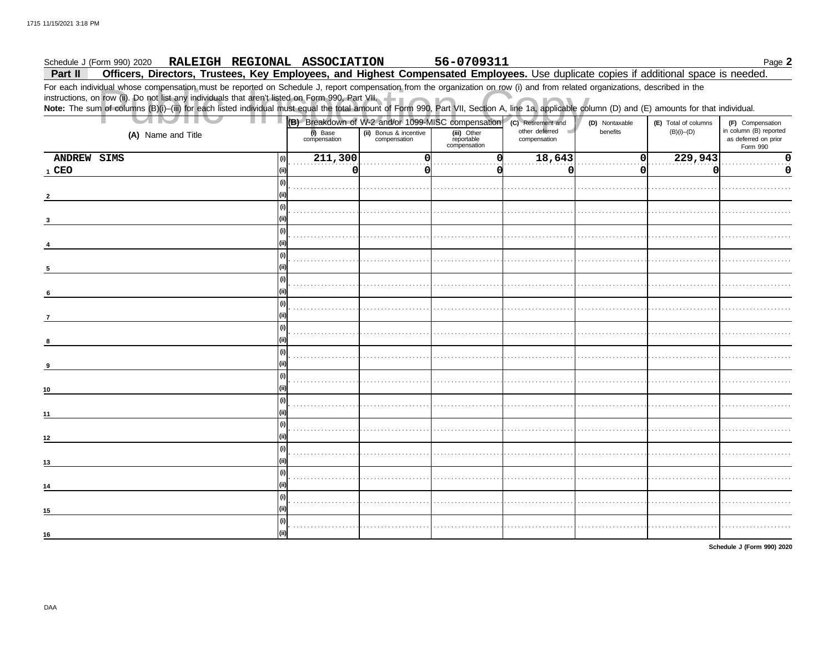### 56-0709311 Schedule J (Form 990) 2020 RALEIGH REGIONAL ASSOCIATION Page 2

Officers, Directors, Trustees, Key Employees, and Highest Compensated Employees. Use duplicate copies if additional space is needed. Part II

For each individual whose compensation must be reported on Schedule J, report compensation from the organization on row (i) and from related organizations, described in the instructions, on row (ii). Do not list any individuals that aren't listed on Form 990, Part VII.<br>Note: The sum of columns (B)(i)-(iii) for each listed individual must equal the total amount of Form 990, Part VII, Section A

| ٠<br>н.            |                          | (B) Breakdown of W-2 and/or 1099-MISC compensation (C) Retirement and |                                           |                                | (D) Nontaxable | (E) Total of columns | (F) Compensation                                           |  |
|--------------------|--------------------------|-----------------------------------------------------------------------|-------------------------------------------|--------------------------------|----------------|----------------------|------------------------------------------------------------|--|
| (A) Name and Title | (i) Base<br>compensation | (ii) Bonus & incentive<br>compensation                                | (iii) Other<br>reportable<br>compensation | other deferred<br>compensation | benefits       | $(B)(i)$ – $(D)$     | in column (B) reported<br>as deferred on prior<br>Form 990 |  |
| ANDREW SIMS        | 211,300<br>(i)           | $\Omega$                                                              |                                           | 18,643                         | 0              | 229,943              | n                                                          |  |
| 1 CEO              | 0<br>(ii)                | O                                                                     |                                           | $\Omega$                       | $\Omega$       | O                    | O                                                          |  |
|                    | (i)                      |                                                                       |                                           |                                |                |                      |                                                            |  |
|                    |                          |                                                                       |                                           |                                |                |                      |                                                            |  |
|                    | (i)                      |                                                                       |                                           |                                |                |                      |                                                            |  |
|                    |                          |                                                                       |                                           |                                |                |                      |                                                            |  |
|                    | (i)                      |                                                                       |                                           |                                |                |                      |                                                            |  |
|                    | (ii)                     |                                                                       |                                           |                                |                |                      |                                                            |  |
|                    | (i)                      |                                                                       |                                           |                                |                |                      |                                                            |  |
|                    |                          |                                                                       |                                           |                                |                |                      |                                                            |  |
| -5                 |                          |                                                                       |                                           |                                |                |                      |                                                            |  |
|                    | (i)                      |                                                                       |                                           |                                |                |                      |                                                            |  |
| 6                  |                          |                                                                       |                                           |                                |                |                      |                                                            |  |
|                    | (i)                      |                                                                       |                                           |                                |                |                      |                                                            |  |
| 7                  |                          |                                                                       |                                           |                                |                |                      |                                                            |  |
|                    | (i)                      |                                                                       |                                           |                                |                |                      |                                                            |  |
| 8                  |                          |                                                                       |                                           |                                |                |                      |                                                            |  |
|                    | l (i)                    |                                                                       |                                           |                                |                |                      |                                                            |  |
| 9                  |                          |                                                                       |                                           |                                |                |                      |                                                            |  |
|                    | l (i)                    |                                                                       |                                           |                                |                |                      |                                                            |  |
| 10                 | (ii)                     |                                                                       |                                           |                                |                |                      |                                                            |  |
|                    | (i)                      |                                                                       |                                           |                                |                |                      |                                                            |  |
| 11                 | (ii)                     |                                                                       |                                           |                                |                |                      |                                                            |  |
|                    | (i)                      |                                                                       |                                           |                                |                |                      |                                                            |  |
| 12                 | (iii)                    |                                                                       |                                           |                                |                |                      |                                                            |  |
|                    | (i)                      |                                                                       |                                           |                                |                |                      |                                                            |  |
| 13                 |                          |                                                                       |                                           |                                |                |                      |                                                            |  |
|                    | (i)                      |                                                                       |                                           |                                |                |                      |                                                            |  |
| 14                 |                          |                                                                       |                                           |                                |                |                      |                                                            |  |
|                    | (i)                      |                                                                       |                                           |                                |                |                      |                                                            |  |
| 15                 |                          |                                                                       |                                           |                                |                |                      |                                                            |  |
|                    | (i)                      |                                                                       |                                           |                                |                |                      |                                                            |  |
| 16                 | (iii)                    |                                                                       |                                           |                                |                |                      |                                                            |  |
|                    |                          |                                                                       |                                           |                                |                |                      |                                                            |  |

Schedule J (Form 990) 2020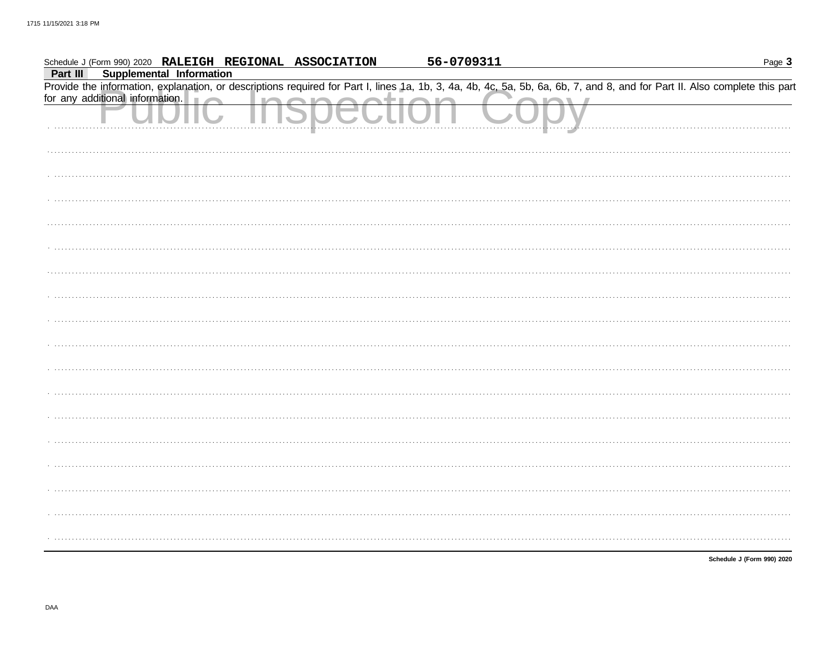|          | Schedule J (Form 990) 2020 RALEIGH REGIONAL ASSOCIATION | 56-0709311                                                                                                                                                                 | Page 3                     |
|----------|---------------------------------------------------------|----------------------------------------------------------------------------------------------------------------------------------------------------------------------------|----------------------------|
| Part III | <b>Supplemental Information</b>                         |                                                                                                                                                                            |                            |
|          |                                                         | Provide the information, explanation, or descriptions required for Part I, lines 1a, 1b, 3, 4a, 4b, 4c, 5a, 5b, 6a, 6b, 7, and 8, and for Part II. Also complete this part |                            |
|          | for any additional information.                         |                                                                                                                                                                            |                            |
|          |                                                         |                                                                                                                                                                            |                            |
|          |                                                         |                                                                                                                                                                            |                            |
|          |                                                         |                                                                                                                                                                            |                            |
|          |                                                         |                                                                                                                                                                            |                            |
|          |                                                         |                                                                                                                                                                            |                            |
|          |                                                         |                                                                                                                                                                            |                            |
|          |                                                         |                                                                                                                                                                            |                            |
|          |                                                         |                                                                                                                                                                            |                            |
|          |                                                         |                                                                                                                                                                            |                            |
|          |                                                         |                                                                                                                                                                            |                            |
|          |                                                         |                                                                                                                                                                            |                            |
|          |                                                         |                                                                                                                                                                            |                            |
|          |                                                         |                                                                                                                                                                            |                            |
|          |                                                         |                                                                                                                                                                            |                            |
|          |                                                         |                                                                                                                                                                            |                            |
|          |                                                         |                                                                                                                                                                            |                            |
|          |                                                         |                                                                                                                                                                            |                            |
|          |                                                         |                                                                                                                                                                            |                            |
|          |                                                         |                                                                                                                                                                            |                            |
|          |                                                         |                                                                                                                                                                            |                            |
|          |                                                         |                                                                                                                                                                            |                            |
|          |                                                         |                                                                                                                                                                            |                            |
|          |                                                         |                                                                                                                                                                            |                            |
|          |                                                         |                                                                                                                                                                            |                            |
|          |                                                         |                                                                                                                                                                            |                            |
|          |                                                         |                                                                                                                                                                            |                            |
|          |                                                         |                                                                                                                                                                            |                            |
|          |                                                         |                                                                                                                                                                            |                            |
|          |                                                         |                                                                                                                                                                            |                            |
|          |                                                         |                                                                                                                                                                            |                            |
|          |                                                         |                                                                                                                                                                            |                            |
|          |                                                         |                                                                                                                                                                            | Schedule J (Form 990) 2020 |
|          |                                                         |                                                                                                                                                                            |                            |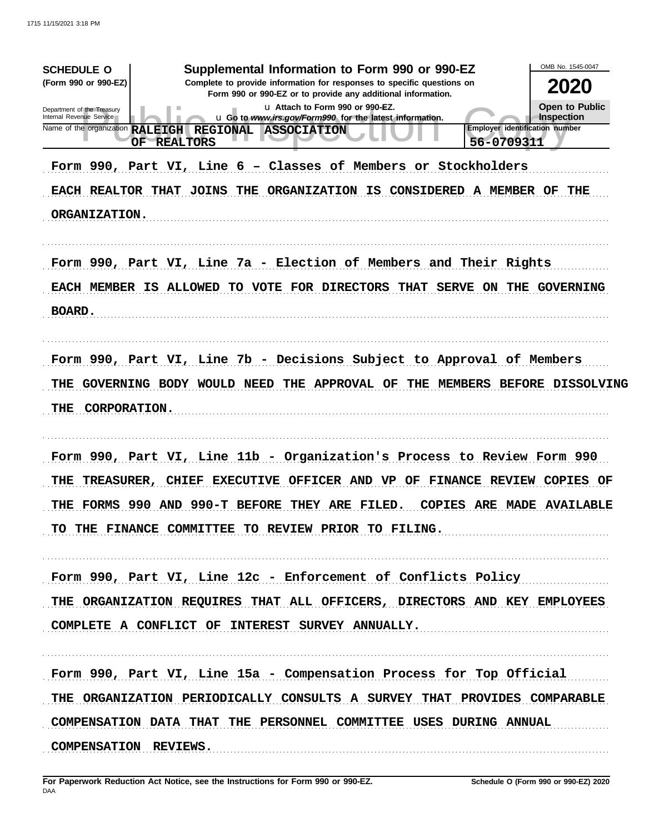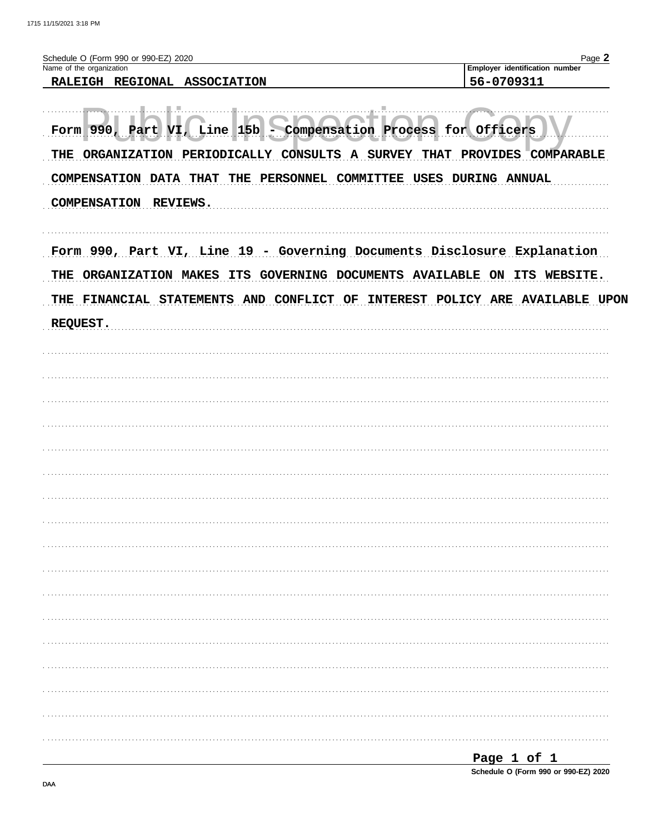| Name of the organization                                                | Employer identification number                                       |
|-------------------------------------------------------------------------|----------------------------------------------------------------------|
| REGIONAL ASSOCIATION<br><b>RALEIGH</b>                                  | 56-0709311                                                           |
|                                                                         |                                                                      |
|                                                                         |                                                                      |
|                                                                         |                                                                      |
| 15 <sub>b</sub><br>990.<br>Compensation<br>VT .<br>Line<br>Part<br>Form | Process for<br>Officers                                              |
|                                                                         |                                                                      |
| CONSULTS<br>THE<br>PERIODICALLY<br><b>ORGANIZATION</b><br>$\mathbf{A}$  | <b>COMPARABLE</b><br><b>SURVEY</b><br><b>THAT</b><br><b>PROVIDES</b> |
| THAT THE PERSONNEL<br><b>COMPENSATION</b><br><b>DATA</b>                | USES<br><b>COMMITTEE</b><br><b>DURING</b><br>ANNUAL                  |
|                                                                         |                                                                      |
| <b>COMPENSATION</b><br><b>REVIEWS.</b>                                  |                                                                      |
|                                                                         |                                                                      |

| Form 990, Part VI, Line 19 - Governing Documents Disclosure Explanation     |
|-----------------------------------------------------------------------------|
| THE ORGANIZATION MAKES ITS GOVERNING DOCUMENTS AVAILABLE ON ITS WEBSITE.    |
| THE FINANCIAL STATEMENTS AND CONFLICT OF INTEREST POLICY ARE AVAILABLE UPON |
| REQUEST.                                                                    |
|                                                                             |
|                                                                             |
|                                                                             |
|                                                                             |
|                                                                             |
|                                                                             |
|                                                                             |
|                                                                             |
|                                                                             |
|                                                                             |
|                                                                             |
|                                                                             |
|                                                                             |
|                                                                             |
|                                                                             |
|                                                                             |
|                                                                             |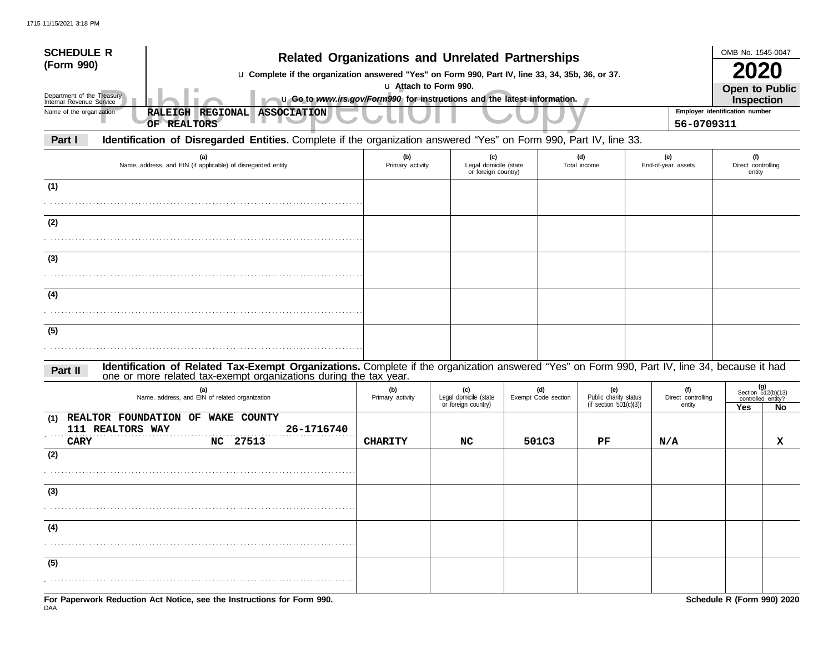| <b>SCHEDULE R</b><br>(Form 990)                        | <b>Related Organizations and Unrelated Partnerships</b>                                                                                                                                                            |                         |                                                     |                                     |                                                           |                                              | OMB No. 1545-0047                                        |    |  |  |  |
|--------------------------------------------------------|--------------------------------------------------------------------------------------------------------------------------------------------------------------------------------------------------------------------|-------------------------|-----------------------------------------------------|-------------------------------------|-----------------------------------------------------------|----------------------------------------------|----------------------------------------------------------|----|--|--|--|
| Department of the Treasury<br>Internal Revenue Service | u Complete if the organization answered "Yes" on Form 990, Part IV, line 33, 34, 35b, 36, or 37.<br>u Go to www.irs.gov/Form990 for instructions and the latest information.                                       | u Attach to Form 990.   |                                                     | <b>Open to Public</b><br>Inspection |                                                           |                                              |                                                          |    |  |  |  |
| Name of the organization                               | RALEIGH REGIONAL ASSOCIATION<br>OF REALTORS                                                                                                                                                                        |                         |                                                     |                                     |                                                           | Employer identification number<br>56-0709311 |                                                          |    |  |  |  |
| Part I                                                 | Identification of Disregarded Entities. Complete if the organization answered "Yes" on Form 990, Part IV, line 33.                                                                                                 |                         |                                                     |                                     |                                                           |                                              |                                                          |    |  |  |  |
|                                                        | (a)<br>Name, address, and EIN (if applicable) of disregarded entity                                                                                                                                                | (b)<br>Primary activity | (c)<br>Legal domicile (state<br>or foreign country) |                                     | (d)<br>Total income                                       | (e)<br>End-of-year assets                    | (f)<br>Direct controlling<br>entity                      |    |  |  |  |
| (1)                                                    |                                                                                                                                                                                                                    |                         |                                                     |                                     |                                                           |                                              |                                                          |    |  |  |  |
| (2)                                                    |                                                                                                                                                                                                                    |                         |                                                     |                                     |                                                           |                                              |                                                          |    |  |  |  |
|                                                        |                                                                                                                                                                                                                    |                         |                                                     |                                     |                                                           |                                              |                                                          |    |  |  |  |
| (3)                                                    |                                                                                                                                                                                                                    |                         |                                                     |                                     |                                                           |                                              |                                                          |    |  |  |  |
| (4)                                                    |                                                                                                                                                                                                                    |                         |                                                     |                                     |                                                           |                                              |                                                          |    |  |  |  |
|                                                        |                                                                                                                                                                                                                    |                         |                                                     |                                     |                                                           |                                              |                                                          |    |  |  |  |
| (5)                                                    |                                                                                                                                                                                                                    |                         |                                                     |                                     |                                                           |                                              |                                                          |    |  |  |  |
| Part II                                                | Identification of Related Tax-Exempt Organizations. Complete if the organization answered "Yes" on Form 990, Part IV, line 34, because it had<br>one or more related tax-exempt organizations during the tax year. |                         |                                                     |                                     |                                                           |                                              |                                                          |    |  |  |  |
|                                                        | (a)<br>Name, address, and EIN of related organization                                                                                                                                                              | (b)<br>Primary activity | (c)<br>Legal domicile (state<br>or foreign country) | (d)<br>Exempt Code section          | (e)<br>Public charity status<br>(if section $501(c)(3)$ ) | (f)<br>Direct controlling<br>entity          | $(g)$<br>Section 512(b)(13)<br>controlled entity?<br>Yes | No |  |  |  |
| (1)<br><b>CARY</b>                                     | REALTOR FOUNDATION OF WAKE COUNTY<br>111 REALTORS WAY<br>26-1716740<br>27513<br>NC.                                                                                                                                | <b>CHARITY</b>          | NC                                                  | 501C3                               | PF                                                        | N/A                                          |                                                          | x  |  |  |  |
| (2)                                                    |                                                                                                                                                                                                                    |                         |                                                     |                                     |                                                           |                                              |                                                          |    |  |  |  |
| (3)                                                    |                                                                                                                                                                                                                    |                         |                                                     |                                     |                                                           |                                              |                                                          |    |  |  |  |
| (4)                                                    |                                                                                                                                                                                                                    |                         |                                                     |                                     |                                                           |                                              |                                                          |    |  |  |  |
| (5)                                                    |                                                                                                                                                                                                                    |                         |                                                     |                                     |                                                           |                                              |                                                          |    |  |  |  |
|                                                        |                                                                                                                                                                                                                    |                         |                                                     |                                     |                                                           |                                              |                                                          |    |  |  |  |
|                                                        | For Paperwork Reduction Act Notice, see the Instructions for Form 990.                                                                                                                                             |                         |                                                     |                                     |                                                           |                                              | Schedule R (Form 990) 2020                               |    |  |  |  |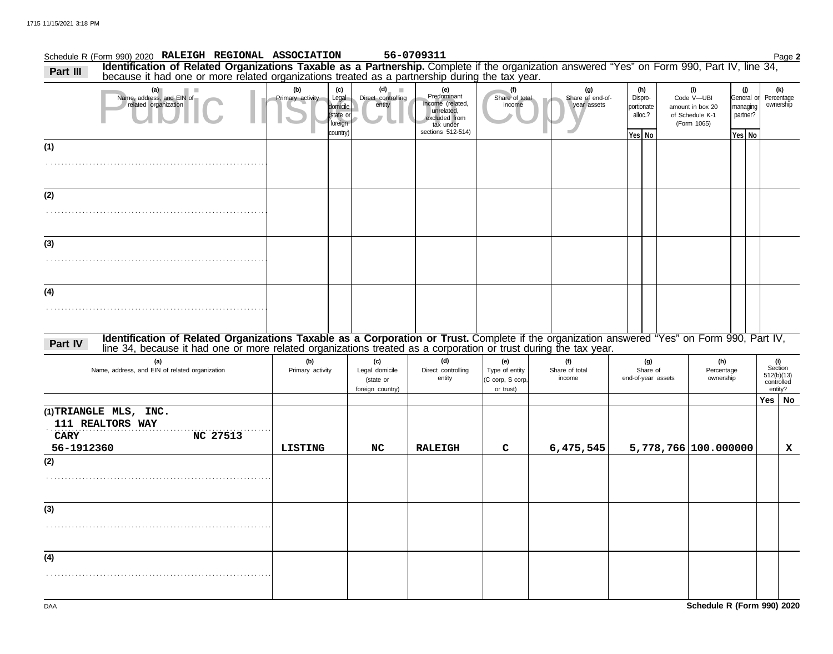| Schedule R (Form 990) 2020 RALEIGH REGIONAL ASSOCIATION                                                                                                                                                                                                                     |                         |                                                              |                                                        | 56-0709311                                                                                              |                                                        |                                        |                                                   |                                       |                                                                         |                                                              | Page 2                                                |
|-----------------------------------------------------------------------------------------------------------------------------------------------------------------------------------------------------------------------------------------------------------------------------|-------------------------|--------------------------------------------------------------|--------------------------------------------------------|---------------------------------------------------------------------------------------------------------|--------------------------------------------------------|----------------------------------------|---------------------------------------------------|---------------------------------------|-------------------------------------------------------------------------|--------------------------------------------------------------|-------------------------------------------------------|
| Identification of Related Organizations Taxable as a Partnership. Complete if the organization answered "Yes" on Form 990, Part IV, line 34, because it had one or more related organizations treated as a partnership during<br>Part III                                   |                         |                                                              |                                                        |                                                                                                         |                                                        |                                        |                                                   |                                       |                                                                         |                                                              |                                                       |
| (a)<br>ш<br>Name, address, and EIN of<br>related organization                                                                                                                                                                                                               | (b)<br>Primary activity | (c)<br>Legal<br>domicile<br>(state or<br>foreign<br>country) | $(d)$ $\blacksquare$<br>Direct controlling<br>entity   | (e)<br>Predominant<br>income (related,<br>unrelated,<br>excluded from<br>tax under<br>sections 512-514) | (f)<br>Share of total<br>income                        | (g)<br>Share of end-of-<br>year assets | (h)<br>Dispro-<br>portionate<br>alloc.?<br>Yes No |                                       | (i)<br>Code V-UBI<br>amount in box 20<br>of Schedule K-1<br>(Form 1065) | $\mathbf{U}$<br>General or<br>managing<br>partner?<br>Yes No | (k)<br>Percentage<br>ownership                        |
| (1)                                                                                                                                                                                                                                                                         |                         |                                                              |                                                        |                                                                                                         |                                                        |                                        |                                                   |                                       |                                                                         |                                                              |                                                       |
|                                                                                                                                                                                                                                                                             |                         |                                                              |                                                        |                                                                                                         |                                                        |                                        |                                                   |                                       |                                                                         |                                                              |                                                       |
| (2)                                                                                                                                                                                                                                                                         |                         |                                                              |                                                        |                                                                                                         |                                                        |                                        |                                                   |                                       |                                                                         |                                                              |                                                       |
|                                                                                                                                                                                                                                                                             |                         |                                                              |                                                        |                                                                                                         |                                                        |                                        |                                                   |                                       |                                                                         |                                                              |                                                       |
| (3)                                                                                                                                                                                                                                                                         |                         |                                                              |                                                        |                                                                                                         |                                                        |                                        |                                                   |                                       |                                                                         |                                                              |                                                       |
|                                                                                                                                                                                                                                                                             |                         |                                                              |                                                        |                                                                                                         |                                                        |                                        |                                                   |                                       |                                                                         |                                                              |                                                       |
| (4)                                                                                                                                                                                                                                                                         |                         |                                                              |                                                        |                                                                                                         |                                                        |                                        |                                                   |                                       |                                                                         |                                                              |                                                       |
|                                                                                                                                                                                                                                                                             |                         |                                                              |                                                        |                                                                                                         |                                                        |                                        |                                                   |                                       |                                                                         |                                                              |                                                       |
| Identification of Related Organizations Taxable as a Corporation or Trust. Complete if the organization answered "Yes" on Form 990, Part IV,<br>Part IV<br>line 34, because it had one or more related organizations treated as a corporation or trust during the tax year. |                         |                                                              |                                                        |                                                                                                         |                                                        |                                        |                                                   |                                       |                                                                         |                                                              |                                                       |
| (a)<br>Name, address, and EIN of related organization                                                                                                                                                                                                                       | (b)<br>Primary activity |                                                              | (c)<br>Legal domicile<br>(state or<br>foreign country) | (d)<br>Direct controlling<br>entity                                                                     | (e)<br>Type of entity<br>(C corp, S corp,<br>or trust) | (f)<br>Share of total<br>income        |                                                   | (g)<br>Share of<br>end-of-year assets | (h)<br>Percentage<br>ownership                                          |                                                              | (i)<br>Section<br>512(b)(13)<br>controlled<br>entity? |
|                                                                                                                                                                                                                                                                             |                         |                                                              |                                                        |                                                                                                         |                                                        |                                        |                                                   |                                       |                                                                         |                                                              | Yes   No                                              |
| (1)TRIANGLE MLS, INC.<br>111 REALTORS WAY<br><b>CARY</b><br><b>NC 27513</b>                                                                                                                                                                                                 |                         |                                                              |                                                        |                                                                                                         |                                                        |                                        |                                                   |                                       |                                                                         |                                                              |                                                       |
| 56-1912360<br>(2)                                                                                                                                                                                                                                                           | <b>LISTING</b>          |                                                              | NC                                                     | <b>RALEIGH</b>                                                                                          | C                                                      | 6,475,545                              |                                                   |                                       | 5,778,766 100.000000                                                    |                                                              | x                                                     |
|                                                                                                                                                                                                                                                                             |                         |                                                              |                                                        |                                                                                                         |                                                        |                                        |                                                   |                                       |                                                                         |                                                              |                                                       |
| (3)                                                                                                                                                                                                                                                                         |                         |                                                              |                                                        |                                                                                                         |                                                        |                                        |                                                   |                                       |                                                                         |                                                              |                                                       |
|                                                                                                                                                                                                                                                                             |                         |                                                              |                                                        |                                                                                                         |                                                        |                                        |                                                   |                                       |                                                                         |                                                              |                                                       |
| (4)                                                                                                                                                                                                                                                                         |                         |                                                              |                                                        |                                                                                                         |                                                        |                                        |                                                   |                                       |                                                                         |                                                              |                                                       |
|                                                                                                                                                                                                                                                                             |                         |                                                              |                                                        |                                                                                                         |                                                        |                                        |                                                   |                                       |                                                                         |                                                              |                                                       |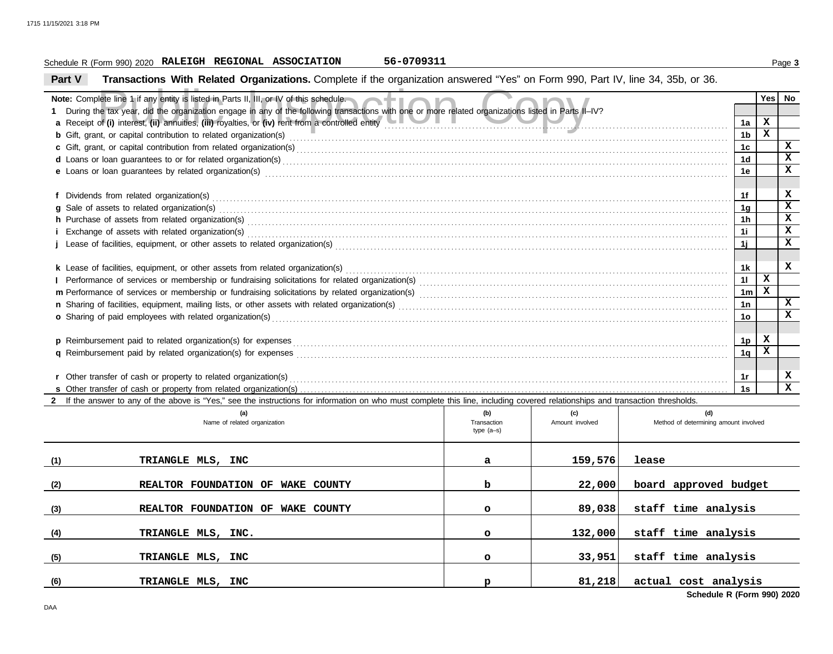### Schedule R (Form 990) 2020 Page **3 RALEIGH REGIONAL ASSOCIATION 56-0709311**

**Part V Transactions With Related Organizations.** Complete if the organization answered "Yes" on Form 990, Part IV, line 34, 35b, or 36.

| Note: Complete line 1 if any entity is listed in Parts II, III, or IV of this schedule.                                                                                                                                        |              |                 |                                       |                      | <b>Yes</b>   | No           |
|--------------------------------------------------------------------------------------------------------------------------------------------------------------------------------------------------------------------------------|--------------|-----------------|---------------------------------------|----------------------|--------------|--------------|
| 1 During the tax year, did the organization engage in any of the following transactions with one or more related organizations listed in Parts II-IV?                                                                          |              |                 |                                       |                      |              |              |
| a Receipt of (i) interest, (ii) annuities, (iii) royalties, or (iv) rent from a controlled entity                                                                                                                              |              |                 |                                       | 1a                   | x            |              |
|                                                                                                                                                                                                                                |              |                 |                                       | 1b                   | $\mathbf{x}$ |              |
|                                                                                                                                                                                                                                |              |                 |                                       | 1 <sub>c</sub>       |              | $\mathbf x$  |
|                                                                                                                                                                                                                                |              |                 |                                       | 1 <sub>d</sub>       |              | X            |
| e Loans or loan guarantees by related organization(s) encourance contract the contract contract of the contract or contract or contract or contract or contract or contract or contract or contract or contract or contract or |              |                 |                                       | 1e                   |              | $\mathbf{x}$ |
|                                                                                                                                                                                                                                |              |                 |                                       |                      |              |              |
|                                                                                                                                                                                                                                |              |                 |                                       | 1f                   |              | x<br>X       |
| g Sale of assets to related organization(s) encourance contains a substantial container and sales of assets to related organization(s)                                                                                         |              |                 |                                       | 1 <sub>a</sub>       |              | x            |
|                                                                                                                                                                                                                                |              |                 |                                       | 1 <sub>h</sub>       |              | X            |
|                                                                                                                                                                                                                                |              |                 |                                       | 1i                   |              | x            |
|                                                                                                                                                                                                                                |              |                 |                                       | 1j                   |              |              |
|                                                                                                                                                                                                                                |              |                 |                                       |                      |              | x            |
|                                                                                                                                                                                                                                |              |                 |                                       | 1k                   | x            |              |
|                                                                                                                                                                                                                                |              |                 |                                       | 11                   | $\mathbf x$  |              |
|                                                                                                                                                                                                                                |              |                 |                                       | 1 <sub>m</sub><br>1n |              | X            |
| o Sharing of paid employees with related organization(s)                                                                                                                                                                       |              |                 |                                       | 10                   |              | X            |
|                                                                                                                                                                                                                                |              |                 |                                       |                      |              |              |
|                                                                                                                                                                                                                                |              |                 |                                       | 1p                   | x            |              |
|                                                                                                                                                                                                                                |              |                 |                                       | 1q                   | x            |              |
|                                                                                                                                                                                                                                |              |                 |                                       |                      |              |              |
| r Other transfer of cash or property to related organization(s)                                                                                                                                                                |              |                 |                                       | 1r                   |              | x            |
|                                                                                                                                                                                                                                |              |                 |                                       | 1s                   |              | $\mathbf{x}$ |
| 2 If the answer to any of the above is "Yes," see the instructions for information on who must complete this line, including covered relationships and transaction thresholds.                                                 |              |                 |                                       |                      |              |              |
| (a)                                                                                                                                                                                                                            | (b)          | (c)             | (d)                                   |                      |              |              |
| Name of related organization                                                                                                                                                                                                   | Transaction  | Amount involved | Method of determining amount involved |                      |              |              |
|                                                                                                                                                                                                                                | type $(a-s)$ |                 |                                       |                      |              |              |
|                                                                                                                                                                                                                                |              |                 |                                       |                      |              |              |
| (1)<br>TRIANGLE MLS, INC                                                                                                                                                                                                       | a            | 159,576         | lease                                 |                      |              |              |
|                                                                                                                                                                                                                                |              |                 |                                       |                      |              |              |
| REALTOR FOUNDATION OF WAKE COUNTY<br>(2)                                                                                                                                                                                       | b            | 22,000          | board approved budget                 |                      |              |              |
|                                                                                                                                                                                                                                |              |                 |                                       |                      |              |              |
| REALTOR FOUNDATION OF WAKE COUNTY<br>(3)                                                                                                                                                                                       | $\circ$      | 89,038          | staff time analysis                   |                      |              |              |
|                                                                                                                                                                                                                                |              |                 |                                       |                      |              |              |
| TRIANGLE MLS, INC.<br>(4)                                                                                                                                                                                                      | $\circ$      | 132,000         | staff time analysis                   |                      |              |              |
| (5)<br>TRIANGLE MLS, INC                                                                                                                                                                                                       | $\circ$      | 33,951          | staff time analysis                   |                      |              |              |
|                                                                                                                                                                                                                                |              |                 |                                       |                      |              |              |

**TRIANGLE MLS, INC p 81,218 actual cost analysis**

**(6)**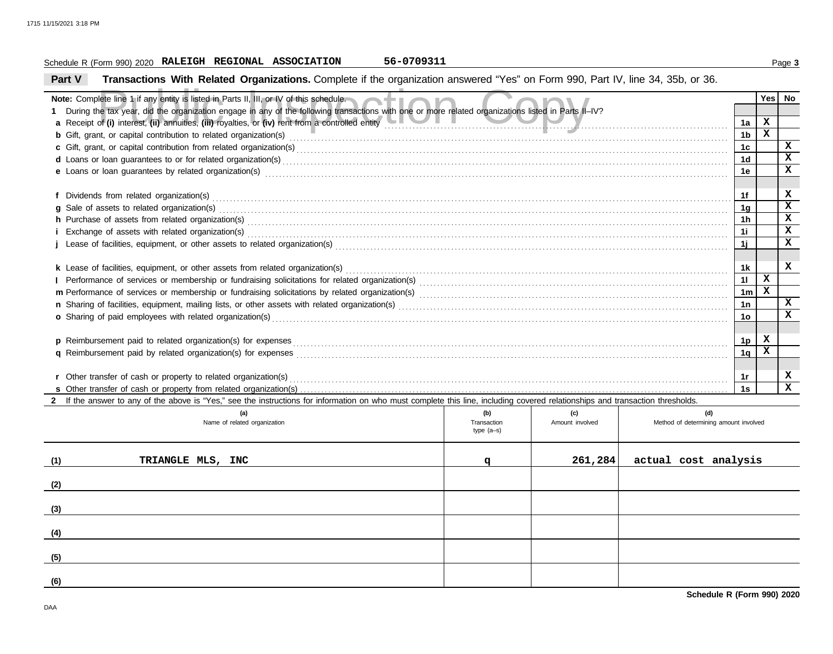### Schedule R (Form 990) 2020 Page **3 RALEIGH REGIONAL ASSOCIATION 56-0709311**

**Part V Transactions With Related Organizations.** Complete if the organization answered "Yes" on Form 990, Part IV, line 34, 35b, or 36.

| Note: Complete line 1 if any entity is listed in Parts II, III, or IV of this schedule.                                                                                                                                        |                             |                 |                                       |                      | Yes         | No                      |  |  |  |  |  |  |  |  |
|--------------------------------------------------------------------------------------------------------------------------------------------------------------------------------------------------------------------------------|-----------------------------|-----------------|---------------------------------------|----------------------|-------------|-------------------------|--|--|--|--|--|--|--|--|
| During the tax year, did the organization engage in any of the following transactions with one or more related organizations listed in Parts II-IV?                                                                            |                             |                 |                                       |                      |             |                         |  |  |  |  |  |  |  |  |
| a Receipt of (i) interest, (ii) annuities, (iii) royalties, or (iv) rent from a controlled entity                                                                                                                              |                             |                 |                                       | 1a                   | X           |                         |  |  |  |  |  |  |  |  |
| <b>b</b> Gift, grant, or capital contribution to related organization(s) <b>COVIDED</b> CHI COVIDED STRITUTE:                                                                                                                  |                             |                 |                                       | 1b                   | $\mathbf x$ |                         |  |  |  |  |  |  |  |  |
|                                                                                                                                                                                                                                |                             |                 |                                       | 1c                   |             | X                       |  |  |  |  |  |  |  |  |
|                                                                                                                                                                                                                                |                             |                 |                                       | 1d                   |             | $\overline{\mathbf{x}}$ |  |  |  |  |  |  |  |  |
| e Loans or loan guarantees by related organization(s) encourance contract the contract contract of the contract or contract or contract or contract or contract or contract or contract or contract or contract or contract or |                             |                 |                                       | 1e                   |             | x                       |  |  |  |  |  |  |  |  |
|                                                                                                                                                                                                                                |                             |                 |                                       |                      |             |                         |  |  |  |  |  |  |  |  |
|                                                                                                                                                                                                                                |                             |                 |                                       | 1f<br>1 <sub>g</sub> |             | x<br>$\mathbf x$        |  |  |  |  |  |  |  |  |
| g Sale of assets to related organization(s) encourance contains a substantial container and state of assets to related organization(s)                                                                                         |                             |                 |                                       |                      |             |                         |  |  |  |  |  |  |  |  |
|                                                                                                                                                                                                                                |                             |                 |                                       | 1h                   |             | $\overline{\mathbf{x}}$ |  |  |  |  |  |  |  |  |
|                                                                                                                                                                                                                                |                             |                 |                                       | 1i                   |             | x                       |  |  |  |  |  |  |  |  |
|                                                                                                                                                                                                                                |                             |                 |                                       | 1j                   |             | x                       |  |  |  |  |  |  |  |  |
|                                                                                                                                                                                                                                |                             |                 |                                       |                      |             |                         |  |  |  |  |  |  |  |  |
|                                                                                                                                                                                                                                |                             |                 |                                       | 1k                   | X           | x                       |  |  |  |  |  |  |  |  |
|                                                                                                                                                                                                                                |                             |                 |                                       | 11                   | X           |                         |  |  |  |  |  |  |  |  |
|                                                                                                                                                                                                                                |                             |                 |                                       | 1 <sub>m</sub><br>1n |             | X                       |  |  |  |  |  |  |  |  |
|                                                                                                                                                                                                                                |                             |                 |                                       |                      |             |                         |  |  |  |  |  |  |  |  |
| o Sharing of paid employees with related organization(s)                                                                                                                                                                       |                             |                 |                                       | 10                   |             | x                       |  |  |  |  |  |  |  |  |
| p Reimbursement paid to related organization(s) for expenses                                                                                                                                                                   |                             |                 |                                       | 1p                   | x           |                         |  |  |  |  |  |  |  |  |
| <b>q</b> Reimbursement paid by related organization(s) for expenses                                                                                                                                                            |                             |                 |                                       | 1 <sub>q</sub>       | $\mathbf x$ |                         |  |  |  |  |  |  |  |  |
|                                                                                                                                                                                                                                |                             |                 |                                       |                      |             |                         |  |  |  |  |  |  |  |  |
| r Other transfer of cash or property to related organization(s)                                                                                                                                                                |                             |                 |                                       | 1r                   |             | x                       |  |  |  |  |  |  |  |  |
|                                                                                                                                                                                                                                |                             |                 |                                       | 1s                   |             | $\mathbf{x}$            |  |  |  |  |  |  |  |  |
| 2 If the answer to any of the above is "Yes," see the instructions for information on who must complete this line, including covered relationships and transaction thresholds.                                                 |                             |                 |                                       |                      |             |                         |  |  |  |  |  |  |  |  |
| (a)                                                                                                                                                                                                                            | (b)                         | (c)             | (d)                                   |                      |             |                         |  |  |  |  |  |  |  |  |
| Name of related organization                                                                                                                                                                                                   | Transaction<br>type $(a-s)$ | Amount involved | Method of determining amount involved |                      |             |                         |  |  |  |  |  |  |  |  |
|                                                                                                                                                                                                                                |                             |                 |                                       |                      |             |                         |  |  |  |  |  |  |  |  |
|                                                                                                                                                                                                                                |                             |                 |                                       |                      |             |                         |  |  |  |  |  |  |  |  |
| (1)<br>TRIANGLE MLS, INC                                                                                                                                                                                                       | q                           | 261,284         | actual cost analysis                  |                      |             |                         |  |  |  |  |  |  |  |  |
|                                                                                                                                                                                                                                |                             |                 |                                       |                      |             |                         |  |  |  |  |  |  |  |  |
| (2)                                                                                                                                                                                                                            |                             |                 |                                       |                      |             |                         |  |  |  |  |  |  |  |  |
| (3)                                                                                                                                                                                                                            |                             |                 |                                       |                      |             |                         |  |  |  |  |  |  |  |  |
|                                                                                                                                                                                                                                |                             |                 |                                       |                      |             |                         |  |  |  |  |  |  |  |  |
| (4)                                                                                                                                                                                                                            |                             |                 |                                       |                      |             |                         |  |  |  |  |  |  |  |  |
|                                                                                                                                                                                                                                |                             |                 |                                       |                      |             |                         |  |  |  |  |  |  |  |  |
| (5)                                                                                                                                                                                                                            |                             |                 |                                       |                      |             |                         |  |  |  |  |  |  |  |  |

**(6)**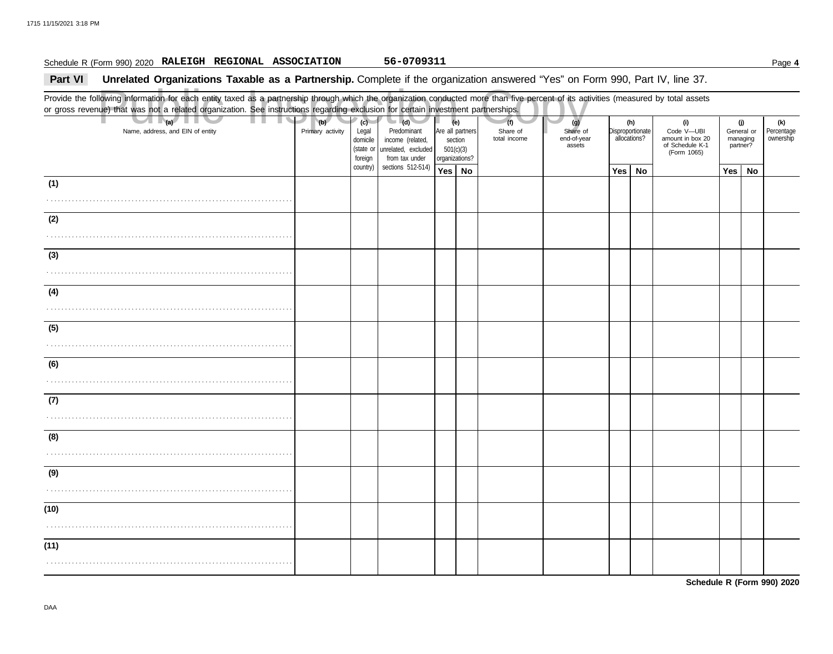### Schedule R (Form 990) 2020 Page **4 RALEIGH REGIONAL ASSOCIATION 56-0709311**

### **Part VI** Unrelated Organizations Taxable as a Partnership. Complete if the organization answered "Yes" on Form 990, Part IV, line 37.

Public Inspection Copy Provide the following information for each entity taxed as a partnership through which the organization conducted more than five percent of its activities (measured by total assets or gross revenue) that was not a related organization. See instructions regarding exclusion for certain investment partnerships. Name, address, and EIN of entity **Primary activity** Legal domicile (state or Are all partners section 501(c)(3) organizations? Share of end-of-year assets Disproportionate allocations? Code V—UBI amount in box 20 of Schedule K-1 General or managing partner? **(a) (b) (c) (e) (g) (h) (i) (j)** . . . . . . . . . . . . . . . . . . . . . . . . . . . . . . . . . . . . . . . . . . . . . . . . . . . . . . . . . . . . . . . . . . . . . . **Yes No Yes No Yes No** . . . . . . . . . . . . . . . . . . . . . . . . . . . . . . . . . . . . . . . . . . . . . . . . . . . . . . . . . . . . . . . . . . . . . . . . . . . . . . . . . . . . . . . . . . . . . . . . . . . . . . . . . . . . . . . . . . . . . . . . . . . . . . . . . . . . . . . . . . . . . . . . . . . . . . . . . . . . . . . . . . . . . . . . . . . . . . . . . . . . . . . . . . . . . . . . . . . . . . . . . . . . . . . . . . . . . . . . . . . . . . . . . . . . . . . . . . . . . . . . . . . . . . . . . . . . . . . . . . . . . . . . . . . . . . . . . . . . . . . . . . . . . . . . . . . . . . . . . . . . . . . . . . . . . . . . . . . . . . . . . . . . . . . . . . . . . . . . . . . . . . . . . . . . . . . . . . . . . . . . . . . . . . . . . . . . . . . . . . . . . . . . . . . . . . . . . . . . . . . . . . . . . . . . . . . . . . . . . . . . . . . . . . . . . . . . . . . . . . . . . . . . . . . . . . . . . . . . . . . . . . . . . . . . . . . . . . . . . . . . . . . . . . . . . . . . . . . . . . . . . . . . . . . . . . . . . . . . . . . . . . . . . . . . . . . . . . . . . . . . . . . . . . . . . . . . . . . . . . . . . . . . . . . . . . . . . . . . . . . . . . . . . . . . . . . . . . . . . . . . . . . . . . . . . . . . . . . . . . . . . . . . . . . . . . . . . . . . . . . . . . . . . . . . . . . . . . . . . . . . . . . . . . . . . . . . . . . . . . . . . . . . . . . . . . . . . . . . . . . . (Form 1065) **(1) (2) (3) (4) (5) (6) (7) (8) (9) (10) (11) (d)** unrelated, excluded income (related, Predominant from tax under sections 512-514) foreign country) **(f)** total income Share of **(k)** ownership Percentage

**Schedule R (Form 990) 2020**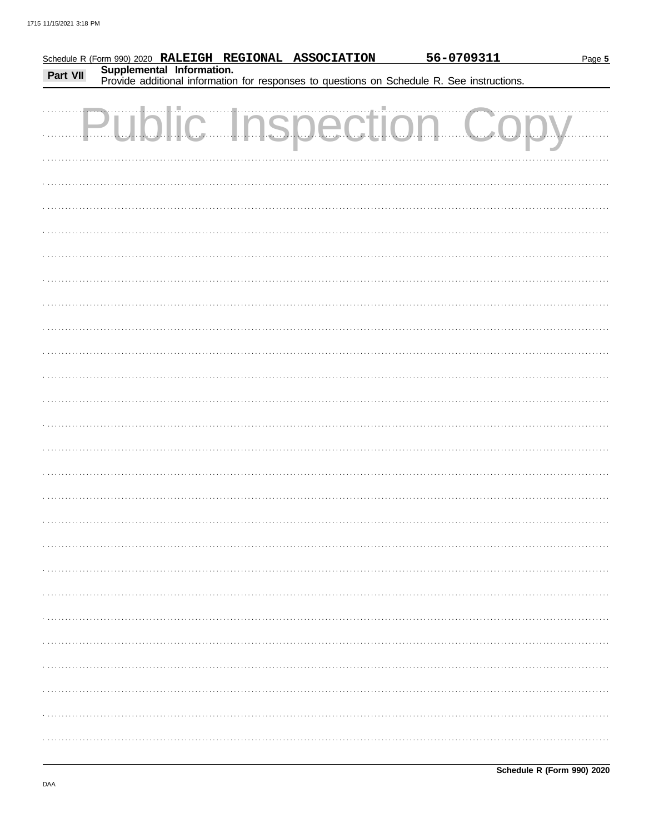|          |                           | Schedule R (Form 990) 2020 RALEIGH REGIONAL ASSOCIATION | 56-0709311                                                                                 | Page 5 |
|----------|---------------------------|---------------------------------------------------------|--------------------------------------------------------------------------------------------|--------|
| Part VII | Supplemental Information. |                                                         |                                                                                            |        |
|          |                           |                                                         | Provide additional information for responses to questions on Schedule R. See instructions. |        |
|          |                           |                                                         |                                                                                            |        |
|          |                           |                                                         |                                                                                            |        |
|          |                           |                                                         | <b>Public Inspection Copy</b>                                                              |        |
|          |                           |                                                         |                                                                                            |        |
|          |                           |                                                         |                                                                                            |        |
|          |                           |                                                         |                                                                                            |        |
|          |                           |                                                         |                                                                                            |        |
|          |                           |                                                         |                                                                                            |        |
|          |                           |                                                         |                                                                                            |        |
|          |                           |                                                         |                                                                                            |        |
|          |                           |                                                         |                                                                                            |        |
|          |                           |                                                         |                                                                                            |        |
|          |                           |                                                         |                                                                                            |        |
|          |                           |                                                         |                                                                                            |        |
|          |                           |                                                         |                                                                                            |        |
|          |                           |                                                         |                                                                                            |        |
|          |                           |                                                         |                                                                                            |        |
|          |                           |                                                         |                                                                                            |        |
|          |                           |                                                         |                                                                                            |        |
|          |                           |                                                         |                                                                                            |        |
|          |                           |                                                         |                                                                                            |        |
|          |                           |                                                         |                                                                                            |        |
|          |                           |                                                         |                                                                                            |        |
|          |                           |                                                         |                                                                                            |        |
|          |                           |                                                         |                                                                                            |        |
|          |                           |                                                         |                                                                                            |        |
|          |                           |                                                         |                                                                                            |        |
|          |                           |                                                         |                                                                                            |        |
|          |                           |                                                         |                                                                                            |        |
|          |                           |                                                         |                                                                                            |        |
|          |                           |                                                         |                                                                                            |        |
|          |                           |                                                         |                                                                                            |        |
|          |                           |                                                         |                                                                                            |        |
|          |                           |                                                         |                                                                                            |        |
|          |                           |                                                         |                                                                                            |        |
|          |                           |                                                         |                                                                                            |        |
|          |                           |                                                         |                                                                                            |        |
|          |                           |                                                         |                                                                                            |        |
|          |                           |                                                         |                                                                                            |        |
|          |                           |                                                         |                                                                                            |        |
|          |                           |                                                         |                                                                                            |        |
|          |                           |                                                         |                                                                                            |        |
|          |                           |                                                         |                                                                                            |        |
|          |                           |                                                         |                                                                                            |        |
|          |                           |                                                         |                                                                                            |        |
|          |                           |                                                         |                                                                                            |        |
|          |                           |                                                         |                                                                                            |        |
|          |                           |                                                         |                                                                                            |        |
|          |                           |                                                         |                                                                                            |        |
|          |                           |                                                         |                                                                                            |        |
|          |                           |                                                         |                                                                                            |        |
|          |                           |                                                         |                                                                                            |        |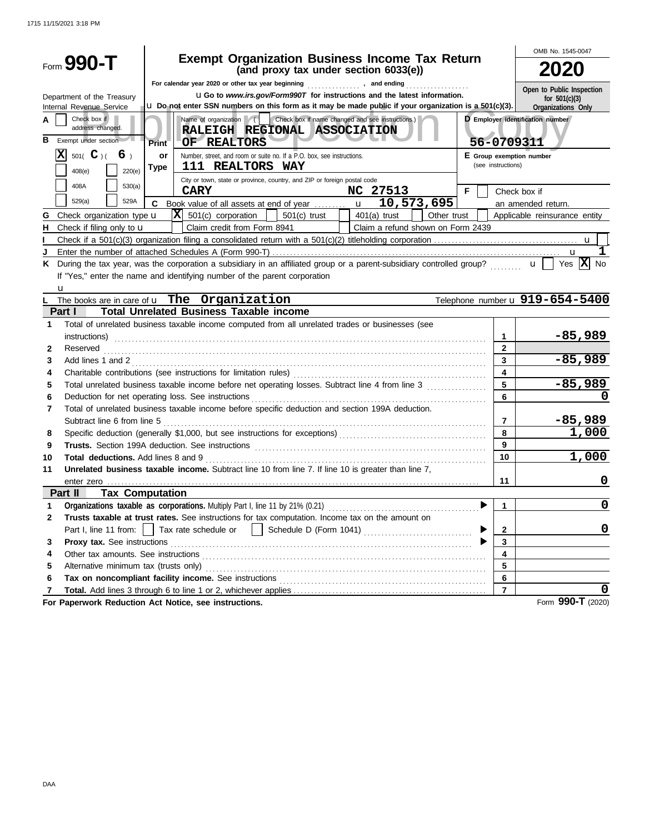|              |                                                          |                                                                                                                                                                                                                                |                          | OMB No. 1545-0047                     |
|--------------|----------------------------------------------------------|--------------------------------------------------------------------------------------------------------------------------------------------------------------------------------------------------------------------------------|--------------------------|---------------------------------------|
|              | $_{\text{Form}}$ 990-T                                   | <b>Exempt Organization Business Income Tax Return</b><br>(and proxy tax under section 6033(e))                                                                                                                                 |                          |                                       |
|              |                                                          | For calendar year 2020 or other tax year beginning [1] [1] The calendary game of calendary game of the calendary game of the calendary game of the calendary game of the calendary game of the calendary game of the calendary |                          |                                       |
|              |                                                          | <b>uGo</b> to www.irs.gov/Form990T for instructions and the latest information.                                                                                                                                                |                          | Open to Public Inspection             |
|              | Department of the Treasury<br>Internal Revenue Service   | u Do not enter SSN numbers on this form as it may be made public if your organization is a 501(c)(3).                                                                                                                          |                          | for $501(c)(3)$<br>Organizations Only |
| А<br>в       | Check box if<br>address changed.<br>Exempt under section | Name of organization ( Check box if name changed and see instructions.)<br>RALEIGH REGIONAL ASSOCIATION<br>OF REALTORS<br>Print                                                                                                | 56-0709311               | D Employer identification number      |
|              | 501( $\mathbf{C}$ )(<br>6 <sub>1</sub>                   | Number, street, and room or suite no. If a P.O. box, see instructions.<br>or                                                                                                                                                   | E Group exemption number |                                       |
|              | 220(e)                                                   | 111 REALTORS WAY<br><b>Type</b>                                                                                                                                                                                                | (see instructions)       |                                       |
|              | 408(e)                                                   | City or town, state or province, country, and ZIP or foreign postal code                                                                                                                                                       |                          |                                       |
|              | 408A<br>530(a)                                           | <b>CARY</b><br>NC 27513                                                                                                                                                                                                        | F.                       | Check box if                          |
|              | 529(a)<br>529A                                           | 10,573,695<br>C                                                                                                                                                                                                                |                          | an amended return.                    |
| G            | Check organization type <b>u</b>                         | $ \mathbf{X} $ 501(c) corporation $ $<br>501(c) trust<br>$401(a)$ trust<br>Other trust                                                                                                                                         |                          | Applicable reinsurance entity         |
| н            | Check if filing only to $\mathbf u$                      | Claim credit from Form 8941<br>Claim a refund shown on Form 2439                                                                                                                                                               |                          |                                       |
|              |                                                          |                                                                                                                                                                                                                                |                          |                                       |
| J            |                                                          |                                                                                                                                                                                                                                |                          | ı<br>u                                |
|              |                                                          | K During the tax year, was the corporation a subsidiary in an affiliated group or a parent-subsidiary controlled group? $\mathbf{u}$                                                                                           |                          | Yes $ X $ No                          |
|              |                                                          | If "Yes," enter the name and identifying number of the parent corporation                                                                                                                                                      |                          |                                       |
|              | u                                                        |                                                                                                                                                                                                                                |                          |                                       |
|              |                                                          | The books are in care of <b>u</b> The Organization                                                                                                                                                                             |                          | Telephone number u 919-654-5400       |
|              | Part I                                                   | <b>Total Unrelated Business Taxable income</b>                                                                                                                                                                                 |                          |                                       |
| 1            |                                                          | Total of unrelated business taxable income computed from all unrelated trades or businesses (see                                                                                                                               |                          |                                       |
|              |                                                          | instructions)                                                                                                                                                                                                                  | $\mathbf 1$              | $-85,989$                             |
| 2            | Reserved                                                 |                                                                                                                                                                                                                                | $\mathbf{2}$<br>3        | $-85,989$                             |
| 3            | Add lines 1 and 2                                        |                                                                                                                                                                                                                                | 4                        |                                       |
| 4            |                                                          |                                                                                                                                                                                                                                | 5                        | $-85,989$                             |
| 5            |                                                          | Total unrelated business taxable income before net operating losses. Subtract line 4 from line 3                                                                                                                               | 6                        | O                                     |
| 6<br>7       |                                                          | Deduction for net operating loss. See instructions<br>Total of unrelated business taxable income before specific deduction and section 199A deduction.                                                                         |                          |                                       |
|              | Subtract line 6 from line 5                              |                                                                                                                                                                                                                                | $\overline{7}$           | $-85,989$                             |
| 8            |                                                          |                                                                                                                                                                                                                                | 8                        | 1,000                                 |
| 9            |                                                          |                                                                                                                                                                                                                                | 9                        |                                       |
| 10           |                                                          |                                                                                                                                                                                                                                | 10                       | 1,000                                 |
| 11           |                                                          | Unrelated business taxable income. Subtract line 10 from line 7. If line 10 is greater than line 7.                                                                                                                            |                          |                                       |
|              |                                                          |                                                                                                                                                                                                                                | 11                       | 0                                     |
|              | <b>Tax Computation</b><br>Part II                        |                                                                                                                                                                                                                                |                          |                                       |
| 1            |                                                          | Organizations taxable as corporations. Multiply Part I, line 11 by 21% (0.21)                                                                                                                                                  | 1                        | $\mathbf 0$                           |
| $\mathbf{2}$ |                                                          | Trusts taxable at trust rates. See instructions for tax computation. Income tax on the amount on                                                                                                                               |                          |                                       |
|              | Part I, line 11 from:                                    | Schedule D (Form 1041)<br>Tax rate schedule or<br>$\sim$ 1 $\sim$ 1                                                                                                                                                            | $\mathbf{2}$             | 0                                     |
| 3            | Proxy tax. See instructions                              |                                                                                                                                                                                                                                | 3                        |                                       |
| 4            |                                                          |                                                                                                                                                                                                                                | 4                        |                                       |
| 5            |                                                          |                                                                                                                                                                                                                                | 5                        |                                       |
| 6            |                                                          | Tax on noncompliant facility income. See instructions                                                                                                                                                                          | 6                        |                                       |
| 7            |                                                          |                                                                                                                                                                                                                                | $\overline{7}$           |                                       |
|              |                                                          |                                                                                                                                                                                                                                |                          |                                       |

**For Paperwork Reduction Act Notice, see instructions.**

Form **990-T** (2020)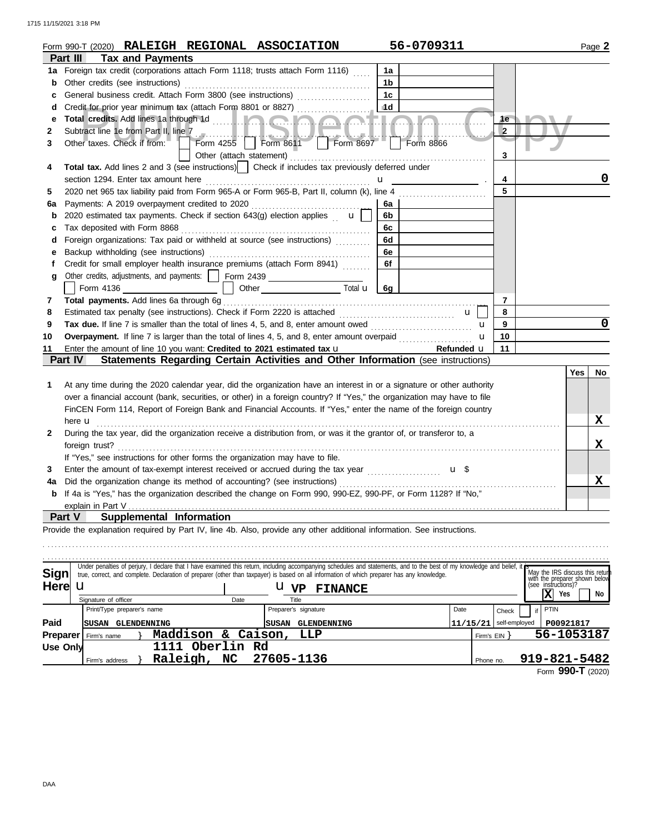### 1715 11/15/2021 3:18 PM

|              |                                  |                          |      | Form 990-T (2020) RALEIGH REGIONAL ASSOCIATION                                                   |                                                                                                                                                                                                                                          | 56-0709311                                                                                                                                                                                                                                                                                                          |                |                                                                                      |     | Page 2 |
|--------------|----------------------------------|--------------------------|------|--------------------------------------------------------------------------------------------------|------------------------------------------------------------------------------------------------------------------------------------------------------------------------------------------------------------------------------------------|---------------------------------------------------------------------------------------------------------------------------------------------------------------------------------------------------------------------------------------------------------------------------------------------------------------------|----------------|--------------------------------------------------------------------------------------|-----|--------|
|              | Part III                         | <b>Tax and Payments</b>  |      |                                                                                                  |                                                                                                                                                                                                                                          |                                                                                                                                                                                                                                                                                                                     |                |                                                                                      |     |        |
|              |                                  |                          |      | 1a Foreign tax credit (corporations attach Form 1118; trusts attach Form 1116)                   |                                                                                                                                                                                                                                          | 1a                                                                                                                                                                                                                                                                                                                  |                |                                                                                      |     |        |
| b            | Other credits (see instructions) |                          |      |                                                                                                  |                                                                                                                                                                                                                                          | 1b                                                                                                                                                                                                                                                                                                                  |                |                                                                                      |     |        |
| c            |                                  |                          |      | General business credit. Attach Form 3800 (see instructions) [[[[[[[[[[[[[[[[[[[[[[[[[]]]]]]]]]] |                                                                                                                                                                                                                                          | 1c                                                                                                                                                                                                                                                                                                                  |                |                                                                                      |     |        |
| d            |                                  |                          |      |                                                                                                  |                                                                                                                                                                                                                                          | 1d                                                                                                                                                                                                                                                                                                                  |                |                                                                                      |     |        |
| е            |                                  |                          |      |                                                                                                  |                                                                                                                                                                                                                                          |                                                                                                                                                                                                                                                                                                                     | 1e             |                                                                                      |     |        |
| 2            |                                  |                          |      |                                                                                                  |                                                                                                                                                                                                                                          | Subtract line 1e from Part II, line 7<br>Other taxes. Check if from: $\Box$ Form 4255 Form 8611 Form 8697 Form 8866                                                                                                                                                                                                 | $\overline{2}$ |                                                                                      |     |        |
| 3            |                                  |                          |      |                                                                                                  |                                                                                                                                                                                                                                          |                                                                                                                                                                                                                                                                                                                     |                |                                                                                      |     |        |
|              |                                  |                          |      |                                                                                                  |                                                                                                                                                                                                                                          |                                                                                                                                                                                                                                                                                                                     | 3              |                                                                                      |     |        |
| 4            |                                  |                          |      |                                                                                                  | Total tax. Add lines 2 and 3 (see instructions)   Check if includes tax previously deferred under                                                                                                                                        |                                                                                                                                                                                                                                                                                                                     |                |                                                                                      |     |        |
|              |                                  |                          |      |                                                                                                  |                                                                                                                                                                                                                                          | $\mathbf{u}$ and $\mathbf{u}$ and $\mathbf{u}$                                                                                                                                                                                                                                                                      | 4              |                                                                                      |     | 0      |
| 5            |                                  |                          |      |                                                                                                  |                                                                                                                                                                                                                                          | 2020 net 965 tax liability paid from Form 965-A or Form 965-B, Part II, column (k), line 4 [ [ [ [ ] ] [ ] [ ]                                                                                                                                                                                                      | 5              |                                                                                      |     |        |
| 6a           |                                  |                          |      |                                                                                                  |                                                                                                                                                                                                                                          | 6а                                                                                                                                                                                                                                                                                                                  |                |                                                                                      |     |        |
| b            |                                  |                          |      | 2020 estimated tax payments. Check if section 643(g) election applies $\mathbf{u}$               |                                                                                                                                                                                                                                          | 6b                                                                                                                                                                                                                                                                                                                  |                |                                                                                      |     |        |
| с            | Tax deposited with Form 8868     |                          |      |                                                                                                  |                                                                                                                                                                                                                                          | 6c                                                                                                                                                                                                                                                                                                                  |                |                                                                                      |     |        |
| d            |                                  |                          |      | Foreign organizations: Tax paid or withheld at source (see instructions)                         |                                                                                                                                                                                                                                          | 6d                                                                                                                                                                                                                                                                                                                  |                |                                                                                      |     |        |
| е            |                                  |                          |      |                                                                                                  |                                                                                                                                                                                                                                          | 6e                                                                                                                                                                                                                                                                                                                  |                |                                                                                      |     |        |
| f            |                                  |                          |      | Credit for small employer health insurance premiums (attach Form 8941)                           |                                                                                                                                                                                                                                          | 6f                                                                                                                                                                                                                                                                                                                  |                |                                                                                      |     |        |
| g            |                                  |                          |      | Other credits, adjustments, and payments:     Form 2439 ________________________                 |                                                                                                                                                                                                                                          |                                                                                                                                                                                                                                                                                                                     |                |                                                                                      |     |        |
|              |                                  |                          |      |                                                                                                  | Other Total u 6g                                                                                                                                                                                                                         |                                                                                                                                                                                                                                                                                                                     |                |                                                                                      |     |        |
| 7            |                                  |                          |      |                                                                                                  |                                                                                                                                                                                                                                          |                                                                                                                                                                                                                                                                                                                     | 7              |                                                                                      |     |        |
| 8            |                                  |                          |      |                                                                                                  |                                                                                                                                                                                                                                          | $\mathbf{u}$                                                                                                                                                                                                                                                                                                        | 8              |                                                                                      |     |        |
| 9            |                                  |                          |      |                                                                                                  |                                                                                                                                                                                                                                          | Tax due. If line 7 is smaller than the total of lines 4, 5, and 8, enter amount owed <i></i><br>$\mathbf{u}$                                                                                                                                                                                                        | 9              |                                                                                      |     | 0      |
| 10           |                                  |                          |      |                                                                                                  |                                                                                                                                                                                                                                          | Overpayment. If line 7 is larger than the total of lines 4, 5, and 8, enter amount overpaid <i>minimining</i><br>$\mathbf{u}$                                                                                                                                                                                       | 10             |                                                                                      |     |        |
| 11           |                                  |                          |      |                                                                                                  | Enter the amount of line 10 you want: Credited to 2021 estimated tax u                                                                                                                                                                   | Refunded u                                                                                                                                                                                                                                                                                                          | 11             |                                                                                      |     |        |
|              | <b>Part IV</b>                   |                          |      |                                                                                                  |                                                                                                                                                                                                                                          | Statements Regarding Certain Activities and Other Information (see instructions)                                                                                                                                                                                                                                    |                |                                                                                      |     |        |
|              |                                  |                          |      |                                                                                                  |                                                                                                                                                                                                                                          |                                                                                                                                                                                                                                                                                                                     |                |                                                                                      | Yes | No     |
| 1.           |                                  |                          |      |                                                                                                  |                                                                                                                                                                                                                                          | At any time during the 2020 calendar year, did the organization have an interest in or a signature or other authority                                                                                                                                                                                               |                |                                                                                      |     |        |
|              |                                  |                          |      |                                                                                                  |                                                                                                                                                                                                                                          | over a financial account (bank, securities, or other) in a foreign country? If "Yes," the organization may have to file                                                                                                                                                                                             |                |                                                                                      |     |        |
|              |                                  |                          |      |                                                                                                  |                                                                                                                                                                                                                                          | FinCEN Form 114, Report of Foreign Bank and Financial Accounts. If "Yes," enter the name of the foreign country                                                                                                                                                                                                     |                |                                                                                      |     |        |
|              |                                  |                          |      |                                                                                                  | here <b>u</b> <u>decreased</u> and the contract of the contract of the contract of the contract of the contract of the contract of the contract of the contract of the contract of the contract of the contract of the contract of the c |                                                                                                                                                                                                                                                                                                                     |                |                                                                                      |     | X      |
| $\mathbf{2}$ |                                  |                          |      |                                                                                                  |                                                                                                                                                                                                                                          | During the tax year, did the organization receive a distribution from, or was it the grantor of, or transferor to, a                                                                                                                                                                                                |                |                                                                                      |     |        |
|              |                                  |                          |      |                                                                                                  |                                                                                                                                                                                                                                          | foreign trust?                                                                                                                                                                                                                                                                                                      |                |                                                                                      |     | X      |
|              |                                  |                          |      | If "Yes," see instructions for other forms the organization may have to file.                    |                                                                                                                                                                                                                                          |                                                                                                                                                                                                                                                                                                                     |                |                                                                                      |     |        |
| 3            |                                  |                          |      |                                                                                                  |                                                                                                                                                                                                                                          | Enter the amount of tax-exempt interest received or accrued during the tax year<br>u \$                                                                                                                                                                                                                             |                |                                                                                      |     |        |
| 4a           |                                  |                          |      |                                                                                                  |                                                                                                                                                                                                                                          |                                                                                                                                                                                                                                                                                                                     |                |                                                                                      |     | X      |
|              |                                  |                          |      |                                                                                                  |                                                                                                                                                                                                                                          | If 4a is "Yes," has the organization described the change on Form 990, 990-EZ, 990-PF, or Form 1128? If "No,"                                                                                                                                                                                                       |                |                                                                                      |     |        |
|              | explain in Part V                |                          |      |                                                                                                  |                                                                                                                                                                                                                                          |                                                                                                                                                                                                                                                                                                                     |                |                                                                                      |     |        |
|              | Part V                           | Supplemental Information |      |                                                                                                  |                                                                                                                                                                                                                                          |                                                                                                                                                                                                                                                                                                                     |                |                                                                                      |     |        |
|              |                                  |                          |      |                                                                                                  |                                                                                                                                                                                                                                          | Provide the explanation required by Part IV, line 4b. Also, provide any other additional information. See instructions.                                                                                                                                                                                             |                |                                                                                      |     |        |
|              |                                  |                          |      |                                                                                                  |                                                                                                                                                                                                                                          |                                                                                                                                                                                                                                                                                                                     |                |                                                                                      |     |        |
|              |                                  |                          |      |                                                                                                  |                                                                                                                                                                                                                                          |                                                                                                                                                                                                                                                                                                                     |                |                                                                                      |     |        |
| Sign         |                                  |                          |      |                                                                                                  |                                                                                                                                                                                                                                          | Under penalties of perjury, I declare that I have examined this return, including accompanying schedules and statements, and to the best of my knowledge and belief,<br>true, correct, and complete. Declaration of preparer (other than taxpayer) is based on all information of which preparer has any knowledge. |                |                                                                                      |     |        |
| Here         | $\mathbf u$                      |                          |      | $\mathbf{u}_{\mathbf{v}\mathbf{p}}$                                                              | <b>FINANCE</b>                                                                                                                                                                                                                           |                                                                                                                                                                                                                                                                                                                     |                | May the IRS discuss this return with the preparer shown below<br>(see instructions)? |     |        |
|              | Signature of officer             |                          | Date | Title                                                                                            |                                                                                                                                                                                                                                          |                                                                                                                                                                                                                                                                                                                     |                | $\mathbf x$<br>Yes                                                                   |     | No     |

|          | Signature of officer        |                    | Date       |               | Title                |      |            |                          |              |  |
|----------|-----------------------------|--------------------|------------|---------------|----------------------|------|------------|--------------------------|--------------|--|
|          | Print/Type preparer's name  |                    |            |               | Preparer's signature | Date |            | l Check                  | if PTIN      |  |
| Paid     | ISUSAN                      | GLENDENNING        |            | <b>ISUSAN</b> | GLENDENNING          |      |            | $11/15/21$ self-employed | P00921817    |  |
|          | <b>Preparer</b> Firm's name | Maddison & Caison, |            |               | LLP                  |      | Firm's EIN |                          | 56-1053187   |  |
| Use Only |                             | 1111               | Oberlin Rd |               |                      |      |            |                          |              |  |
|          | Firm's address              | Raleigh,           | NC.        |               | 27605-1136           |      | Phone no.  |                          | 919-821-5482 |  |
|          |                             |                    |            |               |                      |      |            |                          |              |  |

Form **990-T** (2020)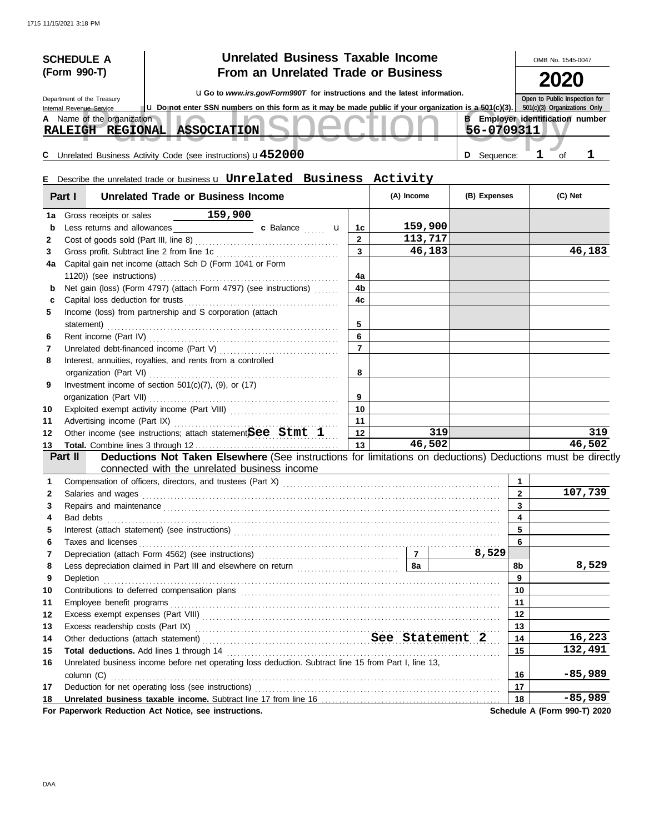|        | <b>SCHEDULE A</b>                                      | <b>Unrelated Business Taxable Income</b>                                                                                                                                                                                       |                |            |         |                                         |                         | OMB No. 1545-0047             |           |
|--------|--------------------------------------------------------|--------------------------------------------------------------------------------------------------------------------------------------------------------------------------------------------------------------------------------|----------------|------------|---------|-----------------------------------------|-------------------------|-------------------------------|-----------|
|        | (Form 990-T)                                           | <b>From an Unrelated Trade or Business</b>                                                                                                                                                                                     |                |            |         |                                         |                         |                               |           |
|        |                                                        | <b>uGo</b> to www.irs.gov/Form990T for instructions and the latest information.                                                                                                                                                |                |            |         |                                         |                         |                               |           |
|        | Department of the Treasury                             |                                                                                                                                                                                                                                |                |            |         |                                         |                         | Open to Public Inspection for |           |
|        | Internal Revenue Service<br>A Name of the organization | <b>u</b> Do not enter SSN numbers on this form as it may be made public if your organization is a 501(c)(3).   501(c)(3) Organizations Only                                                                                    |                |            |         | <b>B</b> Employer identification number |                         |                               |           |
|        |                                                        | RALEIGH REGIONAL ASSOCIATION                                                                                                                                                                                                   |                |            |         | 56-0709311                              |                         |                               |           |
|        |                                                        |                                                                                                                                                                                                                                |                |            |         |                                         |                         |                               |           |
|        |                                                        | C Unrelated Business Activity Code (see instructions) $u452000$                                                                                                                                                                |                |            |         | D Sequence:                             |                         | $\mathbf{1}$<br>of            | ı         |
|        |                                                        |                                                                                                                                                                                                                                |                |            |         |                                         |                         |                               |           |
|        |                                                        | <b>E</b> Describe the unrelated trade or business u Unrelated Business Activity                                                                                                                                                |                |            |         |                                         |                         |                               |           |
|        | Part I                                                 | <b>Unrelated Trade or Business Income</b>                                                                                                                                                                                      |                | (A) Income |         | (B) Expenses                            |                         | (C) Net                       |           |
| 1a     | Gross receipts or sales                                | $\frac{159,900}{2}$                                                                                                                                                                                                            |                |            |         |                                         |                         |                               |           |
| b      |                                                        |                                                                                                                                                                                                                                | 1c             |            | 159,900 |                                         |                         |                               |           |
| 2      |                                                        |                                                                                                                                                                                                                                | $\overline{2}$ |            | 113,717 |                                         |                         |                               |           |
| 3      |                                                        |                                                                                                                                                                                                                                | $\overline{3}$ |            | 46,183  |                                         |                         |                               | 46,183    |
| 4a     |                                                        | Capital gain net income (attach Sch D (Form 1041 or Form                                                                                                                                                                       |                |            |         |                                         |                         |                               |           |
|        |                                                        |                                                                                                                                                                                                                                | 4a             |            |         |                                         |                         |                               |           |
| b      |                                                        | Net gain (loss) (Form 4797) (attach Form 4797) (see instructions)                                                                                                                                                              | 4 <sub>b</sub> |            |         |                                         |                         |                               |           |
| c      |                                                        |                                                                                                                                                                                                                                | 4c             |            |         |                                         |                         |                               |           |
| 5.     |                                                        | Income (loss) from partnership and S corporation (attach                                                                                                                                                                       |                |            |         |                                         |                         |                               |           |
|        | statement)                                             |                                                                                                                                                                                                                                | 5<br>6         |            |         |                                         |                         |                               |           |
| 6<br>7 |                                                        |                                                                                                                                                                                                                                | $\overline{7}$ |            |         |                                         |                         |                               |           |
| 8      |                                                        | Interest, annuities, royalties, and rents from a controlled                                                                                                                                                                    |                |            |         |                                         |                         |                               |           |
|        | organization (Part VI)                                 |                                                                                                                                                                                                                                | 8              |            |         |                                         |                         |                               |           |
| 9      |                                                        | Investment income of section $501(c)(7)$ , (9), or (17)                                                                                                                                                                        |                |            |         |                                         |                         |                               |           |
|        | organization (Part VII)                                |                                                                                                                                                                                                                                | 9              |            |         |                                         |                         |                               |           |
| 10     |                                                        |                                                                                                                                                                                                                                | 10             |            |         |                                         |                         |                               |           |
| 11     |                                                        | Advertising income (Part IX)                                                                                                                                                                                                   | 11             |            |         |                                         |                         |                               |           |
| 12     |                                                        | Other income (see instructions; attach statement $\beta$ ee Stmt 1                                                                                                                                                             | 12             |            | 319     |                                         |                         |                               | 319       |
| 13     |                                                        |                                                                                                                                                                                                                                | 13             |            | 46,502  |                                         |                         |                               | 46,502    |
|        | Part II                                                | Deductions Not Taken Elsewhere (See instructions for limitations on deductions) Deductions must be directly                                                                                                                    |                |            |         |                                         |                         |                               |           |
|        |                                                        | connected with the unrelated business income                                                                                                                                                                                   |                |            |         |                                         |                         |                               |           |
|        |                                                        |                                                                                                                                                                                                                                |                |            |         |                                         | 1                       |                               |           |
|        | Salaries and wages                                     |                                                                                                                                                                                                                                |                |            |         |                                         | $\overline{\mathbf{2}}$ |                               | 107,739   |
| 3      |                                                        | Repairs and maintenance <b>construction and construction</b> and maintenance and maintenance and maintenance                                                                                                                   |                |            |         |                                         | 3                       |                               |           |
| 4      | Bad debts                                              |                                                                                                                                                                                                                                |                |            |         |                                         | $\overline{4}$          |                               |           |
| 5      |                                                        |                                                                                                                                                                                                                                |                |            |         |                                         | 5                       |                               |           |
| 6      | Taxes and licenses                                     |                                                                                                                                                                                                                                |                |            |         | 8,529                                   | 6                       |                               |           |
| 7<br>8 |                                                        |                                                                                                                                                                                                                                |                |            |         |                                         | 8b                      |                               | 8,529     |
| 9      | Depletion                                              | Less depreciation claimed in Part III and elsewhere on return <i>[[[[[[[[[[[[[[[[]]]</i> ]]                                                                                                                                    |                |            |         |                                         | 9                       |                               |           |
| 10     |                                                        | Contributions to deferred compensation plans [11] contracts are contracted as a contributions to deferred compensation plans [11] contracts and contract are contracted as a contract of the contract of the contract of the c |                |            |         |                                         | 10                      |                               |           |
| 11     | Employee benefit programs                              |                                                                                                                                                                                                                                |                |            |         |                                         | 11                      |                               |           |
| 12     |                                                        |                                                                                                                                                                                                                                |                |            |         |                                         | 12                      |                               |           |
| 13     |                                                        | Excess readership costs (Part IX) Mathematical Contract Contract Contract Contract Contract Contract Contract Contract Contract Contract Contract Contract Contract Contract Contract Contract Contract Contract Contract Cont |                |            |         |                                         | 13                      |                               |           |
| 14     |                                                        |                                                                                                                                                                                                                                |                |            |         |                                         | 14                      |                               | 16,223    |
| 15     |                                                        |                                                                                                                                                                                                                                |                |            |         |                                         | 15                      |                               | 132,491   |
| 16     |                                                        | Unrelated business income before net operating loss deduction. Subtract line 15 from Part I, line 13,                                                                                                                          |                |            |         |                                         |                         |                               |           |
|        |                                                        |                                                                                                                                                                                                                                |                |            |         |                                         | 16                      |                               | $-85,989$ |
| 17     |                                                        |                                                                                                                                                                                                                                |                |            |         |                                         | 17                      |                               |           |
| 18     |                                                        |                                                                                                                                                                                                                                |                |            |         |                                         | 18                      |                               | $-85,989$ |
|        |                                                        | For Paperwork Reduction Act Notice, see instructions.                                                                                                                                                                          |                |            |         |                                         |                         | Schedule A (Form 990-T) 2020  |           |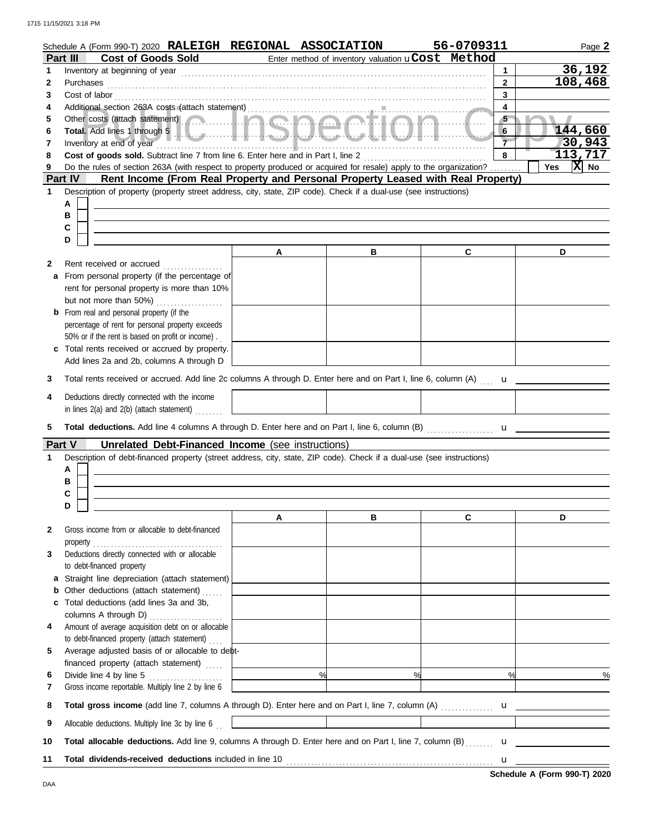|              |           | Schedule A (Form 990-T) 2020 RALEIGH REGIONAL ASSOCIATION                                                             |        |                                                   |                      |               | 56-0709311                                                                                                         |                         | Page 2                                                                                                                                                                                                                                                                                           |
|--------------|-----------|-----------------------------------------------------------------------------------------------------------------------|--------|---------------------------------------------------|----------------------|---------------|--------------------------------------------------------------------------------------------------------------------|-------------------------|--------------------------------------------------------------------------------------------------------------------------------------------------------------------------------------------------------------------------------------------------------------------------------------------------|
| Part III     |           | <b>Cost of Goods Sold</b>                                                                                             |        |                                                   |                      |               | Enter method of inventory valuation uCost Method                                                                   |                         |                                                                                                                                                                                                                                                                                                  |
| 1            |           | Inventory at beginning of year                                                                                        |        |                                                   |                      |               |                                                                                                                    | $\mathbf 1$             | 36,192                                                                                                                                                                                                                                                                                           |
| 2            | Purchases |                                                                                                                       |        |                                                   |                      |               |                                                                                                                    | $\overline{2}$          | 108,468                                                                                                                                                                                                                                                                                          |
| 3            |           | Cost of labor                                                                                                         |        |                                                   |                      |               |                                                                                                                    | 3                       |                                                                                                                                                                                                                                                                                                  |
| 4            |           |                                                                                                                       |        |                                                   |                      |               |                                                                                                                    | $\overline{\mathbf{4}}$ |                                                                                                                                                                                                                                                                                                  |
| 5            |           | Other costs (attach statement) Communication Communication Communication Communication Communication Communication    |        |                                                   |                      |               |                                                                                                                    | $\sqrt{5}$<br>6         | 144,660                                                                                                                                                                                                                                                                                          |
| 6<br>7       |           | Inventory at end of year                                                                                              |        |                                                   |                      |               |                                                                                                                    |                         | 30,943                                                                                                                                                                                                                                                                                           |
| 8            |           | Cost of goods sold. Subtract line 7 from line 6. Enter here and in Part I, line 2                                     |        |                                                   |                      |               |                                                                                                                    | 8                       | 113,717                                                                                                                                                                                                                                                                                          |
| 9            |           |                                                                                                                       |        |                                                   |                      |               | Do the rules of section 263A (with respect to property produced or acquired for resale) apply to the organization? |                         | $\overline{X}$ No<br>Yes                                                                                                                                                                                                                                                                         |
| Part IV      |           |                                                                                                                       |        |                                                   |                      |               | Rent Income (From Real Property and Personal Property Leased with Real Property)                                   |                         |                                                                                                                                                                                                                                                                                                  |
| 1            |           | Description of property (property street address, city, state, ZIP code). Check if a dual-use (see instructions)      |        |                                                   |                      |               |                                                                                                                    |                         |                                                                                                                                                                                                                                                                                                  |
|              | А         |                                                                                                                       |        |                                                   |                      |               |                                                                                                                    |                         |                                                                                                                                                                                                                                                                                                  |
|              | в         |                                                                                                                       |        |                                                   |                      |               |                                                                                                                    |                         |                                                                                                                                                                                                                                                                                                  |
|              | С         |                                                                                                                       |        |                                                   |                      |               |                                                                                                                    |                         |                                                                                                                                                                                                                                                                                                  |
|              | D         |                                                                                                                       |        |                                                   |                      |               |                                                                                                                    |                         |                                                                                                                                                                                                                                                                                                  |
|              |           |                                                                                                                       |        | Α                                                 |                      | в             | C                                                                                                                  |                         | D                                                                                                                                                                                                                                                                                                |
| 2            |           | Rent received or accrued                                                                                              |        |                                                   |                      |               |                                                                                                                    |                         |                                                                                                                                                                                                                                                                                                  |
| a            |           | From personal property (if the percentage of                                                                          |        |                                                   |                      |               |                                                                                                                    |                         |                                                                                                                                                                                                                                                                                                  |
|              |           | rent for personal property is more than 10%<br>but not more than 50%)                                                 |        |                                                   |                      |               |                                                                                                                    |                         |                                                                                                                                                                                                                                                                                                  |
|              |           | <b>b</b> From real and personal property (if the                                                                      | $\sim$ |                                                   |                      |               |                                                                                                                    |                         |                                                                                                                                                                                                                                                                                                  |
|              |           | percentage of rent for personal property exceeds                                                                      |        |                                                   |                      |               |                                                                                                                    |                         |                                                                                                                                                                                                                                                                                                  |
|              |           | 50% or if the rent is based on profit or income).                                                                     |        |                                                   |                      |               |                                                                                                                    |                         |                                                                                                                                                                                                                                                                                                  |
| c            |           | Total rents received or accrued by property.                                                                          |        |                                                   |                      |               |                                                                                                                    |                         |                                                                                                                                                                                                                                                                                                  |
|              |           | Add lines 2a and 2b, columns A through D                                                                              |        |                                                   |                      |               |                                                                                                                    |                         |                                                                                                                                                                                                                                                                                                  |
| 3            |           |                                                                                                                       |        |                                                   |                      |               | Total rents received or accrued. Add line 2c columns A through D. Enter here and on Part I, line 6, column (A)     | $\mathbf{u}$            |                                                                                                                                                                                                                                                                                                  |
|              |           |                                                                                                                       |        |                                                   |                      |               |                                                                                                                    |                         |                                                                                                                                                                                                                                                                                                  |
| 4            |           | Deductions directly connected with the income                                                                         |        |                                                   |                      |               |                                                                                                                    |                         |                                                                                                                                                                                                                                                                                                  |
|              |           | in lines 2(a) and 2(b) (attach statement)                                                                             |        |                                                   |                      |               |                                                                                                                    |                         |                                                                                                                                                                                                                                                                                                  |
| 5            |           |                                                                                                                       |        |                                                   |                      |               | Total deductions. Add line 4 columns A through D. Enter here and on Part I, line 6, column (B)                     |                         | $\mathbf{u}$ and $\mathbf{u}$ and $\mathbf{u}$ and $\mathbf{u}$ and $\mathbf{u}$ and $\mathbf{u}$ and $\mathbf{u}$ and $\mathbf{u}$ and $\mathbf{u}$ and $\mathbf{u}$ and $\mathbf{u}$ and $\mathbf{u}$ and $\mathbf{u}$ and $\mathbf{u}$ and $\mathbf{u}$ and $\mathbf{u}$ and $\mathbf{u}$ and |
| Part V       |           |                                                                                                                       |        | Unrelated Debt-Financed Income (see instructions) |                      |               |                                                                                                                    |                         |                                                                                                                                                                                                                                                                                                  |
| 1            |           | Description of debt-financed property (street address, city, state, ZIP code). Check if a dual-use (see instructions) |        |                                                   |                      |               |                                                                                                                    |                         |                                                                                                                                                                                                                                                                                                  |
|              | A         |                                                                                                                       |        |                                                   |                      |               |                                                                                                                    |                         |                                                                                                                                                                                                                                                                                                  |
|              | В         |                                                                                                                       |        |                                                   |                      |               |                                                                                                                    |                         |                                                                                                                                                                                                                                                                                                  |
|              | C         |                                                                                                                       |        |                                                   |                      |               |                                                                                                                    |                         |                                                                                                                                                                                                                                                                                                  |
|              | D         |                                                                                                                       |        |                                                   |                      |               |                                                                                                                    |                         |                                                                                                                                                                                                                                                                                                  |
|              |           |                                                                                                                       |        | A                                                 |                      | в             | C                                                                                                                  |                         | D                                                                                                                                                                                                                                                                                                |
| $\mathbf{2}$ |           | Gross income from or allocable to debt-financed                                                                       |        |                                                   |                      |               |                                                                                                                    |                         |                                                                                                                                                                                                                                                                                                  |
|              |           |                                                                                                                       |        |                                                   |                      |               |                                                                                                                    |                         |                                                                                                                                                                                                                                                                                                  |
| 3            |           | Deductions directly connected with or allocable                                                                       |        |                                                   |                      |               |                                                                                                                    |                         |                                                                                                                                                                                                                                                                                                  |
|              |           | to debt-financed property<br>a Straight line depreciation (attach statement)                                          |        |                                                   |                      |               |                                                                                                                    |                         |                                                                                                                                                                                                                                                                                                  |
|              |           | <b>b</b> Other deductions (attach statement)                                                                          |        |                                                   |                      |               |                                                                                                                    |                         |                                                                                                                                                                                                                                                                                                  |
| C            |           | Total deductions (add lines 3a and 3b,                                                                                |        |                                                   |                      |               |                                                                                                                    |                         |                                                                                                                                                                                                                                                                                                  |
|              |           |                                                                                                                       |        |                                                   |                      |               |                                                                                                                    |                         |                                                                                                                                                                                                                                                                                                  |
| 4            |           | Amount of average acquisition debt on or allocable                                                                    |        |                                                   |                      |               |                                                                                                                    |                         |                                                                                                                                                                                                                                                                                                  |
|              |           | to debt-financed property (attach statement)                                                                          |        |                                                   |                      |               |                                                                                                                    |                         |                                                                                                                                                                                                                                                                                                  |
| 5            |           | Average adjusted basis of or allocable to debt-                                                                       |        |                                                   |                      |               |                                                                                                                    |                         |                                                                                                                                                                                                                                                                                                  |
|              |           | financed property (attach statement)                                                                                  |        | <u> 1989 - Johann Barn, mars ann an t-</u>        |                      |               |                                                                                                                    |                         |                                                                                                                                                                                                                                                                                                  |
| 6            |           |                                                                                                                       |        |                                                   | $\overrightarrow{ }$ | $\frac{9}{6}$ |                                                                                                                    | %                       | $\frac{9}{6}$                                                                                                                                                                                                                                                                                    |
| 7            |           | Gross income reportable. Multiply line 2 by line 6                                                                    |        |                                                   |                      |               |                                                                                                                    |                         |                                                                                                                                                                                                                                                                                                  |
| 8            |           |                                                                                                                       |        |                                                   |                      |               |                                                                                                                    |                         |                                                                                                                                                                                                                                                                                                  |
| 9            |           | Allocable deductions. Multiply line 3c by line 6                                                                      |        |                                                   |                      |               |                                                                                                                    |                         |                                                                                                                                                                                                                                                                                                  |
|              |           |                                                                                                                       |        |                                                   |                      |               |                                                                                                                    |                         |                                                                                                                                                                                                                                                                                                  |
| 10           |           |                                                                                                                       |        |                                                   |                      |               |                                                                                                                    |                         |                                                                                                                                                                                                                                                                                                  |
| 11           |           |                                                                                                                       |        |                                                   |                      |               |                                                                                                                    |                         |                                                                                                                                                                                                                                                                                                  |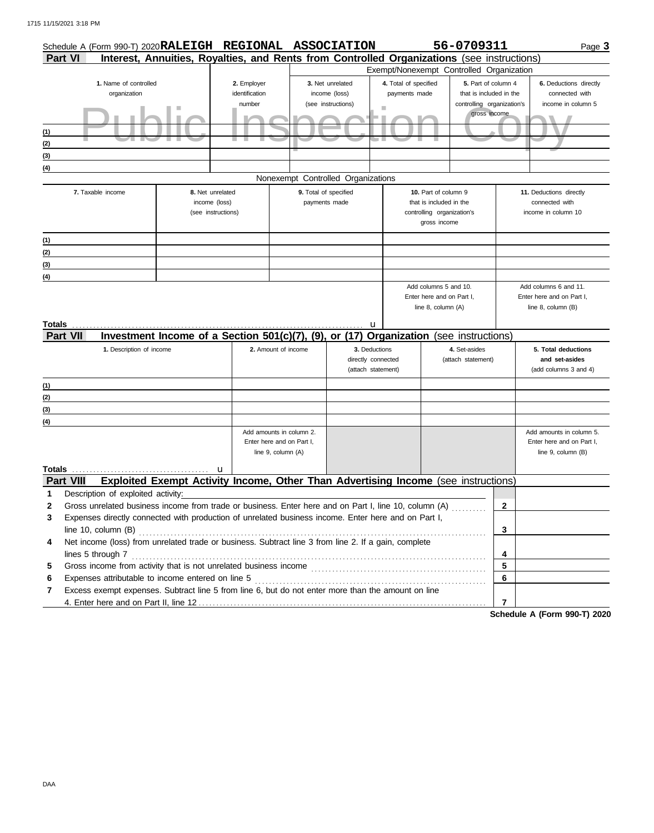|        | Schedule A (Form 990-T) 2020 RALEIGH REGIONAL ASSOCIATION                                             |                                                                                            |                                         |                                                                             |                                                           |                                             |                                                                       | 56-0709311                                                                                   |              | Page 3                                                                      |
|--------|-------------------------------------------------------------------------------------------------------|--------------------------------------------------------------------------------------------|-----------------------------------------|-----------------------------------------------------------------------------|-----------------------------------------------------------|---------------------------------------------|-----------------------------------------------------------------------|----------------------------------------------------------------------------------------------|--------------|-----------------------------------------------------------------------------|
|        | <b>Part VI</b>                                                                                        | Interest, Annuities, Royalties, and Rents from Controlled Organizations (see instructions) |                                         |                                                                             |                                                           |                                             |                                                                       |                                                                                              |              |                                                                             |
|        |                                                                                                       |                                                                                            |                                         |                                                                             |                                                           | Exempt/Nonexempt Controlled Organization    |                                                                       |                                                                                              |              |                                                                             |
| (1)    | 1. Name of controlled<br>organization                                                                 |                                                                                            | 2. Employer<br>identification<br>number |                                                                             | 3. Net unrelated<br>income (loss)<br>(see instructions)   | 4. Total of specified<br>payments made<br>٠ |                                                                       | 5. Part of column 4<br>that is included in the<br>controlling organization's<br>gross income |              | 6. Deductions directly<br>connected with<br>income in column 5              |
| (2)    |                                                                                                       |                                                                                            |                                         |                                                                             |                                                           |                                             |                                                                       |                                                                                              |              |                                                                             |
| (3)    |                                                                                                       |                                                                                            |                                         |                                                                             |                                                           |                                             |                                                                       |                                                                                              |              |                                                                             |
| (4)    |                                                                                                       |                                                                                            |                                         | Nonexempt Controlled Organizations                                          |                                                           |                                             |                                                                       |                                                                                              |              |                                                                             |
|        | 7. Taxable income                                                                                     | 8. Net unrelated                                                                           |                                         |                                                                             | 9. Total of specified                                     |                                             | 10. Part of column 9                                                  |                                                                                              |              | 11. Deductions directly                                                     |
|        |                                                                                                       | income (loss)                                                                              | (see instructions)                      |                                                                             | payments made                                             |                                             | that is included in the<br>controlling organization's<br>gross income |                                                                                              |              | connected with<br>income in column 10                                       |
| (1)    |                                                                                                       |                                                                                            |                                         |                                                                             |                                                           |                                             |                                                                       |                                                                                              |              |                                                                             |
| (2)    |                                                                                                       |                                                                                            |                                         |                                                                             |                                                           |                                             |                                                                       |                                                                                              |              |                                                                             |
| (3)    |                                                                                                       |                                                                                            |                                         |                                                                             |                                                           |                                             |                                                                       |                                                                                              |              |                                                                             |
| (4)    |                                                                                                       |                                                                                            |                                         |                                                                             |                                                           |                                             |                                                                       |                                                                                              |              |                                                                             |
| Totals |                                                                                                       |                                                                                            |                                         |                                                                             | u                                                         |                                             | Enter here and on Part I.<br>line 8, column (A)                       |                                                                                              |              | Enter here and on Part I.<br>line 8, column (B)                             |
|        | <b>Part VII</b>                                                                                       | Investment Income of a Section 501(c)(7),                                                  |                                         | (9).                                                                        | or (17)                                                   | <b>Organization</b> (see instructions)      |                                                                       |                                                                                              |              |                                                                             |
|        | 1. Description of income                                                                              |                                                                                            |                                         | 2. Amount of income                                                         | 3. Deductions<br>directly connected<br>(attach statement) |                                             |                                                                       | 4. Set-asides<br>(attach statement)                                                          |              | 5. Total deductions<br>and set-asides<br>(add columns 3 and 4)              |
| (1)    |                                                                                                       |                                                                                            |                                         |                                                                             |                                                           |                                             |                                                                       |                                                                                              |              |                                                                             |
| (2)    |                                                                                                       |                                                                                            |                                         |                                                                             |                                                           |                                             |                                                                       |                                                                                              |              |                                                                             |
| (3)    |                                                                                                       |                                                                                            |                                         |                                                                             |                                                           |                                             |                                                                       |                                                                                              |              |                                                                             |
| (4)    |                                                                                                       |                                                                                            |                                         |                                                                             |                                                           |                                             |                                                                       |                                                                                              |              |                                                                             |
| Totals |                                                                                                       |                                                                                            | u                                       | Add amounts in column 2.<br>Enter here and on Part I,<br>line 9, column (A) |                                                           |                                             |                                                                       |                                                                                              |              | Add amounts in column 5.<br>Enter here and on Part I,<br>line 9, column (B) |
|        | <b>Part VIII</b>                                                                                      | Exploited Exempt Activity Income, Other Than Advertising Income (see instructions)         |                                         |                                                                             |                                                           |                                             |                                                                       |                                                                                              |              |                                                                             |
| 1      | Description of exploited activity:                                                                    |                                                                                            |                                         |                                                                             |                                                           |                                             |                                                                       |                                                                                              |              |                                                                             |
| 2      | Gross unrelated business income from trade or business. Enter here and on Part I, line 10, column (A) |                                                                                            |                                         |                                                                             |                                                           |                                             |                                                                       |                                                                                              | $\mathbf{2}$ |                                                                             |
| 3      | Expenses directly connected with production of unrelated business income. Enter here and on Part I,   |                                                                                            |                                         |                                                                             |                                                           |                                             |                                                                       |                                                                                              |              |                                                                             |
|        | line 10, column (B)                                                                                   |                                                                                            |                                         |                                                                             |                                                           |                                             |                                                                       |                                                                                              | 3            |                                                                             |
| 4      | Net income (loss) from unrelated trade or business. Subtract line 3 from line 2. If a gain, complete  |                                                                                            |                                         |                                                                             |                                                           |                                             |                                                                       |                                                                                              |              |                                                                             |
| 5      | lines 5 through 7                                                                                     |                                                                                            |                                         |                                                                             |                                                           |                                             |                                                                       |                                                                                              | 4<br>5       |                                                                             |
| 6      | Expenses attributable to income entered on line 5                                                     |                                                                                            |                                         |                                                                             |                                                           |                                             |                                                                       |                                                                                              | 6            |                                                                             |
| 7      | Excess exempt expenses. Subtract line 5 from line 6, but do not enter more than the amount on line    |                                                                                            |                                         |                                                                             |                                                           |                                             |                                                                       |                                                                                              |              |                                                                             |
|        |                                                                                                       |                                                                                            |                                         |                                                                             |                                                           |                                             |                                                                       |                                                                                              | 7            |                                                                             |

**Schedule A (Form 990-T) 2020**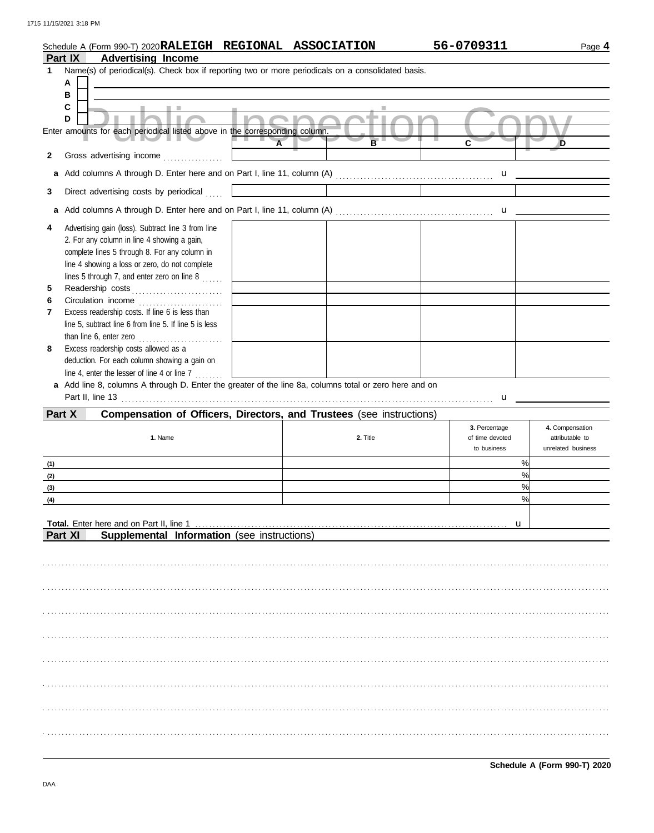| <b>2020RALEIGH</b><br>Schedule<br>A (Form 990-T) | <b>REGIONAL</b> | <b>ASSOCIATION</b> | 0709311<br>56-0 | Page |
|--------------------------------------------------|-----------------|--------------------|-----------------|------|
| Part IX<br>Advertising<br><b>Income</b>          |                 |                    |                 |      |

|              | Part IX<br>Advertising income                                                                          |                                                                                                                           |                 |                          |
|--------------|--------------------------------------------------------------------------------------------------------|---------------------------------------------------------------------------------------------------------------------------|-----------------|--------------------------|
| 1            | Name(s) of periodical(s). Check box if reporting two or more periodicals on a consolidated basis.      |                                                                                                                           |                 |                          |
|              | A                                                                                                      |                                                                                                                           |                 |                          |
|              | в                                                                                                      |                                                                                                                           |                 |                          |
|              | C<br>$\mathcal{L}$<br><b>COLLEGE</b>                                                                   |                                                                                                                           |                 |                          |
|              | D<br>×                                                                                                 | <b>Inning</b>                                                                                                             |                 |                          |
|              | Enter amounts for each periodical listed above in the corresponding column.                            |                                                                                                                           |                 |                          |
|              | $\overline{A}$                                                                                         | B                                                                                                                         | $\mathbf{c}$    | D                        |
|              |                                                                                                        |                                                                                                                           |                 |                          |
| $\mathbf{2}$ |                                                                                                        |                                                                                                                           |                 |                          |
| a            |                                                                                                        |                                                                                                                           |                 |                          |
|              |                                                                                                        |                                                                                                                           |                 |                          |
| 3            | Direct advertising costs by periodical                                                                 | <u> La Carte de la Carte de la Carte de la Carte de la Carte de la Carte de la Carte de la Carte de la Carte de la Ca</u> |                 |                          |
| a            |                                                                                                        |                                                                                                                           |                 |                          |
| 4            | Advertising gain (loss). Subtract line 3 from line                                                     |                                                                                                                           |                 |                          |
|              |                                                                                                        |                                                                                                                           |                 |                          |
|              | 2. For any column in line 4 showing a gain,                                                            |                                                                                                                           |                 |                          |
|              | complete lines 5 through 8. For any column in                                                          |                                                                                                                           |                 |                          |
|              | line 4 showing a loss or zero, do not complete                                                         |                                                                                                                           |                 |                          |
|              | lines 5 through 7, and enter zero on line 8 $\ldots$                                                   |                                                                                                                           |                 |                          |
| 5            |                                                                                                        |                                                                                                                           |                 |                          |
|              | the control of the control of the                                                                      |                                                                                                                           |                 |                          |
| 6            |                                                                                                        |                                                                                                                           |                 |                          |
| 7            | Excess readership costs. If line 6 is less than                                                        |                                                                                                                           |                 |                          |
|              | line 5, subtract line 6 from line 5. If line 5 is less                                                 |                                                                                                                           |                 |                          |
|              | than line 6, enter zero                                                                                |                                                                                                                           |                 |                          |
| 8            | Excess readership costs allowed as a                                                                   |                                                                                                                           |                 |                          |
|              |                                                                                                        |                                                                                                                           |                 |                          |
|              | deduction. For each column showing a gain on                                                           |                                                                                                                           |                 |                          |
|              | line 4, enter the lesser of line 4 or line 7                                                           |                                                                                                                           |                 |                          |
|              | a Add line 8, columns A through D. Enter the greater of the line 8a, columns total or zero here and on |                                                                                                                           |                 |                          |
|              |                                                                                                        |                                                                                                                           |                 | $\frac{u}{\sqrt{u^2+2}}$ |
|              |                                                                                                        |                                                                                                                           |                 |                          |
|              |                                                                                                        |                                                                                                                           |                 |                          |
| Part X       | Compensation of Officers, Directors, and Trustees (see instructions)                                   |                                                                                                                           |                 |                          |
|              |                                                                                                        |                                                                                                                           | 3. Percentage   | 4. Compensation          |
|              | 1. Name                                                                                                | 2. Title                                                                                                                  | of time devoted | attributable to          |
|              |                                                                                                        |                                                                                                                           | to business     | unrelated business       |
|              |                                                                                                        |                                                                                                                           |                 |                          |
| (1)          |                                                                                                        |                                                                                                                           |                 | %                        |
| (2)          |                                                                                                        |                                                                                                                           |                 | %                        |
| (3)          |                                                                                                        |                                                                                                                           |                 | %                        |
| (4)          |                                                                                                        |                                                                                                                           |                 | %                        |
|              |                                                                                                        |                                                                                                                           |                 |                          |
|              |                                                                                                        |                                                                                                                           |                 |                          |
|              | Total. Enter here and on Part II, line 1                                                               |                                                                                                                           | u               |                          |
|              | Part XI<br>Supplemental Information (see instructions)                                                 |                                                                                                                           |                 |                          |
|              |                                                                                                        |                                                                                                                           |                 |                          |
|              |                                                                                                        |                                                                                                                           |                 |                          |
|              |                                                                                                        |                                                                                                                           |                 |                          |
|              |                                                                                                        |                                                                                                                           |                 |                          |
|              |                                                                                                        |                                                                                                                           |                 |                          |
|              |                                                                                                        |                                                                                                                           |                 |                          |
|              |                                                                                                        |                                                                                                                           |                 |                          |
|              |                                                                                                        |                                                                                                                           |                 |                          |
|              |                                                                                                        |                                                                                                                           |                 |                          |
|              |                                                                                                        |                                                                                                                           |                 |                          |
|              |                                                                                                        |                                                                                                                           |                 |                          |
|              |                                                                                                        |                                                                                                                           |                 |                          |
|              |                                                                                                        |                                                                                                                           |                 |                          |
|              |                                                                                                        |                                                                                                                           |                 |                          |
|              |                                                                                                        |                                                                                                                           |                 |                          |
|              |                                                                                                        |                                                                                                                           |                 |                          |
|              |                                                                                                        |                                                                                                                           |                 |                          |
|              |                                                                                                        |                                                                                                                           |                 |                          |
|              |                                                                                                        |                                                                                                                           |                 |                          |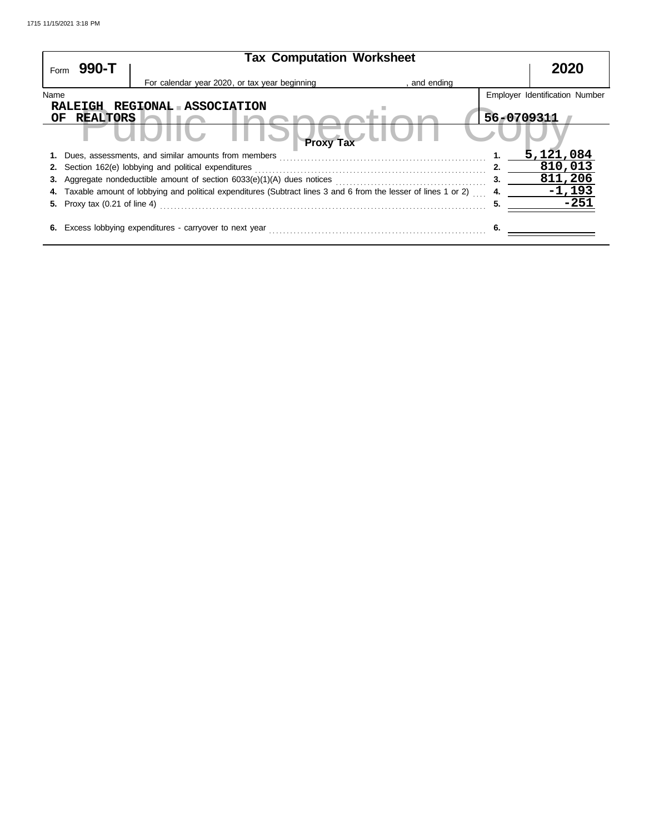| Form | 990-T                                | <b>Tax Computation Worksheet</b>                                                                                  | 2020         |                                |
|------|--------------------------------------|-------------------------------------------------------------------------------------------------------------------|--------------|--------------------------------|
|      |                                      | For calendar year 2020, or tax year beginning                                                                     | , and ending |                                |
| Name |                                      |                                                                                                                   |              | Employer Identification Number |
|      |                                      | RALEIGH REGIONAL ASSOCIATION                                                                                      |              |                                |
| OF.  | <b>REALTORS</b>                      |                                                                                                                   | 56-0709311   |                                |
|      |                                      | <b>Proxy Tax</b>                                                                                                  |              |                                |
|      |                                      | 1. Dues, assessments, and similar amounts from members                                                            |              | 5,121,084                      |
|      |                                      | <b>2.</b> Section 162(e) lobbying and political expenditures                                                      | 2.           | 810,013                        |
|      |                                      |                                                                                                                   | 3.           | 811,206                        |
|      |                                      | 4. Taxable amount of lobbying and political expenditures (Subtract lines 3 and 6 from the lesser of lines 1 or 2) | 4.           | $-1,193$                       |
|      | <b>5.</b> Proxy tax (0.21 of line 4) |                                                                                                                   | 5.           | -251                           |
|      |                                      | 6. Excess lobbying expenditures - carryover to next year                                                          | 6.           |                                |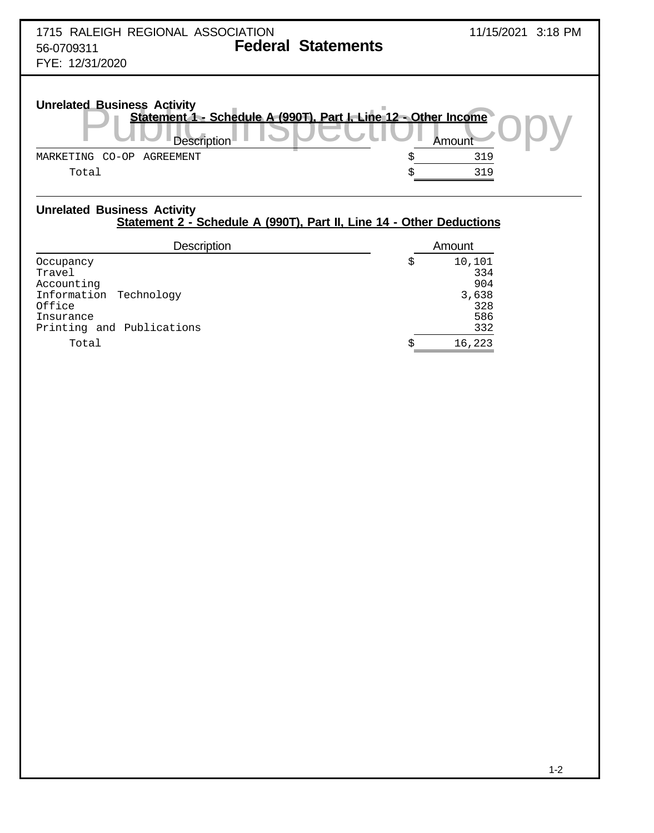| 1715 RALEIGH REGIONAL ASSOCIATION<br><b>Federal Statements</b><br>56-0709311<br>FYE: 12/31/2020                                                                    | 11/15/2021 3:18 PM   |
|--------------------------------------------------------------------------------------------------------------------------------------------------------------------|----------------------|
| <b>Unrelated Business Activity</b><br>Statement 1 - Schedule A (990T), Part I, Line 12 - Other Income<br>Description<br>$CO-OP$<br>AGREEMENT<br>MARKETING<br>Total | Amount<br>319<br>319 |

## **Unrelated Business Activity Statement 2 - Schedule A (990T), Part II, Line 14 - Other Deductions**

| <b>Description</b>                                                                                              |    | Amount                                             |
|-----------------------------------------------------------------------------------------------------------------|----|----------------------------------------------------|
| Occupancy<br>Travel<br>Accounting<br>Information Technology<br>Office<br>Insurance<br>Printing and Publications | \$ | 10,101<br>334<br>904<br>3,638<br>328<br>586<br>332 |
| Total                                                                                                           | Ŝ  | 16,223                                             |